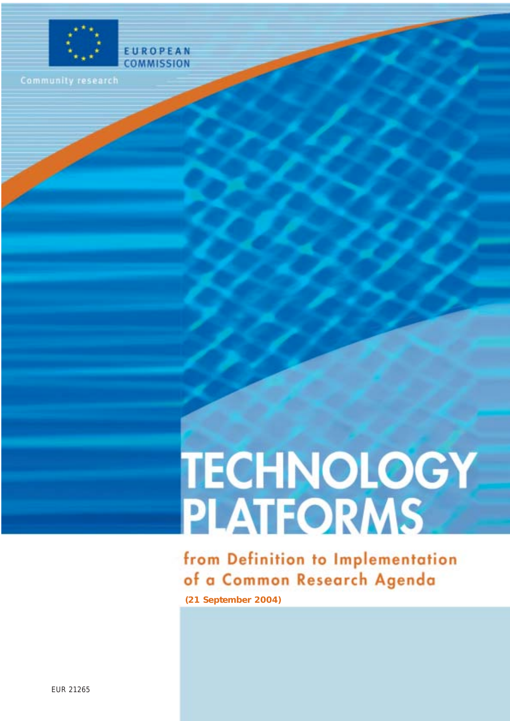

**EUROPEAN** COMMISSION

# **TECHNOLOGY<br>PLATFORMS**

from Definition to Implementation of a Common Research Agenda **(21 September 2004)**

EUR 21265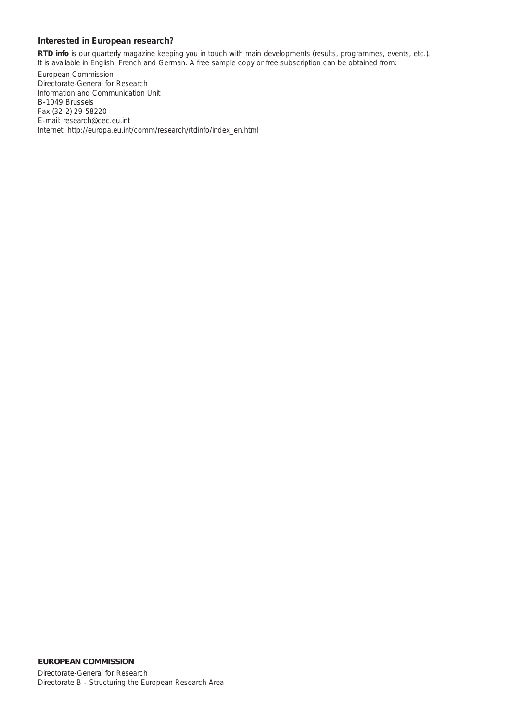#### **Interested in European research?**

*RTD info* is our quarterly magazine keeping you in touch with main developments (results, programmes, events, etc.). It is available in English, French and German. A free sample copy or free subscription can be obtained from:

European Commission Directorate-General for Research Information and Communication Unit B-1049 Brussels Fax (32-2) 29-58220 E-mail: research@cec.eu.int Internet: [http://europa.eu.int/comm/research/rtdinfo/index\\_en.html](http://europa.eu.int/comm/research/rtdinfo/index_en.html)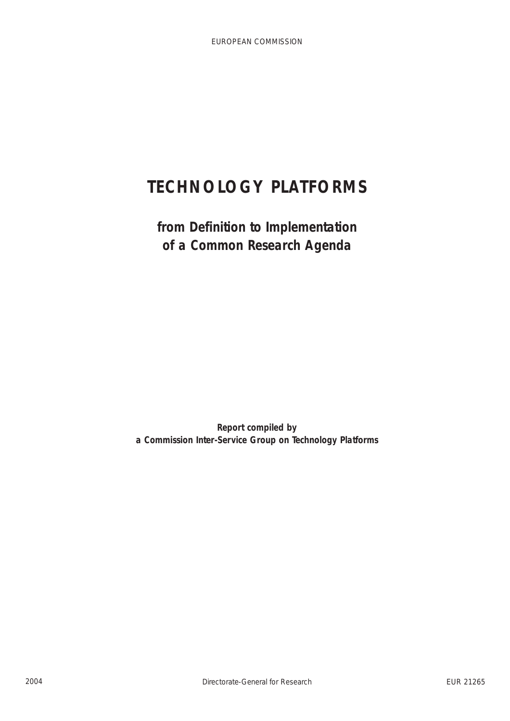# **TECHNOLOGY PLATFORMS**

**from Definition to Implementation of a Common Research Agenda**

**Report compiled by a Commission Inter-Service Group on Technology Platforms**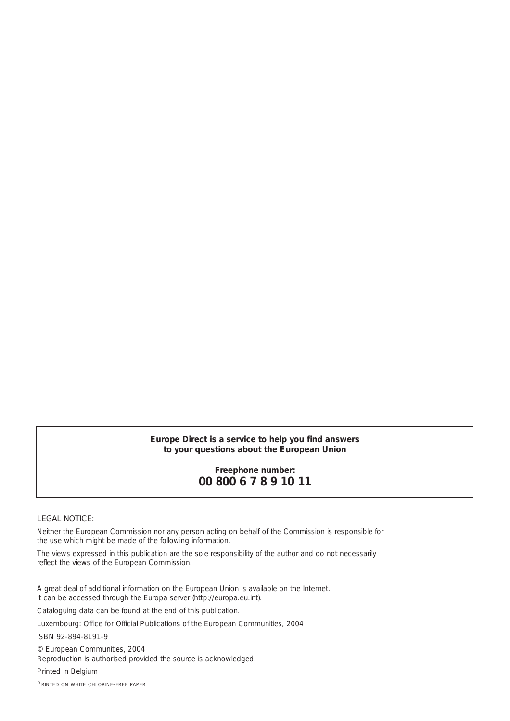#### *Europe Direct is a service to help you find answers to your questions about the European Union*

## **Freephone number: 00 800 6 7 8 9 10 11**

#### LEGAL NOTICE:

Neither the European Commission nor any person acting on behalf of the Commission is responsible for the use which might be made of the following information.

The views expressed in this publication are the sole responsibility of the author and do not necessarily reflect the views of the European Commission.

A great deal of additional information on the European Union is available on the Internet. It can be accessed through the Europa server (http://europa.eu.int).

Cataloguing data can be found at the end of this publication.

Luxembourg: Office for Official Publications of the European Communities, 2004

ISBN 92-894-8191-9

© European Communities, 2004 Reproduction is authorised provided the source is acknowledged.

*Printed in Belgium*

PRINTED ON WHITE CHLORINE-FREE PAPER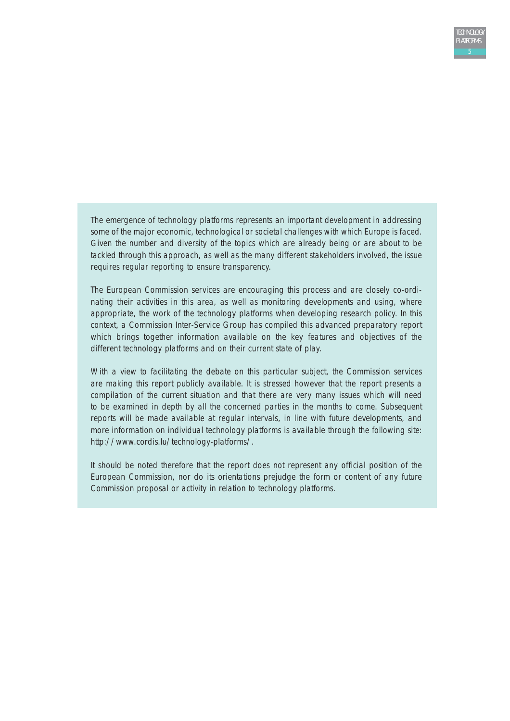The emergence of technology platforms represents an important development in addressing some of the major economic, technological or societal challenges with which Europe is faced. Given the number and diversity of the topics which are already being or are about to be tackled through this approach, as well as the many different stakeholders involved, the issue requires regular reporting to ensure transparency.

The European Commission services are encouraging this process and are closely co-ordinating their activities in this area, as well as monitoring developments and using, where appropriate, the work of the technology platforms when developing research policy. In this context, a Commission Inter-Service Group has compiled this advanced preparatory report which brings together information available on the key features and objectives of the different technology platforms and on their current state of play.

With a view to facilitating the debate on this particular subject, the Commission services are making this report publicly available. It is stressed however that the report presents a compilation of the current situation and that there are very many issues which will need to be examined in depth by all the concerned parties in the months to come. Subsequent reports will be made available at regular intervals, in line with future developments, and more information on individual technology platforms is available through the following site: [http://www.cordis.lu/technology-platforms/.](http://www.cordis.lu/technology-platforms/)

It should be noted therefore that the report does not represent any official position of the European Commission, nor do its orientations prejudge the form or content of any future Commission proposal or activity in relation to technology platforms.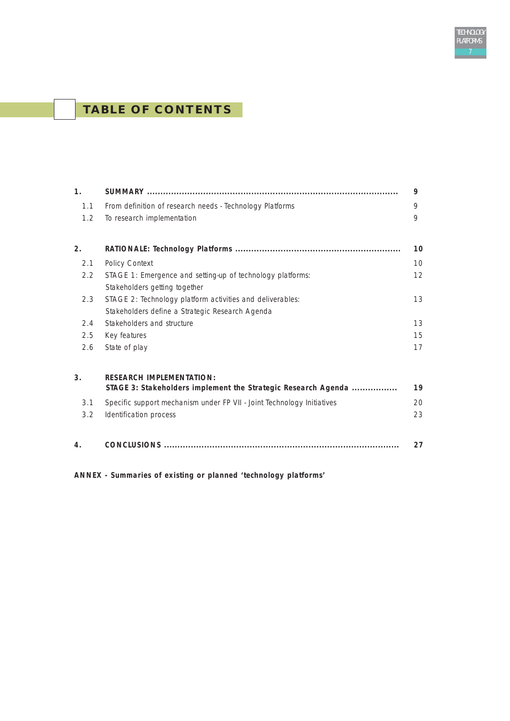# **TABLE OF CONTENTS**

| 1 <sub>1</sub> |                                                                                                  | 9  |  |  |
|----------------|--------------------------------------------------------------------------------------------------|----|--|--|
| 1.1            | From definition of research needs - Technology Platforms                                         | 9  |  |  |
| 1.2            | To research implementation                                                                       | 9  |  |  |
| 2.             |                                                                                                  | 10 |  |  |
| 2.1            | Policy Context                                                                                   | 10 |  |  |
| 2.2            | STAGE 1: Emergence and setting-up of technology platforms:<br>Stakeholders getting together      |    |  |  |
| 2.3            | STAGE 2: Technology platform activities and deliverables:                                        | 13 |  |  |
|                | Stakeholders define a Strategic Research Agenda                                                  |    |  |  |
| 2.4            | Stakeholders and structure                                                                       | 13 |  |  |
| 2.5            | Key features                                                                                     | 15 |  |  |
| 2.6            | State of play                                                                                    | 17 |  |  |
| 3 <sub>1</sub> | <b>RESEARCH IMPLEMENTATION:</b><br>STAGE 3: Stakeholders implement the Strategic Research Agenda | 19 |  |  |
| 3.1            | Specific support mechanism under FP VII - Joint Technology Initiatives                           | 20 |  |  |
| 3.2            | Identification process                                                                           | 23 |  |  |
| 4.             |                                                                                                  | 27 |  |  |

TECHNOLOGY PLATFORMS

**ANNEX - Summaries of existing or planned 'technology platforms'**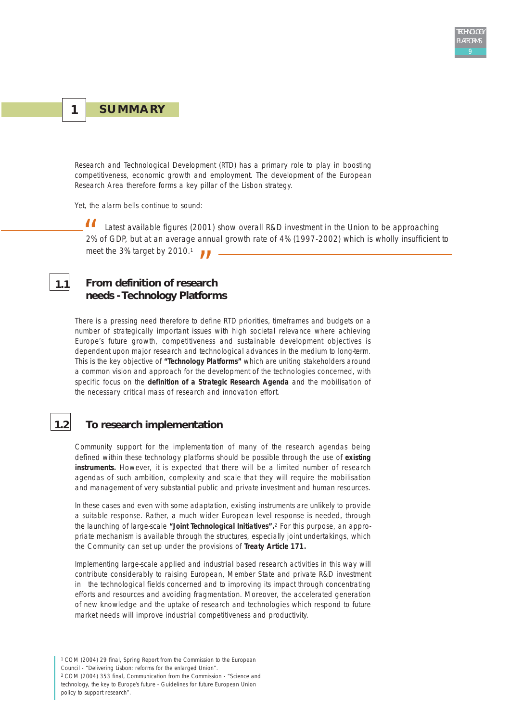## **1 SUMMARY**

**1.1**

Research and Technological Development (RTD) has a primary role to play in boosting competitiveness, economic growth and employment. The development of the European Research Area therefore forms a key pillar of the Lisbon strategy.

Yet, the alarm bells continue to sound:

*Latest available figures (2001) show overall R&D investment in the Union to be approaching 2% of GDP, but at an average annual growth rate of 4% (1997-2002) which is wholly insufficient to meet the 3% target by 2010.*<sup>1</sup>  $\frac{1}{2\%}$ 

# *"* **From definition of research needs - Technology Platforms**

There is a pressing need therefore to define RTD priorities, timeframes and budgets on a number of strategically important issues with high societal relevance where achieving Europe's future growth, competitiveness and sustainable development objectives is dependent upon major research and technological advances in the medium to long-term. This is the key objective of **"Technology Platforms"** which are uniting stakeholders around a common vision and approach for the development of the technologies concerned, with specific focus on the **definition of a Strategic Research Agenda** and the mobilisation of the necessary critical mass of research and innovation effort.

## **1.2 To research implementation**

Community support for the implementation of many of the research agendas being defined within these technology platforms should be possible through the use of **existing instruments.** However, it is expected that there will be a limited number of research agendas of such ambition, complexity and scale that they will require the mobilisation and management of very substantial public and private investment and human resources.

In these cases and even with some adaptation, existing instruments are unlikely to provide a suitable response. Rather, a much wider European level response is needed, through the launching of large-scale **"Joint Technological Initiatives".**<sup>2</sup> For this purpose, an appropriate mechanism is available through the structures, especially joint undertakings, which the Community can set up under the provisions of **Treaty Article 171.**

Implementing large-scale applied and industrial based research activities in this way will contribute considerably to raising European, Member State and private R&D investment in the technological fields concerned and to improving its impact through concentrating efforts and resources and avoiding fragmentation. Moreover, the accelerated generation of new knowledge and the uptake of research and technologies which respond to future market needs will improve industrial competitiveness and productivity.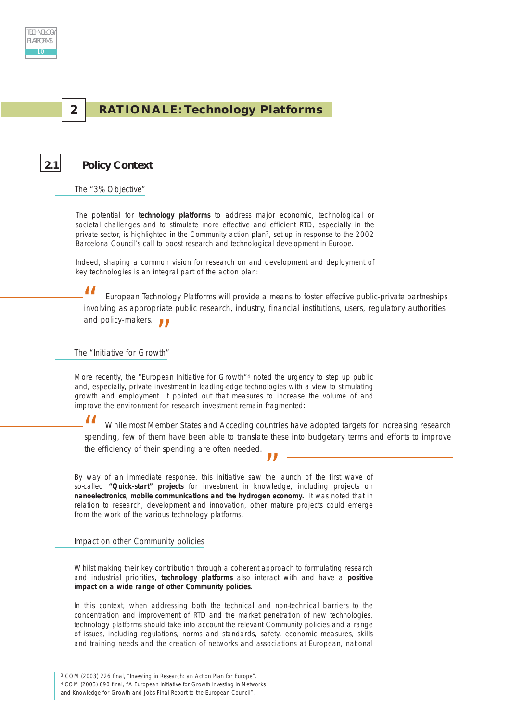

#### **2 RATIONALE: Technology Platforms**

#### **2.1 Policy Context**

The "3% Objective"

The potential for **technology platforms** to address major economic, technological or societal challenges and to stimulate more effective and efficient RTD, especially in the private sector, is highlighted in the Community action plan3, set up in response to the 2002 Barcelona Council's call to boost research and technological development in Europe.

Indeed, shaping a common vision for research on and development and deployment of key technologies is an integral part of the action plan:

*European Technology Platforms will provide a means to foster effective public-private partneships involving as appropriate public research, industry, financial institutions, users, regulatory authorities*<br> *involving as appropriate public research, industry, financial institutions, users, regulatory authorities and policy-makers. "*

The "Initiative for Growth"

More recently, the "European Initiative for Growth"<sup>4</sup> noted the urgency to step up public and, especially, private investment in leading-edge technologies with a view to stimulating growth and employment. It pointed out that measures to increase the volume of and improve the environment for research investment remain fragmented:

*While most Member States and Acceding countries have adopted targets for increasing research spending, few of them have been able to translate these into budgetary terms and efforts to improve*<br> *"*" While most them have been able to translate these into budgetary terms and efforts to improve *the efficiency of their spending are often needed.*

By way of an immediate response, this initiative saw the launch of the first wave of<br> **Example 1.**<br> **Example 1.** so-called **"Quick-start" projects** for investment in knowledge, including projects on **nanoelectronics, mobile communications and the hydrogen economy.** It was noted that in relation to research, development and innovation, other mature projects could emerge from the work of the various technology platforms.

Impact on other Community policies

Whilst making their key contribution through a coherent approach to formulating research and industrial priorities, **technology platforms** also interact with and have a **positive impact on a wide range of other Community policies.**

In this context, when addressing both the technical and non-technical barriers to the concentration and improvement of RTD and the market penetration of new technologies, technology platforms should take into account the relevant Community policies and a range of issues, including regulations, norms and standards, safety, economic measures, skills and training needs and the creation of networks and associations at European, national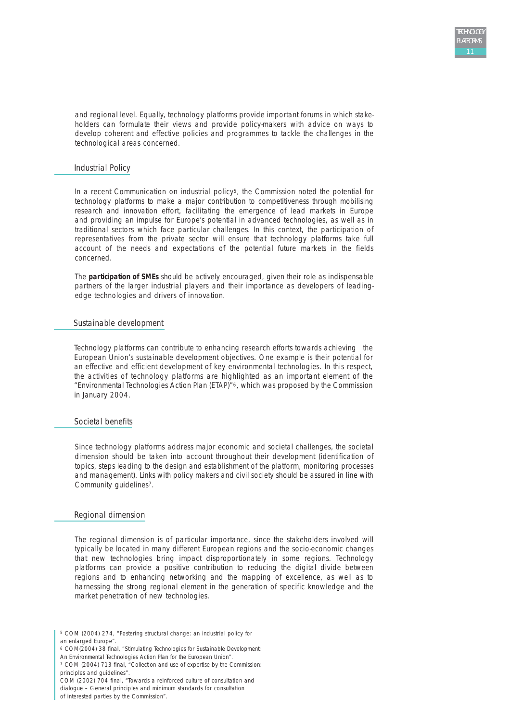and regional level. Equally, technology platforms provide important forums in which stakeholders can formulate their views and provide policy-makers with advice on ways to develop coherent and effective policies and programmes to tackle the challenges in the technological areas concerned.

#### Industrial Policy

In a recent Communication on industrial policy<sup>5</sup>, the Commission noted the potential for technology platforms to make a major contribution to competitiveness through mobilising research and innovation effort, facilitating the emergence of lead markets in Europe and providing an impulse for Europe's potential in advanced technologies, as well as in traditional sectors which face particular challenges. In this context, the participation of representatives from the private sector will ensure that technology platforms take full account of the needs and expectations of the potential future markets in the fields concerned.

The **participation of SMEs** should be actively encouraged, given their role as indispensable partners of the larger industrial players and their importance as developers of leadingedge technologies and drivers of innovation.

#### Sustainable development

Technology platforms can contribute to enhancing research efforts towards achieving the European Union's sustainable development objectives. One example is their potential for an effective and efficient development of key environmental technologies. In this respect, the activities of technology platforms are highlighted as an important element of the "Environmental Technologies Action Plan (ETAP)"6, which was proposed by the Commission in January 2004.

#### Societal benefits

Since technology platforms address major economic and societal challenges, the societal dimension should be taken into account throughout their development (identification of topics, steps leading to the design and establishment of the platform, monitoring processes and management). Links with policy makers and civil society should be assured in line with Community guidelines7.

#### Regional dimension

The regional dimension is of particular importance, since the stakeholders involved will typically be located in many different European regions and the socio-economic changes that new technologies bring impact disproportionately in some regions. Technology platforms can provide a positive contribution to reducing the digital divide between regions and to enhancing networking and the mapping of excellence, as well as to harnessing the strong regional element in the generation of specific knowledge and the market penetration of new technologies.

<sup>5</sup> COM (2004) 274, "Fostering structural change: an industrial policy for an enlarged Europe".

<sup>6</sup> COM(2004) 38 final, "Stimulating Technologies for Sustainable Development:

An Environmental Technologies Action Plan for the European Union".

<sup>7</sup> COM (2004) 713 final, "Collection and use of expertise by the Commission: principles and guidelines".

COM (2002) 704 final, "Towards a reinforced culture of consultation and dialogue – General principles and minimum standards for consultation

of interested parties by the Commission".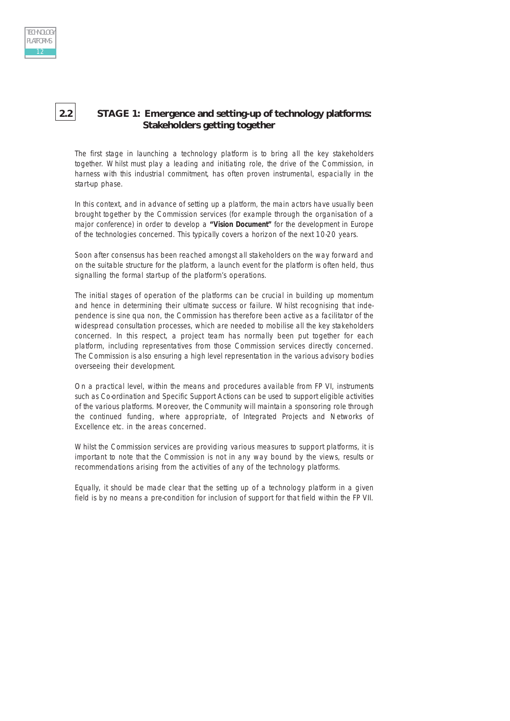## **2.2 STAGE 1: Emergence and setting-up of technology platforms: Stakeholders getting together**

The first stage in launching a technology platform is to bring all the key stakeholders together. Whilst must play a leading and initiating role, the drive of the Commission, in harness with this industrial commitment, has often proven instrumental, espacially in the start-up phase.

In this context, and in advance of setting up a platform, the main actors have usually been brought together by the Commission services (for example through the organisation of a major conference) in order to develop a **"Vision Document"** for the development in Europe of the technologies concerned. This typically covers a horizon of the next 10-20 years.

Soon after consensus has been reached amongst all stakeholders on the way forward and on the suitable structure for the platform, a launch event for the platform is often held, thus signalling the formal start-up of the platform's operations.

The initial stages of operation of the platforms can be crucial in building up momentum and hence in determining their ultimate success or failure. Whilst recognising that independence is sine qua non, the Commission has therefore been active as a facilitator of the widespread consultation processes, which are needed to mobilise all the key stakeholders concerned. In this respect, a project team has normally been put together for each platform, including representatives from those Commission services directly concerned. The Commission is also ensuring a high level representation in the various advisory bodies overseeing their development.

On a practical level, within the means and procedures available from FP VI, instruments such as Co-ordination and Specific Support Actions can be used to support eligible activities of the various platforms. Moreover, the Community will maintain a sponsoring role through the continued funding, where appropriate, of Integrated Projects and Networks of Excellence etc. in the areas concerned.

Whilst the Commission services are providing various measures to support platforms, it is important to note that the Commission is not in any way bound by the views, results or recommendations arising from the activities of any of the technology platforms.

Equally, it should be made clear that the setting up of a technology platform in a given field is by no means a pre-condition for inclusion of support for that field within the FP VII.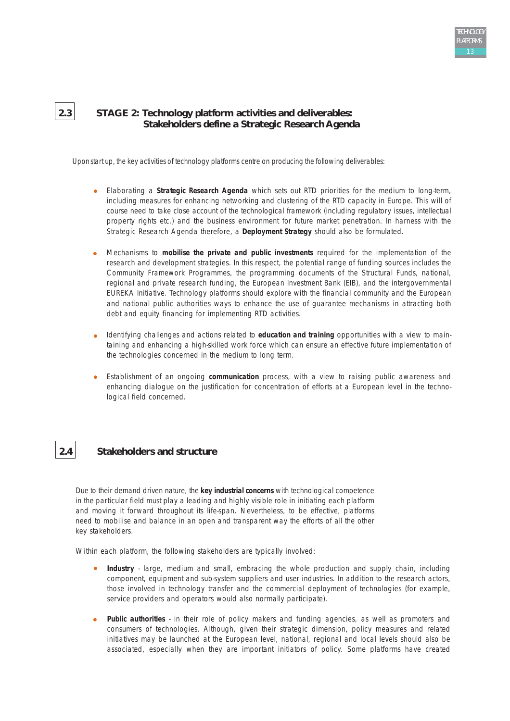## **2.3 STAGE 2: Technology platform activities and deliverables: Stakeholders define a Strategic Research Agenda**

Uponstart up, the key activities of technology platforms centre on producing the following deliverables:

- Elaborating a **Strategic Research Agenda** which sets out RTD priorities for the medium to long-term, including measures for enhancing networking and clustering of the RTD capacity in Europe. This will of course need to take close account of the technological framework (including regulatory issues, intellectual property rights etc.) and the business environment for future market penetration. In harness with the Strategic Research Agenda therefore, a **Deployment Strategy** should also be formulated.
- Mechanisms to **mobilise the private and public investments** required for the implementation of the research and development strategies. In this respect, the potential range of funding sources includes the Community Framework Programmes, the programming documents of the Structural Funds, national, regional and private research funding, the European Investment Bank (EIB), and the intergovernmental EUREKA Initiative. Technology platforms should explore with the financial community and the European and national public authorities ways to enhance the use of guarantee mechanisms in attracting both debt and equity financing for implementing RTD activities.
- Identifying challenges and actions related to **education and training** opportunities with a view to maintaining and enhancing a high-skilled work force which can ensure an effective future implementation of the technologies concerned in the medium to long term.
- Establishment of an ongoing **communication** process, with a view to raising public awareness and  $\bullet$ enhancing dialogue on the justification for concentration of efforts at a European level in the technological field concerned.

## **2.4 Stakeholders and structure**

Due to their demand driven nature, the **key industrial concerns** with technological competence in the particular field must play a leading and highly visible role in initiating each platform and moving it forward throughout its life-span. Nevertheless, to be effective, platforms need to mobilise and balance in an open and transparent way the efforts of all the other key stakeholders.

Within each platform, the following stakeholders are typically involved:

- **Industry** large, medium and small, embracing the whole production and supply chain, including component, equipment and sub-system suppliers and user industries. In addition to the research actors, those involved in technology transfer and the commercial deployment of technologies (for example, service providers and operators would also normally participate).
- **Public authorities** in their role of policy makers and funding agencies, as well as promoters and  $\bullet$ consumers of technologies. Although, given their strategic dimension, policy measures and related initiatives may be launched at the European level, national, regional and local levels should also be associated, especially when they are important initiators of policy. Some platforms have created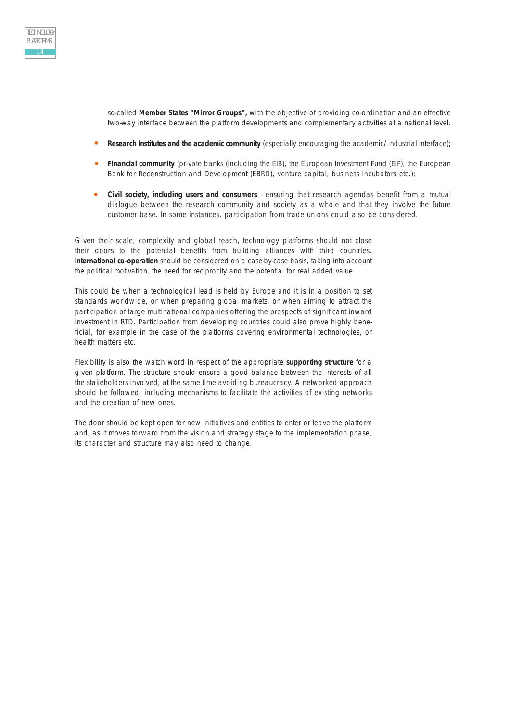

so-called **Member States "Mirror Groups",** with the objective of providing co-ordination and an effective two-way interface between the platform developments and complementary activities at a national level.

- **Research Institutes and the academic community** (especially encouraging the academic/industrial interface);
- **Financial community** (private banks (including the EIB), the European Investment Fund (EIF), the European Bank for Reconstruction and Development (EBRD), venture capital, business incubators etc.);
- $\bullet$ **Civil society, including users and consumers** - ensuring that research agendas benefit from a mutual dialogue between the research community and society as a whole and that they involve the future customer base. In some instances, participation from trade unions could also be considered.

Given their scale, complexity and global reach, technology platforms should not close their doors to the potential benefits from building alliances with third countries. **International co-operation** should be considered on a case-by-case basis, taking into account the political motivation, the need for reciprocity and the potential for real added value.

This could be when a technological lead is held by Europe and it is in a position to set standards worldwide, or when preparing global markets, or when aiming to attract the participation of large multinational companies offering the prospects of significant inward investment in RTD. Participation from developing countries could also prove highly beneficial, for example in the case of the platforms covering environmental technologies, or health matters etc.

Flexibility is also the watch word in respect of the appropriate **supporting structure** for a given platform. The structure should ensure a good balance between the interests of all the stakeholders involved, at the same time avoiding bureaucracy. A networked approach should be followed, including mechanisms to facilitate the activities of existing networks and the creation of new ones.

The door should be kept open for new initiatives and entities to enter or leave the platform and, as it moves forward from the vision and strategy stage to the implementation phase, its character and structure may also need to change.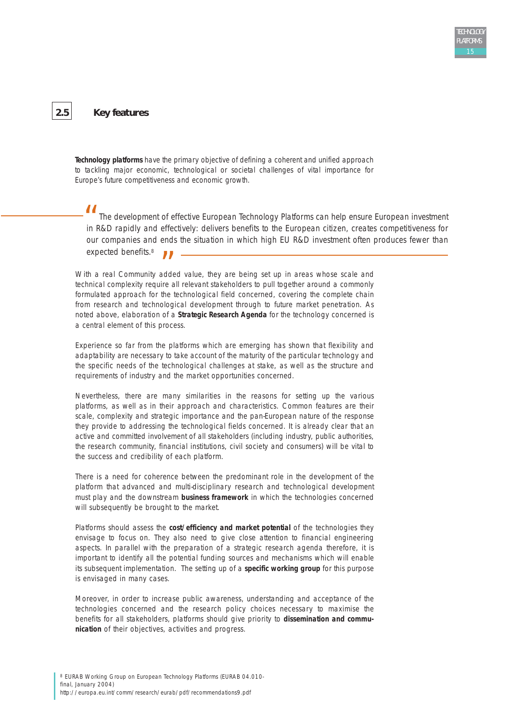## **2.5 Key features**

**Technology platforms** have the primary objective of defining a coherent and unified approach to tackling major economic, technological or societal challenges of vital importance for Europe's future competitiveness and economic growth.

*The development of effective European Technology Platforms can help ensure European investment in R&D rapidly and effectively: delivers benefits to the European citizen, creates competitiveness for our companies and ends the situation in which high EU R&D investment often produces fewer than expected benefits.*<sup>8</sup> *"*<br>*in l* 

expected benefits.<sup>8</sup><br>With a real Community added value, they are being set up in areas whose scale and<br>A chaired a community and a cluster of the state of the state of the state and a community technical complexity require all relevant stakeholders to pull together around a commonly formulated approach for the technological field concerned, covering the complete chain from research and technological development through to future market penetration. As noted above, elaboration of a **Strategic Research Agenda** for the technology concerned is a central element of this process.

Experience so far from the platforms which are emerging has shown that flexibility and adaptability are necessary to take account of the maturity of the particular technology and the specific needs of the technological challenges at stake, as well as the structure and requirements of industry and the market opportunities concerned.

Nevertheless, there are many similarities in the reasons for setting up the various platforms, as well as in their approach and characteristics. Common features are their scale, complexity and strategic importance and the pan-European nature of the response they provide to addressing the technological fields concerned. It is already clear that an active and committed involvement of all stakeholders (including industry, public authorities, the research community, financial institutions, civil society and consumers) will be vital to the success and credibility of each platform.

There is a need for coherence between the predominant role in the development of the platform that advanced and multi-disciplinary research and technological development must play and the downstream **business framework** in which the technologies concerned will subsequently be brought to the market.

Platforms should assess the **cost/efficiency and market potential** of the technologies they envisage to focus on. They also need to give close attention to financial engineering aspects. In parallel with the preparation of a strategic research agenda therefore, it is important to identify all the potential funding sources and mechanisms which will enable its subsequent implementation. The setting up of a **specific working group** for this purpose is envisaged in many cases.

Moreover, in order to increase public awareness, understanding and acceptance of the technologies concerned and the research policy choices necessary to maximise the benefits for all stakeholders, platforms should give priority to **dissemination and communication** of their objectives, activities and progress.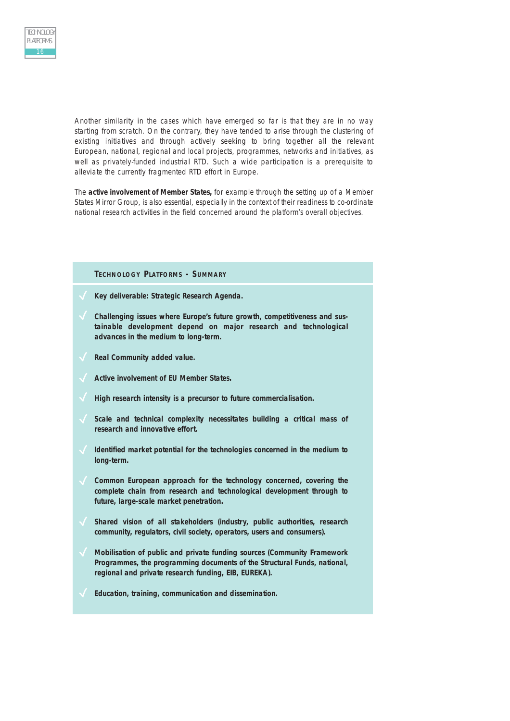Another similarity in the cases which have emerged so far is that they are in no way starting from scratch. On the contrary, they have tended to arise through the clustering of existing initiatives and through actively seeking to bring together all the relevant European, national, regional and local projects, programmes, networks and initiatives, as well as privately-funded industrial RTD. Such a wide participation is a prerequisite to alleviate the currently fragmented RTD effort in Europe.

The **active involvement of Member States,** for example through the setting up of a Member States Mirror Group, is also essential, especially in the context of their readiness to co-ordinate national research activities in the field concerned around the platform's overall objectives.

#### **TECHNOLOGY PLATFORMS - SUMMARY**

- **Key deliverable: Strategic Research Agenda.**
- **Challenging issues where Europe's future growth, competitiveness and sustainable development depend on major research and technological advances in the medium to long-term.**
- **Real Community added value.**
- **Active involvement of EU Member States.**
- **High research intensity is a precursor to future commercialisation.**
- **Scale and technical complexity necessitates building a critical mass of research and innovative effort.**
- **Identified market potential for the technologies concerned in the medium to long-term.**
- **Common European approach for the technology concerned, covering the complete chain from research and technological development through to future, large-scale market penetration.**
- **Shared vision of all stakeholders (industry, public authorities, research community, regulators, civil society, operators, users and consumers).**
- **Mobilisation of public and private funding sources (Community Framework Programmes, the programming documents of the Structural Funds, national, regional and private research funding, EIB, EUREKA).**
- **Education, training, communication and dissemination.**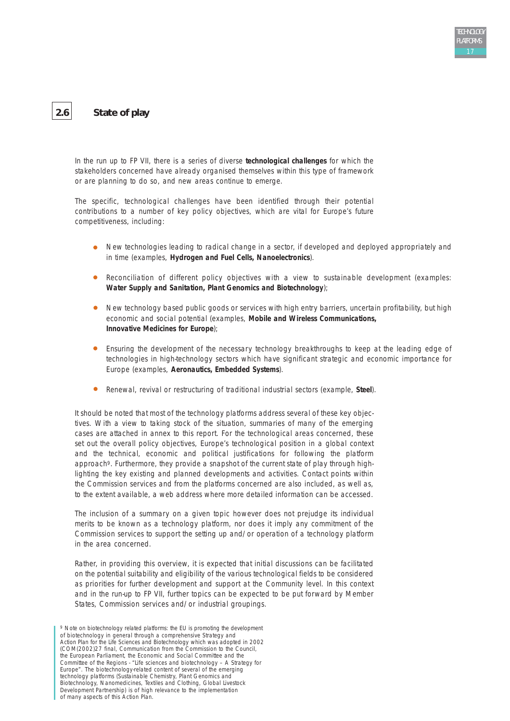

## **2.6 State of play**

In the run up to FP VII, there is a series of diverse **technological challenges** for which the stakeholders concerned have already organised themselves within this type of framework or are planning to do so, and new areas continue to emerge.

The specific, technological challenges have been identified through their potential contributions to a number of key policy objectives, which are vital for Europe's future competitiveness, including:

- New technologies leading to radical change in a sector, if developed and deployed appropriately and in time (examples, **Hydrogen and Fuel Cells, Nanoelectronics**).
- $\bullet$ Reconciliation of different policy objectives with a view to sustainable development (examples: **Water Supply and Sanitation, Plant Genomics and Biotechnology**);
- New technology based public goods or services with high entry barriers, uncertain profitability, but high economic and social potential (examples, **Mobile and Wireless Communications, Innovative Medicines for Europe**);
- Ensuring the development of the necessary technology breakthroughs to keep at the leading edge of technologies in high-technology sectors which have significant strategic and economic importance for Europe (examples, **Aeronautics, Embedded Systems**).
- $\bullet$ Renewal, revival or restructuring of traditional industrial sectors (example, **Steel**).

It should be noted that most of the technology platforms address several of these key objectives. With a view to taking stock of the situation, summaries of many of the emerging cases are attached in annex to this report. For the technological areas concerned, these set out the overall policy objectives, Europe's technological position in a global context and the technical, economic and political justifications for following the platform approach9. Furthermore, they provide a snapshot of the current state of play through highlighting the key existing and planned developments and activities. Contact points within the Commission services and from the platforms concerned are also included, as well as, to the extent available, a web address where more detailed information can be accessed.

The inclusion of a summary on a given topic however does not prejudge its individual merits to be known as a technology platform, nor does it imply any commitment of the Commission services to support the setting up and/or operation of a technology platform in the area concerned.

Rather, in providing this overview, it is expected that initial discussions can be facilitated on the potential suitability and eligibility of the various technological fields to be considered as priorities for further development and support at the Community level. In this context and in the run-up to FP VII, further topics can be expected to be put forward by Member States, Commission services and/or industrial groupings.

<sup>9</sup> Note on biotechnology related platforms: the EU is promoting the development of biotechnology in general through a comprehensive Strategy and Action Plan for the Life Sciences and Biotechnology which was adopted in 2002 (COM(2002)27 final, Communication from the Commission to the Council, the European Parliament, the Economic and Social Committee and the Committee of the Regions - "Life sciences and biotechnology – A Strategy for Europe". The biotechnology-related content of several of the emerging technology platforms (Sustainable Chemistry, Plant Genomics and Biotechnology, Nanomedicines, Textiles and Clothing, Global Livestock Development Partnership) is of high relevance to the implementation of many aspects of this Action Plan.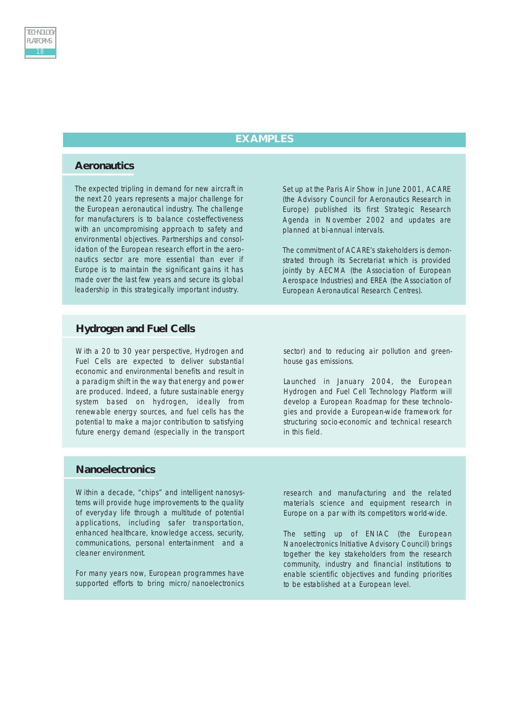## **EXAMPLES**

#### **Aeronautics**

The expected tripling in demand for new aircraft in the next 20 years represents a major challenge for the European aeronautical industry. The challenge for manufacturers is to balance cost-effectiveness with an uncompromising approach to safety and environmental objectives. Partnerships and consolidation of the European research effort in the aeronautics sector are more essential than ever if Europe is to maintain the significant gains it has made over the last few years and secure its global leadership in this strategically important industry.

Set up at the Paris Air Show in June 2001, ACARE (the Advisory Council for Aeronautics Research in Europe) published its first Strategic Research Agenda in November 2002 and updates are planned at bi-annual intervals.

The commitment of ACARE's stakeholders is demonstrated through its Secretariat which is provided jointly by AECMA (the Association of European Aerospace Industries) and EREA (the Association of European Aeronautical Research Centres).

#### **Hydrogen and Fuel Cells**

With a 20 to 30 year perspective, Hydrogen and Fuel Cells are expected to deliver substantial economic and environmental benefits and result in a paradigm shift in the way that energy and power are produced. Indeed, a future sustainable energy system based on hydrogen, ideally from renewable energy sources, and fuel cells has the potential to make a major contribution to satisfying future energy demand (especially in the transport

sector) and to reducing air pollution and greenhouse gas emissions.

Launched in January 2004, the European Hydrogen and Fuel Cell Technology Platform will develop a European Roadmap for these technologies and provide a European-wide framework for structuring socio-economic and technical research in this field.

#### **Nanoelectronics**

Within a decade, "chips" and intelligent nanosystems will provide huge improvements to the quality of everyday life through a multitude of potential applications, including safer transportation, enhanced healthcare, knowledge access, security, communications, personal entertainment and a cleaner environment.

For many years now, European programmes have supported efforts to bring micro/nanoelectronics

research and manufacturing and the related materials science and equipment research in Europe on a par with its competitors world-wide.

The setting up of ENIAC (the European Nanoelectronics Initiative Advisory Council) brings together the key stakeholders from the research community, industry and financial institutions to enable scientific objectives and funding priorities to be established at a European level.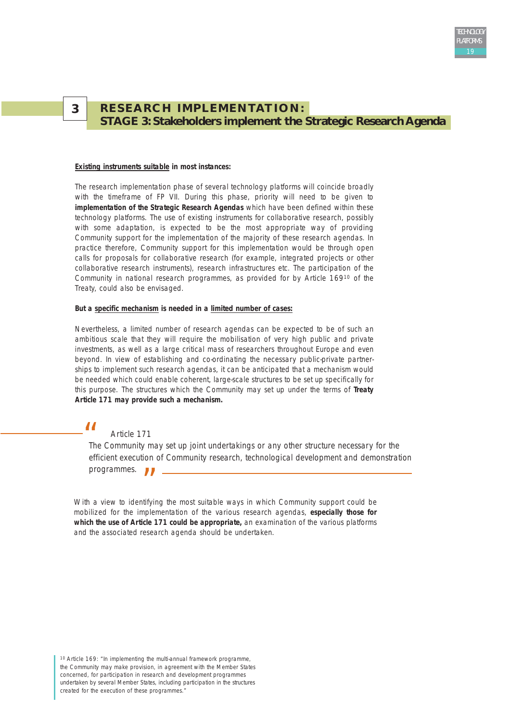## **RESEARCH IMPLEMENTATION: STAGE 3: Stakeholders implement the Strategic Research Agenda**

#### **Existing instruments suitable in most instances:**

**3**

The research implementation phase of several technology platforms will coincide broadly with the timeframe of FP VII. During this phase, priority will need to be given to **implementation of the Strategic Research Agendas** which have been defined within these technology platforms. The use of existing instruments for collaborative research, possibly with some adaptation, is expected to be the most appropriate way of providing Community support for the implementation of the majority of these research agendas. In practice therefore, Community support for this implementation would be through open calls for proposals for collaborative research (for example, integrated projects or other collaborative research instruments), research infrastructures etc. The participation of the Community in national research programmes, as provided for by Article 16910 of the Treaty, could also be envisaged.

#### **But a specific mechanism is needed in a limited number of cases:**

Nevertheless, a limited number of research agendas can be expected to be of such an ambitious scale that they will require the mobilisation of very high public and private investments, as well as a large critical mass of researchers throughout Europe and even beyond. In view of establishing and co-ordinating the necessary public-private partnerships to implement such research agendas, it can be anticipated that a mechanism would be needed which could enable coherent, large-scale structures to be set up specifically for this purpose. The structures which the Community may set up under the terms of **Treaty Article 171 may provide such a mechanism.** 

### *Article 171*

*Ti*<br>**The Community may set up joint undertakings or any other structure necessary for the** *efficient execution of Community research, technological development and demonstration programmes.*  $\mathbf{U}$  –

With a view to identifying the most suitable ways in which Community support could be mobilized for the implementation of the various research agendas, **especially those for which the use of Article 171 could be appropriate,** an examination of the various platforms and the associated research agenda should be undertaken.

10 Article 169: "In implementing the multi-annual framework programme, the Community may make provision, in agreement with the Member States concerned, for participation in research and development programmes undertaken by several Member States, including participation in the structures created for the execution of these programmes.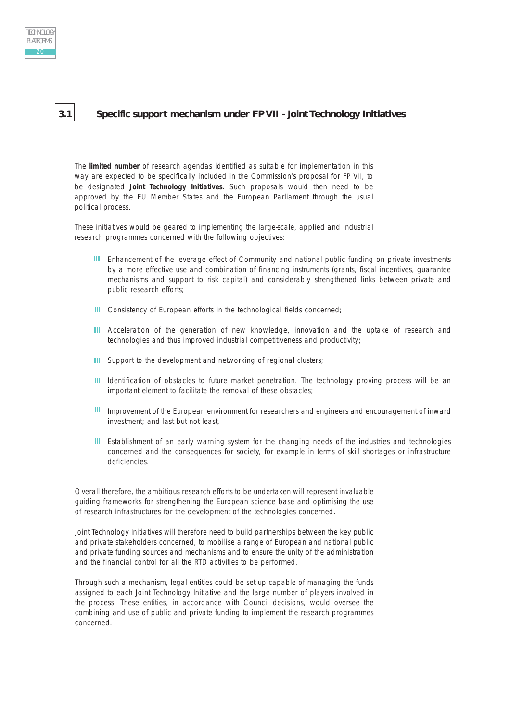

## **3.1 Specific support mechanism under FP VII - Joint Technology Initiatives**

The **limited number** of research agendas identified as suitable for implementation in this way are expected to be specifically included in the Commission's proposal for FP VII, to be designated **Joint Technology Initiatives.** Such proposals would then need to be approved by the EU Member States and the European Parliament through the usual political process.

These initiatives would be geared to implementing the large-scale, applied and industrial research programmes concerned with the following objectives:

- **III** Enhancement of the leverage effect of Community and national public funding on private investments by a more effective use and combination of financing instruments (grants, fiscal incentives, guarantee mechanisms and support to risk capital) and considerably strengthened links between private and public research efforts;
- **III** Consistency of European efforts in the technological fields concerned;
- III Acceleration of the generation of new knowledge, innovation and the uptake of research and technologies and thus improved industrial competitiveness and productivity;
- **III** Support to the development and networking of regional clusters;
- III Identification of obstacles to future market penetration. The technology proving process will be an important element to facilitate the removal of these obstacles;
- III Improvement of the European environment for researchers and engineers and encouragement of inward investment; and last but not least,
- **III** Establishment of an early warning system for the changing needs of the industries and technologies concerned and the consequences for society, for example in terms of skill shortages or infrastructure deficiencies.

Overall therefore, the ambitious research efforts to be undertaken will represent invaluable guiding frameworks for strengthening the European science base and optimising the use of research infrastructures for the development of the technologies concerned.

Joint Technology Initiatives will therefore need to build partnerships between the key public and private stakeholders concerned, to mobilise a range of European and national public and private funding sources and mechanisms and to ensure the unity of the administration and the financial control for all the RTD activities to be performed.

Through such a mechanism, legal entities could be set up capable of managing the funds assigned to each Joint Technology Initiative and the large number of players involved in the process. These entities, in accordance with Council decisions, would oversee the combining and use of public and private funding to implement the research programmes concerned.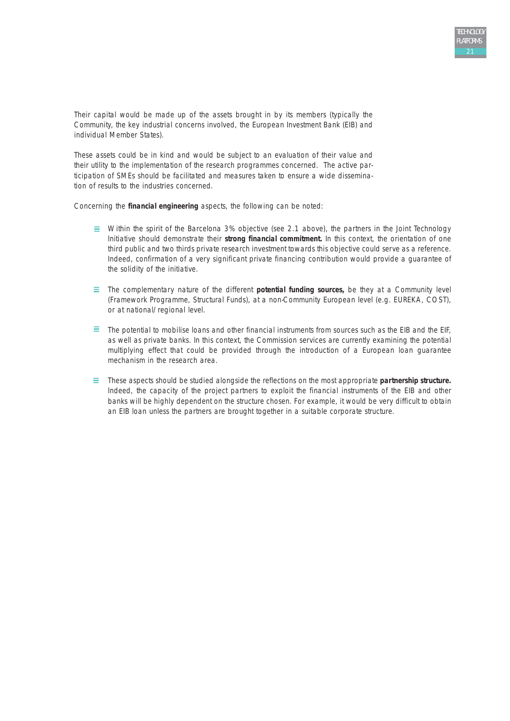Their capital would be made up of the assets brought in by its members (typically the Community, the key industrial concerns involved, the European Investment Bank (EIB) and individual Member States).

These assets could be in kind and would be subject to an evaluation of their value and their utility to the implementation of the research programmes concerned. The active participation of SMEs should be facilitated and measures taken to ensure a wide dissemination of results to the industries concerned.

Concerning the **financial engineering** aspects, the following can be noted:

- $\equiv$  Within the spirit of the Barcelona 3% objective (see 2.1 above), the partners in the Joint Technology Initiative should demonstrate their **strong financial commitment.** In this context, the orientation of one third public and two thirds private research investment towards this objective could serve as a reference. Indeed, confirmation of a very significant private financing contribution would provide a guarantee of the solidity of the initiative.
- $\equiv$  The complementary nature of the different **potential funding sources**, be they at a Community level (Framework Programme, Structural Funds), at a non-Community European level (e.g. EUREKA, COST), or at national/regional level.
- $\equiv$  The potential to mobilise loans and other financial instruments from sources such as the EIB and the EIF, as well as private banks. In this context, the Commission services are currently examining the potential multiplying effect that could be provided through the introduction of a European loan guarantee mechanism in the research area.
- These aspects should be studied alongside the reflections on the most appropriate **partnership structure.** Indeed, the capacity of the project partners to exploit the financial instruments of the EIB and other banks will be highly dependent on the structure chosen. For example, it would be very difficult to obtain an EIB loan unless the partners are brought together in a suitable corporate structure.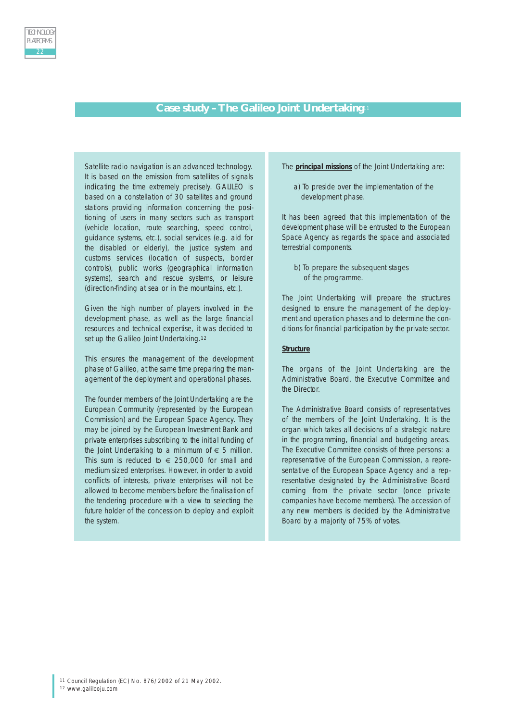#### **Case study – The Galileo Joint Undertaking**<sup>11</sup>

Satellite radio navigation is an advanced technology. It is based on the emission from satellites of signals indicating the time extremely precisely. GALILEO is based on a constellation of 30 satellites and ground stations providing information concerning the positioning of users in many sectors such as transport (vehicle location, route searching, speed control, guidance systems, etc.), social services (e.g. aid for the disabled or elderly), the justice system and customs services (location of suspects, border controls), public works (geographical information systems), search and rescue systems, or leisure (direction-finding at sea or in the mountains, etc.).

Given the high number of players involved in the development phase, as well as the large financial resources and technical expertise, it was decided to set up the Galileo Joint Undertaking.<sup>12</sup>

This ensures the management of the development phase of Galileo, at the same time preparing the management of the deployment and operational phases.

The founder members of the Joint Undertaking are the European Community (represented by the European Commission) and the European Space Agency. They may be joined by the European Investment Bank and private enterprises subscribing to the initial funding of the Joint Undertaking to a minimum of  $\epsilon$  5 million. This sum is reduced to  $\epsilon$  250,000 for small and medium sized enterprises. However, in order to avoid conflicts of interests, private enterprises will not be allowed to become members before the finalisation of the tendering procedure with a view to selecting the future holder of the concession to deploy and exploit the system.

The **principal missions** of the Joint Undertaking are:

a) To preside over the implementation of the development phase.

It has been agreed that this implementation of the development phase will be entrusted to the European Space Agency as regards the space and associated terrestrial components.

b) To prepare the subsequent stages of the programme.

The Joint Undertaking will prepare the structures designed to ensure the management of the deployment and operation phases and to determine the conditions for financial participation by the private sector.

#### **Structure**

The organs of the Joint Undertaking are the Administrative Board, the Executive Committee and the Director.

The Administrative Board consists of representatives of the members of the Joint Undertaking. It is the organ which takes all decisions of a strategic nature in the programming, financial and budgeting areas. The Executive Committee consists of three persons: a representative of the European Commission, a representative of the European Space Agency and a representative designated by the Administrative Board coming from the private sector (once private companies have become members). The accession of any new members is decided by the Administrative Board by a majority of 75% of votes.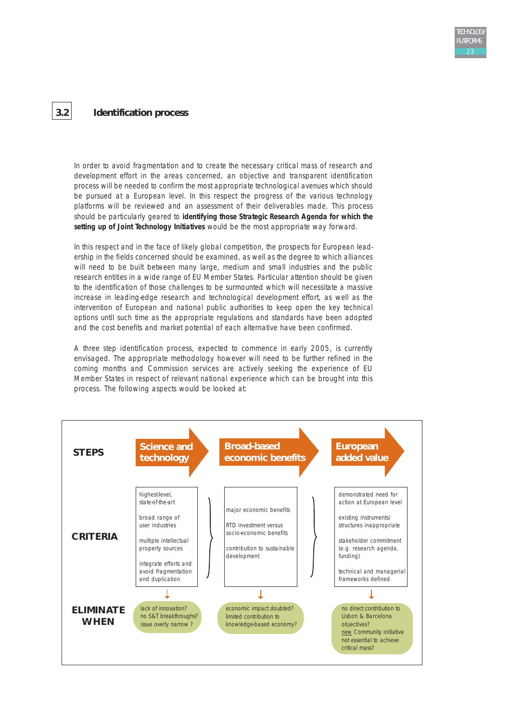## **3.2 Identification process**

In order to avoid fragmentation and to create the necessary critical mass of research and development effort in the areas concerned, an objective and transparent identification process will be needed to confirm the most appropriate technological avenues which should be pursued at a European level. In this respect the progress of the various technology platforms will be reviewed and an assessment of their deliverables made. This process should be particularly geared to **identifying those Strategic Research Agenda for which the setting up of Joint Technology Initiatives** would be the most appropriate way forward.

In this respect and in the face of likely global competition, the prospects for European leadership in the fields concerned should be examined, as well as the degree to which alliances will need to be built between many large, medium and small industries and the public research entities in a wide range of EU Member States. Particular attention should be given to the identification of those challenges to be surmounted which will necessitate a massive increase in leading-edge research and technological development effort, as well as the intervention of European and national public authorities to keep open the key technical options until such time as the appropriate regulations and standards have been adopted and the cost benefits and market potential of each alternative have been confirmed.

A three step identification process, expected to commence in early 2005, is currently envisaged. The appropriate methodology however will need to be further refined in the coming months and Commission services are actively seeking the experience of EU Member States in respect of relevant national experience which can be brought into this process. The following aspects would be looked at:

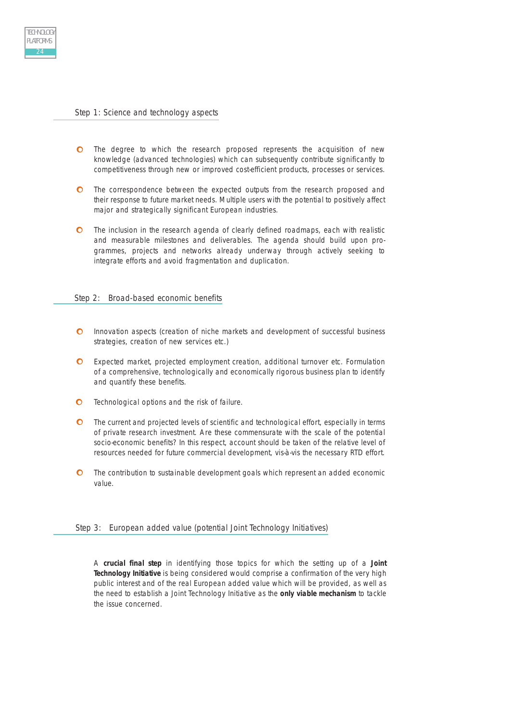#### Step 1: Science and technology aspects

TECHNOLOGY PLATFORMS

- The degree to which the research proposed represents the acquisition of new knowledge (advanced technologies) which can subsequently contribute significantly to competitiveness through new or improved cost-efficient products, processes or services.
- $\bullet$ The correspondence between the expected outputs from the research proposed and their response to future market needs. Multiple users with the potential to positively affect major and strategically significant European industries.
- $\bullet$ The inclusion in the research agenda of clearly defined roadmaps, each with realistic and measurable milestones and deliverables. The agenda should build upon programmes, projects and networks already underway through actively seeking to integrate efforts and avoid fragmentation and duplication.

#### Step 2: Broad-based economic benefits

- $\bullet$ Innovation aspects (creation of niche markets and development of successful business strategies, creation of new services etc.)
- Expected market, projected employment creation, additional turnover etc. Formulation of a comprehensive, technologically and economically rigorous business plan to identify and quantify these benefits.
- $\Omega$ Technological options and the risk of failure.
- $\bullet$ The current and projected levels of scientific and technological effort, especially in terms of private research investment. Are these commensurate with the scale of the potential socio-economic benefits? In this respect, account should be taken of the relative level of resources needed for future commercial development, vis-à-vis the necessary RTD effort.
- $\bullet$ The contribution to sustainable development goals which represent an added economic value.

#### Step 3: European added value (potential Joint Technology Initiatives)

A **crucial final step** in identifying those topics for which the setting up of a **Joint Technology Initiative** is being considered would comprise a confirmation of the very high public interest and of the real European added value which will be provided, as well as the need to establish a Joint Technology Initiative as the **only viable mechanism** to tackle the issue concerned.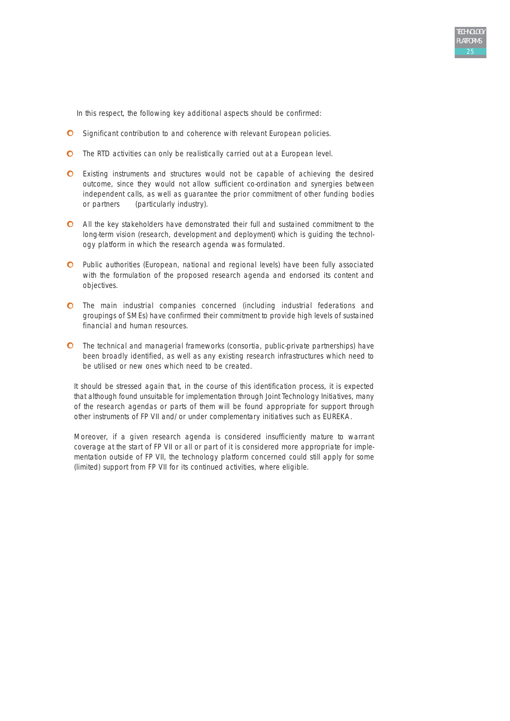In this respect, the following key additional aspects should be confirmed:

- O Significant contribution to and coherence with relevant European policies.
- The RTD activities can only be realistically carried out at a European level.
- Existing instruments and structures would not be capable of achieving the desired outcome, since they would not allow sufficient co-ordination and synergies between independent calls, as well as guarantee the prior commitment of other funding bodies or partners (particularly industry).
- All the key stakeholders have demonstrated their full and sustained commitment to the long-term vision (research, development and deployment) which is guiding the technology platform in which the research agenda was formulated.
- Public authorities (European, national and regional levels) have been fully associated with the formulation of the proposed research agenda and endorsed its content and objectives.
- The main industrial companies concerned (including industrial federations and groupings of SMEs) have confirmed their commitment to provide high levels of sustained financial and human resources.
- The technical and managerial frameworks (consortia, public-private partnerships) have been broadly identified, as well as any existing research infrastructures which need to be utilised or new ones which need to be created.

It should be stressed again that, in the course of this identification process, it is expected that although found unsuitable for implementation through Joint Technology Initiatives, many of the research agendas or parts of them will be found appropriate for support through other instruments of FP VII and/or under complementary initiatives such as EUREKA.

Moreover, if a given research agenda is considered insufficiently mature to warrant coverage at the start of FP VII or all or part of it is considered more appropriate for implementation outside of FP VII, the technology platform concerned could still apply for some (limited) support from FP VII for its continued activities, where eligible.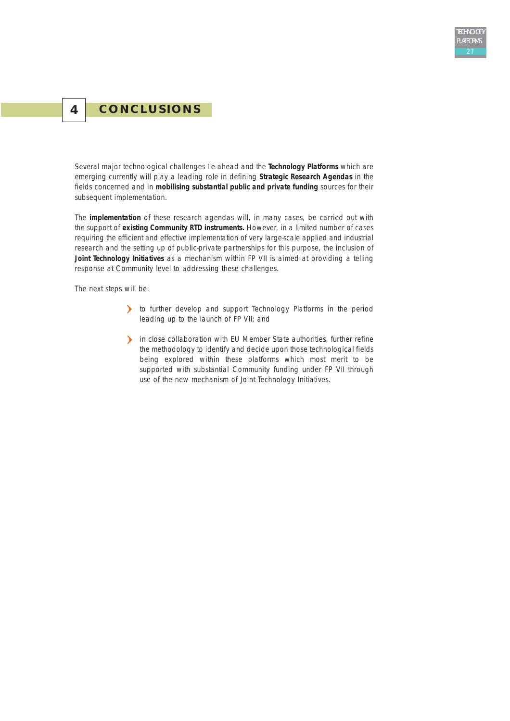## **4 CONCLUSIONS**

Several major technological challenges lie ahead and the **Technology Platforms** which are emerging currently will play a leading role in defining **Strategic Research Agendas** in the fields concerned and in **mobilising substantial public and private funding** sources for their subsequent implementation.

The **implementation** of these research agendas will, in many cases, be carried out with the support of **existing Community RTD instruments.** However, in a limited number of cases requiring the efficient and effective implementation of very large-scale applied and industrial research and the setting up of public-private partnerships for this purpose, the inclusion of **Joint Technology Initiatives** as a mechanism within FP VII is aimed at providing a telling response at Community level to addressing these challenges.

The next steps will be:

- to further develop and support Technology Platforms in the period leading up to the launch of FP VII; and
- in close collaboration with EU Member State authorities, further refine the methodology to identify and decide upon those technological fields being explored within these platforms which most merit to be supported with substantial Community funding under FP VII through use of the new mechanism of Joint Technology Initiatives.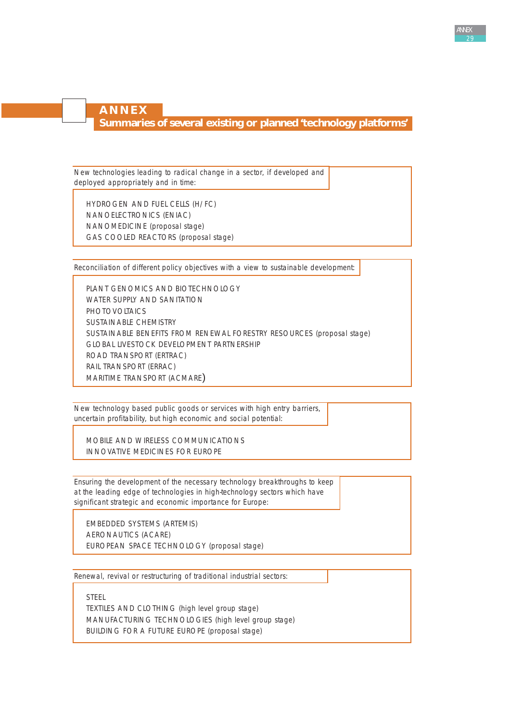## **ANNEX**

**Summaries of several existing or planned 'technology platforms'**

New technologies leading to radical change in a sector, if developed and deployed appropriately and in time:

HYDROGEN AND FUEL CELLS (H/FC) NANOELECTRONICS (ENIAC) NANOMEDICINE (proposal stage) GAS COOLED REACTORS (proposal stage)

Reconciliation of different policy objectives with a view to sustainable development:

PLANT GENOMICS AND BIOTECHNOLOGY WATER SUPPLY AND SANITATION **PHOTOVOLTAICS** SUSTAINABLE CHEMISTRY SUSTAINABLE BENEFITS FROM RENEWAL FORESTRY RESOURCES (proposal stage) GLOBAL LIVESTOCK DEVELOPMENT PARTNERSHIP ROAD TRANSPORT (ERTRAC) RAIL TRANSPORT (ERRAC) MARITIME TRANSPORT (ACMARE)

New technology based public goods or services with high entry barriers, uncertain profitability, but high economic and social potential:

MOBILE AND WIRELESS COMMUNICATIONS INNOVATIVE MEDICINES FOR EUROPE

Ensuring the development of the necessary technology breakthroughs to keep at the leading edge of technologies in high-technology sectors which have significant strategic and economic importance for Europe:

EMBEDDED SYSTEMS (ARTEMIS) AERONAUTICS (ACARE) EUROPEAN SPACE TECHNOLOGY (proposal stage)

Renewal, revival or restructuring of traditional industrial sectors:

STEEL

TEXTILES AND CLOTHING (high level group stage) MANUFACTURING TECHNOLOGIES (high level group stage) BUILDING FOR A FUTURE EUROPE (proposal stage)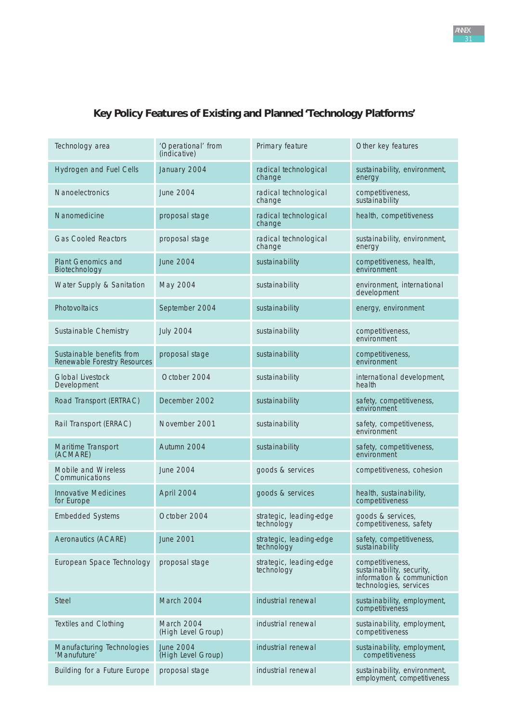# **Key Policy Features of Existing and Planned 'Technology Platforms'**

| Technology area                                           | 'Operational' from<br>(indicative)     | Primary feature                       | Other key features                                                                                    |
|-----------------------------------------------------------|----------------------------------------|---------------------------------------|-------------------------------------------------------------------------------------------------------|
| <b>Hydrogen and Fuel Cells</b>                            | January 2004                           | radical technological<br>change       | sustainability, environment,<br>energy                                                                |
| Nanoelectronics                                           | <b>June 2004</b>                       | radical technological<br>change       | competitiveness,<br>sustainability                                                                    |
| Nanomedicine                                              | proposal stage                         | radical technological<br>change       | health, competitiveness                                                                               |
| <b>Gas Cooled Reactors</b>                                | proposal stage                         | radical technological<br>change       | sustainability, environment,<br>energy                                                                |
| <b>Plant Genomics and</b><br>Biotechnology                | <b>June 2004</b>                       | sustainability                        | competitiveness, health,<br>environment                                                               |
| Water Supply & Sanitation                                 | May 2004                               | sustainability                        | environment, international<br>development                                                             |
| Photovoltaics                                             | September 2004                         | sustainability                        | energy, environment                                                                                   |
| Sustainable Chemistry                                     | <b>July 2004</b>                       | sustainability                        | competitiveness,<br>environment                                                                       |
| Sustainable benefits from<br>Renewable Forestry Resources | proposal stage                         | sustainability                        | competitiveness,<br>environment                                                                       |
| <b>Global Livestock</b><br>Development                    | October 2004                           | sustainability                        | international development,<br>health                                                                  |
| Road Transport (ERTRAC)                                   | December 2002                          | sustainability                        | safety, competitiveness,<br>environment                                                               |
| Rail Transport (ERRAC)                                    | November 2001                          | sustainability                        | safety, competitiveness,<br>environment                                                               |
| Maritime Transport<br>(ACMARE)                            | Autumn 2004                            | sustainability                        | safety, competitiveness,<br>environment                                                               |
| Mobile and Wireless<br>Communications                     | June 2004                              | goods & services                      | competitiveness, cohesion                                                                             |
| <b>Innovative Medicines</b><br>for Europe                 | April 2004                             | goods & services                      | health, sustainability,<br>competitiveness                                                            |
| <b>Embedded Systems</b>                                   | October 2004                           | strategic, leading-edge<br>technology | goods & services.<br>competitiveness, safety                                                          |
| Aeronautics (ACARE)                                       | <b>June 2001</b>                       | strategic, leading-edge<br>technology | safety, competitiveness,<br>sustainability                                                            |
| European Space Technology                                 | proposal stage                         | strategic, leading-edge<br>technology | competitiveness,<br>sustainability, security,<br>information & communiction<br>technologies, services |
| <b>Steel</b>                                              | March 2004                             | industrial renewal                    | sustainability, employment,<br>competitiveness                                                        |
| Textiles and Clothing                                     | March 2004<br>(High Level Group)       | industrial renewal                    | sustainability, employment,<br>competitiveness                                                        |
| Manufacturing Technologies<br>'Manufuture'                | <b>June 2004</b><br>(High Level Group) | industrial renewal                    | sustainability, employment,<br>competitiveness                                                        |
| Building for a Future Europe                              | proposal stage                         | industrial renewal                    | sustainability, environment,<br>employment, competitiveness                                           |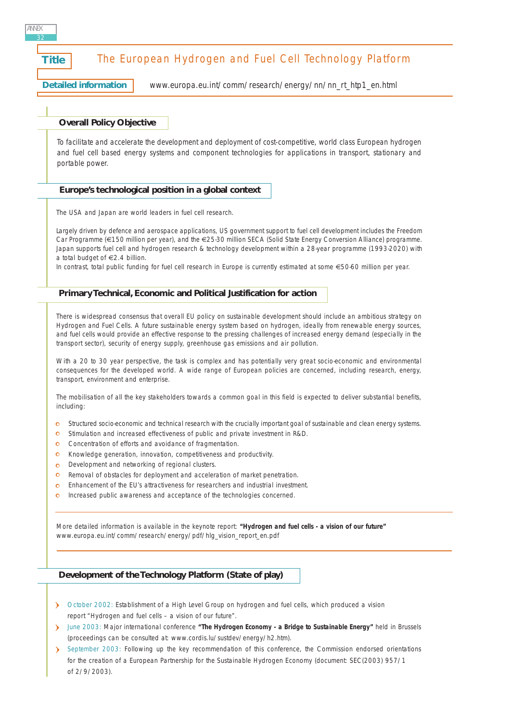# **Title** The European Hydrogen and Fuel Cell Technology Platform **Detailed information** [www.europa.eu.int/comm/research/energy/nn/nn\\_rt\\_htp1\\_en.html](http://www.europa.eu.int/comm/research/energy/nn/nn_rt_htp1_en.html) **Overall Policy Objective Europe's technological position in a global context Primary Technical, Economic and Political Justification for action** *To facilitate and accelerate the development and deployment of cost-competitive, world class European hydrogen and fuel cell based energy systems and component technologies for applications in transport, stationary and portable power.* The USA and Japan are world leaders in fuel cell research. Largely driven by defence and aerospace applications, US government support to fuel cell development includes the Freedom Car Programme (€150 million per year), and the €25-30 million SECA (Solid State Energy Conversion Alliance) programme. Japan supports fuel cell and hydrogen research & technology development within a 28-year programme (1993-2020) with a total budget of €2.4 billion. In contrast, total public funding for fuel cell research in Europe is currently estimated at some €50-60 million per year. There is widespread consensus that overall EU policy on sustainable development should include an ambitious strategy on Hydrogen and Fuel Cells. A future sustainable energy system based on hydrogen, ideally from renewable energy sources, and fuel cells would provide an effective response to the pressing challenges of increased energy demand (especially in the transport sector), security of energy supply, greenhouse gas emissions and air pollution. With a 20 to 30 year perspective, the task is complex and has potentially very great socio-economic and environmental consequences for the developed world. A wide range of European policies are concerned, including research, energy, transport, environment and enterprise. The mobilisation of all the key stakeholders towards a common goal in this field is expected to deliver substantial benefits, NN<sub>F</sub> 32

- o Structured socio-economic and technical research with the crucially important goal of sustainable and clean energy systems.
- **O** Stimulation and increased effectiveness of public and private investment in R&D.
- **C** Concentration of efforts and avoidance of fragmentation.
- Knowledge generation, innovation, competitiveness and productivity.  $\bullet$
- Development and networking of regional clusters.  $\circ$

including:

- Removal of obstacles for deployment and acceleration of market penetration.  $\bullet$
- Enhancement of the EU's attractiveness for researchers and industrial investment.  $\circ$
- $\Omega$ Increased public awareness and acceptance of the technologies concerned.

More detailed information is available in the keynote report: **"Hydrogen and fuel cells - a vision of our future"** [www.europa.eu.int/comm/research/energy/pdf/hlg\\_vision\\_report\\_en.pdf](http://www.europa.eu.int/comm/research/energy/pdf/hlg_vision_report_en.pdf)

#### **Development of the Technology Platform (State of play)**

- October 2002: Establishment of a High Level Group on hydrogen and fuel cells, which produced a vision report "Hydrogen and fuel cells – a vision of our future".
- June 2003: Major international conference **"The Hydrogen Economy a Bridge to Sustainable Energy"** held in Brussels (proceedings can be consulted at: [www.cordis.lu/sustdev/energy/h2.htm\)](http://www.cordis.lu/sustdev/energy/h2.htm).
- September 2003: Following up the key recommendation of this conference, the Commission endorsed orientations for the creation of a European Partnership for the Sustainable Hydrogen Economy (document: SEC(2003) 957/1 of 2/9/2003).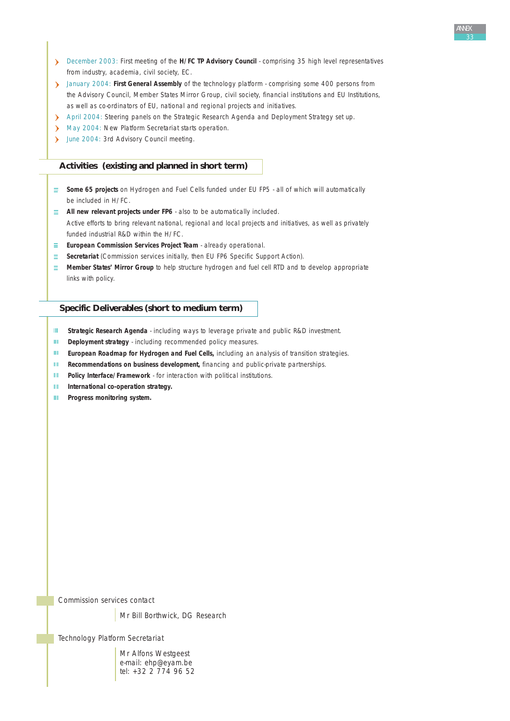- December 2003: First meeting of the **H/FC TP Advisory Council** comprising 35 high level representatives from industry, academia, civil society, EC.
- January 2004: **First General Assembly** of the technology platform comprising some 400 persons from the Advisory Council, Member States Mirror Group, civil society, financial institutions and EU Institutions, as well as co-ordinators of EU, national and regional projects and initiatives.
- April 2004: Steering panels on the Strategic Research Agenda and Deployment Strategy set up.
- May 2004: New Platform Secretariat starts operation.
- June 2004: 3rd Advisory Council meeting.

#### **Activities (existing and planned in short term)**

- **Some 65 projects** on Hydrogen and Fuel Cells funded under EU FP5 all of which will automatically be included in H/FC.
- **All new relevant projects under FP6** also to be automatically included. Active efforts to bring relevant national, regional and local projects and initiatives, as well as privately funded industrial R&D within the H/FC.
- **European Commission Services Project Team** already operational.
- **Secretariat** (Commission services initially, then EU FP6 Specific Support Action).
- **Member States' Mirror Group** to help structure hydrogen and fuel cell RTD and to develop appropriate links with policy.

#### **Specific Deliverables (short to medium term)**

- $\mathbf{H}$ **Strategic Research Agenda** - including ways to leverage private and public R&D investment.
- $\mathbf{H}^{\text{int}}$ **Deployment strategy** - including recommended policy measures.
- $\mathbf{H}^{\mathrm{int}}$ **European Roadmap for Hydrogen and Fuel Cells,** including an analysis of transition strategies.
- **Recommendations on business development,** financing and public-private partnerships.  $\mathbf{H}^{\mathbf{r}}$  .
- **Policy Interface/Framework** for interaction with political institutions.  $\rm H\,m$
- HL. **International co-operation strategy.**
- m. **Progress monitoring system.**

*Commission services contact*

Mr Bill Borthwick, DG Research

*Technology Platform Secretariat*

Mr Alfons Westgeest e-mail: ehp@eyam.be tel: +32 2 774 96 52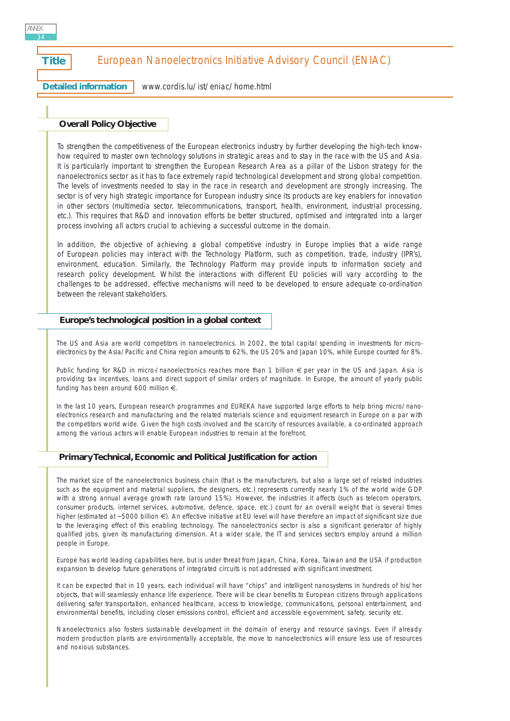## **Title** | European Nanoelectronics Initiative Advisory Council (ENIAC)

**Detailed information**

ANNEX 34

[www.cordis.lu/ist/eniac/home.html](http://www.cordis.lu/ist/eniac/home.html)

#### **Overall Policy Objective**

*To strengthen the competitiveness of the European electronics industry by further developing the high-tech knowhow required to master own technology solutions in strategic areas and to stay in the race with the US and Asia. It is particularly important to strengthen the European Research Area as a pillar of the Lisbon strategy for the nanoelectronics sector as it has to face extremely rapid technological development and strong global competition. The levels of investments needed to stay in the race in research and development are strongly increasing. The sector is of very high strategic importance for European industry since its products are key enablers for innovation in other sectors (multimedia sector, telecommunications, transport, health, environment, industrial processing, etc.). This requires that R&D and innovation efforts be better structured, optimised and integrated into a larger process involving all actors crucial to achieving a successful outcome in the domain.*

*In addition, the objective of achieving a global competitive industry in Europe implies that a wide range of European policies may interact with the Technology Platform, such as competition, trade, industry (IPR's), environment, education. Similarly, the Technology Platform may provide inputs to information society and research policy development. Whilst the interactions with different EU policies will vary according to the challenges to be addressed, effective mechanisms will need to be developed to ensure adequate co-ordination between the relevant stakeholders.*

#### **Europe's technological position in a global context**

The US and Asia are world competitors in nanoelectronics. In 2002, the total capital spending in investments for microelectronics by the Asia/Pacific and China region amounts to 62%, the US 20% and Japan 10%, while Europe counted for 8%.

Public funding for R&D in micro-/nanoelectronics reaches more than 1 billion € per year in the US and Japan. Asia is providing tax incentives, loans and direct support of similar orders of magnitude. In Europe, the amount of yearly public funding has been around 600 million €.

In the last 10 years, European research programmes and EUREKA have supported large efforts to help bring micro/nanoelectronics research and manufacturing and the related materials science and equipment research in Europe on a par with the competitors world wide. Given the high costs involved and the scarcity of resources available, a co-ordinated approach among the various actors will enable European industries to remain at the forefront.

#### **Primary Technical, Economic and Political Justification for action**

The market size of the nanoelectronics business chain (that is the manufacturers, but also a large set of related industries such as the equipment and material suppliers, the designers, etc.) represents currently nearly 1% of the world wide GDP with a strong annual average growth rate (around 15%). However, the industries it affects (such as telecom operators, consumer products, internet services, automotive, defence, space, etc.) count for an overall weight that is several times higher (estimated at ~5000 billion €). An effective initiative at EU level will have therefore an impact of significant size due to the leveraging effect of this enabling technology. The nanoelectronics sector is also a significant generator of highly qualified jobs, given its manufacturing dimension. At a wider scale, the IT and services sectors employ around a million people in Europe.

Europe has world leading capabilities here, but is under threat from Japan, China, Korea, Taiwan and the USA if production expansion to develop future generations of integrated circuits is not addressed with significant investment.

It can be expected that in 10 years, each individual will have "chips" and intelligent nanosystems in hundreds of his/her objects, that will seamlessly enhance life experience. There will be clear benefits to European citizens through applications delivering safer transportation, enhanced healthcare, access to knowledge, communications, personal entertainment, and environmental benefits, including closer emissions control, efficient and accessible e-government, safety, security etc.

Nanoelectronics also fosters sustainable development in the domain of energy and resource savings. Even if already modern production plants are environmentally acceptable, the move to nanoelectronics will ensure less use of resources and noxious substances.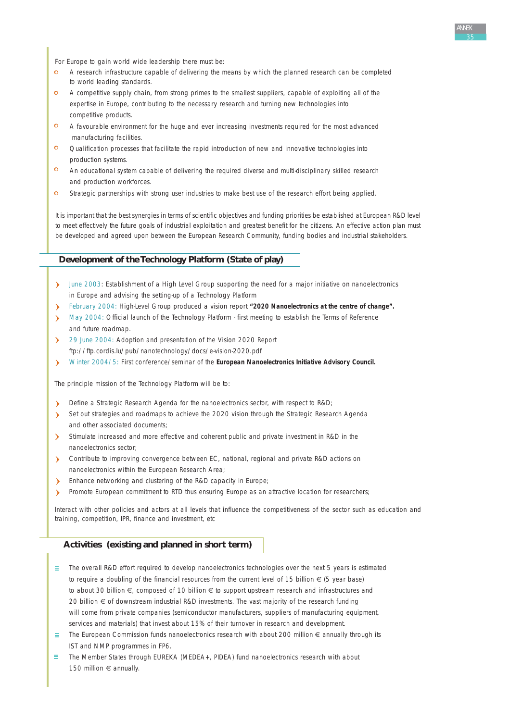For Europe to gain world wide leadership there must be:

- A research infrastructure capable of delivering the means by which the planned research can be completed to world leading standards.
- A competitive supply chain, from strong primes to the smallest suppliers, capable of exploiting all of the expertise in Europe, contributing to the necessary research and turning new technologies into competitive products.
- $\bullet$ A favourable environment for the huge and ever increasing investments required for the most advanced manufacturing facilities.
- $\mathbf{O}$ Qualification processes that facilitate the rapid introduction of new and innovative technologies into production systems.
- $\circ$ An educational system capable of delivering the required diverse and multi-disciplinary skilled research and production workforces.
- $\mathbf{o}$ Strategic partnerships with strong user industries to make best use of the research effort being applied.

It is important that the best synergies in terms of scientific objectives and funding priorities be established at European R&D level to meet effectively the future goals of industrial exploitation and greatest benefit for the citizens. An effective action plan must be developed and agreed upon between the European Research Community, funding bodies and industrial stakeholders.

#### **Development of the Technology Platform (State of play)**

- > June 2003: Establishment of a High Level Group supporting the need for a major initiative on nanoelectronics in Europe and advising the setting-up of a Technology Platform
- February 2004: High-Level Group produced a vision report **"2020 Nanoelectronics at the centre of change".**
- May 2004: Official launch of the Technology Platform first meeting to establish the Terms of Reference and future roadmap.
- 29 June 2004: Adoption and presentation of the Vision 2020 Report [ftp://ftp.cordis.lu/pub/nanotechnology/docs/e-vision-2020.pdf](http://ftp.cordis.lu/pub/nanotechnology/docs/e-vision-2020.pdf)
- Winter 2004/5: First conference/seminar of the **European Nanoelectronics Initiative Advisory Council.**

The principle mission of the Technology Platform will be to:

- Define a Strategic Research Agenda for the nanoelectronics sector, with respect to R&D;
- Set out strategies and roadmaps to achieve the 2020 vision through the Strategic Research Agenda and other associated documents;
- Stimulate increased and more effective and coherent public and private investment in R&D in the nanoelectronics sector;
- Contribute to improving convergence between EC, national, regional and private R&D actions on nanoelectronics within the European Research Area;
- **Enhance networking and clustering of the R&D capacity in Europe;**
- Promote European commitment to RTD thus ensuring Europe as an attractive location for researchers;

Interact with other policies and actors at all levels that influence the competitiveness of the sector such as education and training, competition, IPR, finance and investment, etc

#### **Activities (existing and planned in short term)**

- $\equiv$  The overall R&D effort required to develop nanoelectronics technologies over the next 5 years is estimated to require a doubling of the financial resources from the current level of 15 billion  $\epsilon$  (5 year base) to about 30 billion €, composed of 10 billion € to support upstream research and infrastructures and 20 billion € of downstream industrial R&D investments. The vast majority of the research funding will come from private companies (semiconductor manufacturers, suppliers of manufacturing equipment, services and materials) that invest about 15% of their turnover in research and development.
- $\equiv$  The European Commission funds nanoelectronics research with about 200 million  $\epsilon$  annually through its IST and NMP programmes in FP6.
- $\equiv$  The Member States through EUREKA (MEDEA+, PIDEA) fund nanoelectronics research with about 150 million € annually.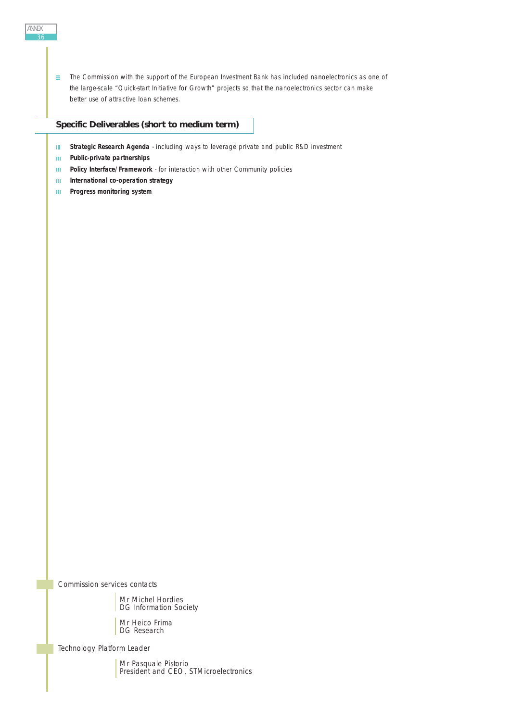$\equiv$  The Commission with the support of the European Investment Bank has included nanoelectronics as one of the large-scale "Quick-start Initiative for Growth" projects so that the nanoelectronics sector can make better use of attractive loan schemes.

- $\mathbf{H}$ **Strategic Research Agenda** - including ways to leverage private and public R&D investment
- **Public-private partnerships**  $\mathbf{H}$
- **Policy Interface/Framework** for interaction with other Community policies  $\rm III$
- **International co-operation strategy** Ш
- $\mathbf{m}$ **Progress monitoring system**

*Commission services contacts*

Mr Michel Hordies DG Information Society

Mr Heico Frima DG Research

*Technology Platform Leader*

Mr Pasquale Pistorio President and CEO, STMicroelectronics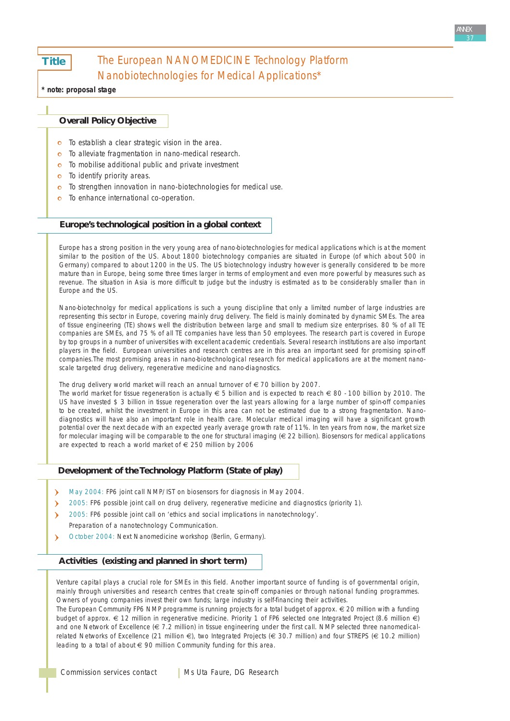**Title** 

# The European NANOMEDICINE Technology Platform Nanobiotechnologies for Medical Applications\*

**\* note: proposal stage**

## **Overall Policy Objective**

- $\Omega$ *To establish a clear strategic vision in the area.*
- *To alleviate fragmentation in nano-medical research.*  $\bullet$
- *To mobilise additional public and private investment*  $\bullet$
- *To identify priority areas.*  $\circ$
- *To strengthen innovation in nano-biotechnologies for medical use.*
- $\Omega$ *To enhance international co-operation.*

# **Europe's technological position in a global context**

Europe has a strong position in the very young area of nano-biotechnologies for medical applications which is at the moment similar to the position of the US. About 1800 biotechnology companies are situated in Europe (of which about 500 in Germany) compared to about 1200 in the US. The US biotechnology industry however is generally considered to be more mature than in Europe, being some three times larger in terms of employment and even more powerful by measures such as revenue. The situation in Asia is more difficult to judge but the industry is estimated as to be considerably smaller than in Europe and the US.

Nano-biotechnolgy for medical applications is such a young discipline that only a limited number of large industries are representing this sector in Europe, covering mainly drug delivery. The field is mainly dominated by dynamic SMEs. The area of tissue engineering (TE) shows well the distribution between large and small to medium size enterprises. 80 % of all TE companies are SMEs, and 75 % of all TE companies have less than 50 employees. The research part is covered in Europe by top groups in a number of universities with excellent academic credentials. Several research institutions are also important players in the field. European universities and research centres are in this area an important seed for promising spin-off companies.The most promising areas in nano-biotechnological research for medical applications are at the moment nanoscale targeted drug delivery, regenerative medicine and nano-diagnostics.

The drug delivery world market will reach an annual turnover of  $\epsilon$  70 billion by 2007.

The world market for tissue regeneration is actually  $\epsilon$  5 billion and is expected to reach  $\epsilon$  80 - 100 billion by 2010. The US have invested \$ 3 billion in tissue regeneration over the last years allowing for a large number of spin-off companies to be created, whilst the investment in Europe in this area can not be estimated due to a strong fragmentation. Nanodiagnostics will have also an important role in health care. Molecular medical imaging will have a significant growth potential over the next decade with an expected yearly average growth rate of 11%. In ten years from now, the market size for molecular imaging will be comparable to the one for structural imaging (€ 22 billion). Biosensors for medical applications are expected to reach a world market of € 250 million by 2006

# **Development of the Technology Platform (State of play)**

- $\lambda$ May 2004: FP6 joint call NMP/IST on biosensors for diagnosis in May 2004.
- 2005: FP6 possible joint call on drug delivery, regenerative medicine and diagnostics (priority 1). Y
- $\mathbf{\hat{z}}$ 2005: FP6 possible joint call on 'ethics and social implications in nanotechnology'.
- Preparation of a nanotechnology Communication.
- October 2004: Next Nanomedicine workshop (Berlin, Germany).

# **Activities (existing and planned in short term)**

Venture capital plays a crucial role for SMEs in this field. Another important source of funding is of governmental origin, mainly through universities and research centres that create spin-off companies or through national funding programmes. Owners of young companies invest their own funds; large industry is self-financing their activities.

The European Community FP6 NMP programme is running projects for a total budget of approx. € 20 million with a funding budget of approx. € 12 million in regenerative medicine. Priority 1 of FP6 selected one Integrated Project (8.6 million €) and one Network of Excellence ( $\in$  7.2 million) in tissue engineering under the first call. NMP selected three nanomedicalrelated Networks of Excellence (21 million €), two Integrated Projects (€ 30.7 million) and four STREPS (€ 10.2 million) leading to a total of about € 90 million Community funding for this area.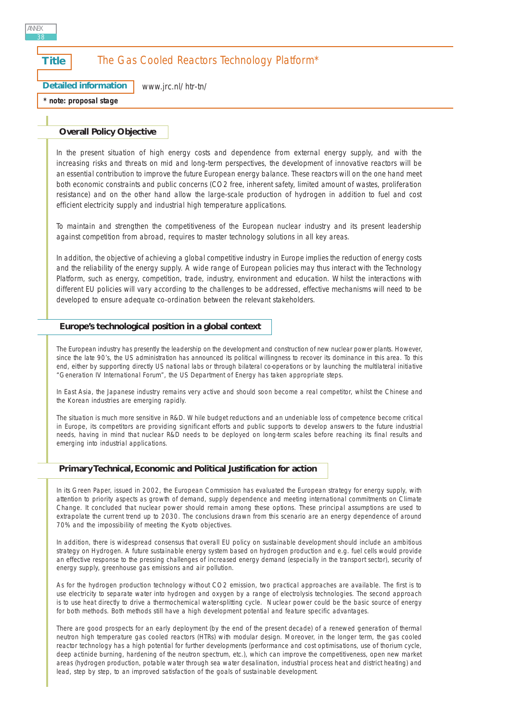# **Title** The Gas Cooled Reactors Technology Platform\*

**Detailed information** [www.jrc.nl/htr-tn/](http://www.jrc.nl/htr-tn/)

**\* note: proposal stage**

#### **Overall Policy Objective**

*In the present situation of high energy costs and dependence from external energy supply, and with the increasing risks and threats on mid and long-term perspectives, the development of innovative reactors will be an essential contribution to improve the future European energy balance. These reactors will on the one hand meet both economic constraints and public concerns (CO2 free, inherent safety, limited amount of wastes, proliferation resistance) and on the other hand allow the large-scale production of hydrogen in addition to fuel and cost efficient electricity supply and industrial high temperature applications.* 

*To maintain and strengthen the competitiveness of the European nuclear industry and its present leadership against competition from abroad, requires to master technology solutions in all key areas.*

*In addition, the objective of achieving a global competitive industry in Europe implies the reduction of energy costs and the reliability of the energy supply. A wide range of European policies may thus interact with the Technology Platform, such as energy, competition, trade, industry, environment and education. Whilst the interactions with different EU policies will vary according to the challenges to be addressed, effective mechanisms will need to be developed to ensure adequate co-ordination between the relevant stakeholders.*

#### **Europe's technological position in a global context**

The European industry has presently the leadership on the development and construction of new nuclear power plants. However, since the late 90's, the US administration has announced its political willingness to recover its dominance in this area. To this end, either by supporting directly US national labs or through bilateral co-operations or by launching the multilateral initiative "Generation IV International Forum", the US Department of Energy has taken appropriate steps.

In East Asia, the Japanese industry remains very active and should soon become a real competitor, whilst the Chinese and the Korean industries are emerging rapidly.

The situation is much more sensitive in R&D. While budget reductions and an undeniable loss of competence become critical in Europe, its competitors are providing significant efforts and public supports to develop answers to the future industrial needs, having in mind that nuclear R&D needs to be deployed on long-term scales before reaching its final results and emerging into industrial applications.

#### **Primary Technical, Economic and Political Justification for action**

In its Green Paper, issued in 2002, the European Commission has evaluated the European strategy for energy supply, with attention to priority aspects as growth of demand, supply dependence and meeting international commitments on Climate Change. It concluded that nuclear power should remain among these options. These principal assumptions are used to extrapolate the current trend up to 2030. The conclusions drawn from this scenario are an energy dependence of around 70% and the impossibility of meeting the Kyoto objectives.

In addition, there is widespread consensus that overall EU policy on sustainable development should include an ambitious strategy on Hydrogen. A future sustainable energy system based on hydrogen production and e.g. fuel cells would provide an effective response to the pressing challenges of increased energy demand (especially in the transport sector), security of energy supply, greenhouse gas emissions and air pollution.

As for the hydrogen production technology without CO2 emission, two practical approaches are available. The first is to use electricity to separate water into hydrogen and oxygen by a range of electrolysis technologies. The second approach is to use heat directly to drive a thermochemical water-splitting cycle. Nuclear power could be the basic source of energy for both methods. Both methods still have a high development potential and feature specific advantages.

There are good prospects for an early deployment (by the end of the present decade) of a renewed generation of thermal neutron high temperature gas cooled reactors (HTRs) with modular design. Moreover, in the longer term, the gas cooled reactor technology has a high potential for further developments (performance and cost optimisations, use of thorium cycle, deep actinide burning, hardening of the neutron spectrum, etc.), which can improve the competitiveness, open new market areas (hydrogen production, potable water through sea water desalination, industrial process heat and district heating) and lead, step by step, to an improved satisfaction of the goals of sustainable development.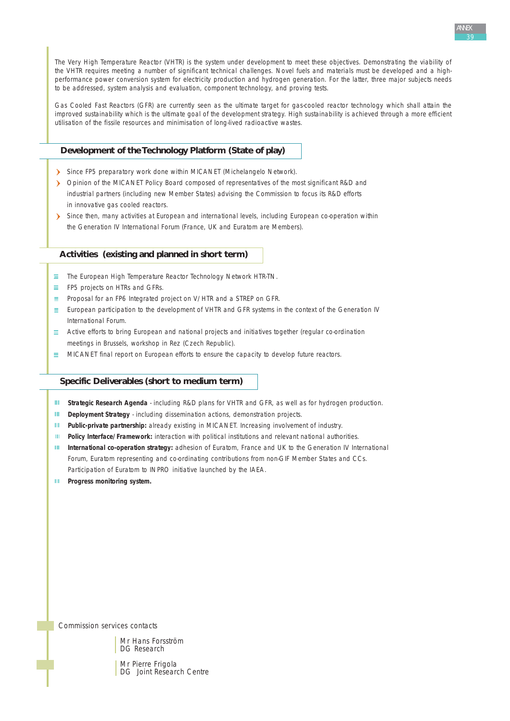

The Very High Temperature Reactor (VHTR) is the system under development to meet these objectives. Demonstrating the viability of the VHTR requires meeting a number of significant technical challenges. Novel fuels and materials must be developed and a highperformance power conversion system for electricity production and hydrogen generation. For the latter, three major subjects needs to be addressed, system analysis and evaluation, component technology, and proving tests.

Gas Cooled Fast Reactors (GFR) are currently seen as the ultimate target for gas-cooled reactor technology which shall attain the improved sustainability which is the ultimate goal of the development strategy. High sustainability is achieved through a more efficient utilisation of the fissile resources and minimisation of long-lived radioactive wastes.

# **Development of the Technology Platform (State of play)**

- Since FP5 preparatory work done within MICANET (Michelangelo Network).
- Opinion of the MICANET Policy Board composed of representatives of the most significant R&D and industrial partners (including new Member States) advising the Commission to focus its R&D efforts in innovative gas cooled reactors.
- Since then, many activities at European and international levels, including European co-operation within the Generation IV International Forum (France, UK and Euratom are Members).

#### **Activities (existing and planned in short term)**

- $\equiv$  The European High Temperature Reactor Technology Network HTR-TN.
- $\equiv$  FP5 projects on HTRs and GFRs.
- $\equiv$  Proposal for an FP6 Integrated project on V/HTR and a STREP on GFR.
- $\equiv$  European participation to the development of VHTR and GFR systems in the context of the Generation IV International Forum.
- $\equiv$  Active efforts to bring European and national projects and initiatives together (regular co-ordination meetings in Brussels, workshop in Rez (Czech Republic).
- $\equiv$  MICANET final report on European efforts to ensure the capacity to develop future reactors.

#### **Specific Deliverables (short to medium term)**

- III. **Strategic Research Agenda** - including R&D plans for VHTR and GFR, as well as for hydrogen production.
- $\mathbf{H}^{\mathrm{eff}}$ **Deployment Strategy** - including dissemination actions, demonstration projects.
- $\mathbf{H}^{\mathrm{eff}}$ Public-private partnership: already existing in MICANET. Increasing involvement of industry.
- $\mathbf{H}^{\pm}$ **Policy Interface/Framework:** interaction with political institutions and relevant national authorities.
- $\mathbf{H}$ **International co-operation strategy:** adhesion of Euratom, France and UK to the Generation IV International Forum, Euratom representing and co-ordinating contributions from non-GIF Member States and CCs. Participation of Euratom to INPRO initiative launched by the IAEA.
- **III** Progress monitoring system.

*Commission services contacts*

Mr Hans Forsström DG Research

Mr Pierre Frigola DG Joint Research Centre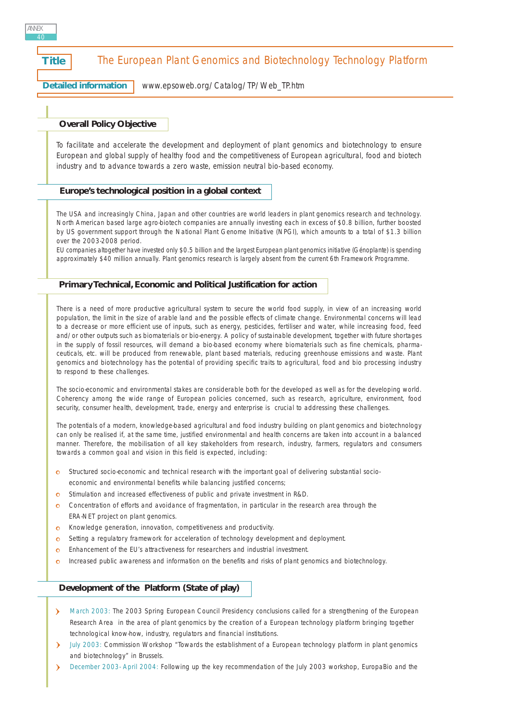# **Title** The European Plant Genomics and Biotechnology Technology Platform

**Detailed information** [www.epsoweb.org/Catalog/TP/Web\\_TP.htm](http://www.epsoweb.org/Catalog/TP/Web_TP.htm) 

# **Overall Policy Objective**

*To facilitate and accelerate the development and deployment of plant genomics and biotechnology to ensure European and global supply of healthy food and the competitiveness of European agricultural, food and biotech industry and to advance towards a zero waste, emission neutral bio-based economy.*

#### **Europe's technological position in a global context**

The USA and increasingly China, Japan and other countries are world leaders in plant genomics research and technology. North American based large agro-biotech companies are annually investing each in excess of \$0.8 billion, further boosted by US government support through the National Plant Genome Initiative (NPGI), which amounts to a total of \$1.3 billion over the 2003-2008 period.

EU companies altogether have invested only \$0.5 billion and the largest European plant genomics initiative (Génoplante) is spending approximately \$40 million annually. Plant genomics research is largely absent from the current 6th Framework Programme.

#### **Primary Technical, Economic and Political Justification for action**

There is a need of more productive agricultural system to secure the world food supply, in view of an increasing world population, the limit in the size of arable land and the possible effects of climate change. Environmental concerns will lead to a decrease or more efficient use of inputs, such as energy, pesticides, fertiliser and water, while increasing food, feed and/or other outputs such as biomaterials or bio-energy. A policy of sustainable development, together with future shortages in the supply of fossil resources, will demand a bio-based economy where biomaterials such as fine chemicals, pharmaceuticals, etc. will be produced from renewable, plant based materials, reducing greenhouse emissions and waste. Plant genomics and biotechnology has the potential of providing specific traits to agricultural, food and bio processing industry to respond to these challenges.

The socio-economic and environmental stakes are considerable both for the developed as well as for the developing world. Coherency among the wide range of European policies concerned, such as research, agriculture, environment, food security, consumer health, development, trade, energy and enterprise is crucial to addressing these challenges.

The potentials of a modern, knowledge-based agricultural and food industry building on plant genomics and biotechnology can only be realised if, at the same time, justified environmental and health concerns are taken into account in a balanced manner. Therefore, the mobilisation of all key stakeholders from research, industry, farmers, regulators and consumers towards a common goal and vision in this field is expected, including:

- o Structured socio-economic and technical research with the important goal of delivering substantial socioeconomic and environmental benefits while balancing justified concerns;
- Stimulation and increased effectiveness of public and private investment in R&D.  $\Omega$
- Concentration of efforts and avoidance of fragmentation, in particular in the research area through the  $\Omega$ ERA-NET project on plant genomics.
- Knowledge generation, innovation, competitiveness and productivity.  $\bullet$
- Setting a regulatory framework for acceleration of technology development and deployment.  $\circ$
- $\bullet$ Enhancement of the EU's attractiveness for researchers and industrial investment.
- Increased public awareness and information on the benefits and risks of plant genomics and biotechnology. $\sim$

#### **Development of the Platform (State of play)**

- March 2003: The 2003 Spring European Council Presidency conclusions called for a strengthening of the European Research Area in the area of plant genomics by the creation of a European technology platform bringing together technological know-how, industry, regulators and financial institutions.
- July 2003: Commission Workshop "Towards the establishment of a European technology platform in plant genomics  $\mathbf{\hat{z}}$ and biotechnology" in Brussels.
- $\lambda$ December 2003- April 2004: Following up the key recommendation of the July 2003 workshop, EuropaBio and the

ANNEX 40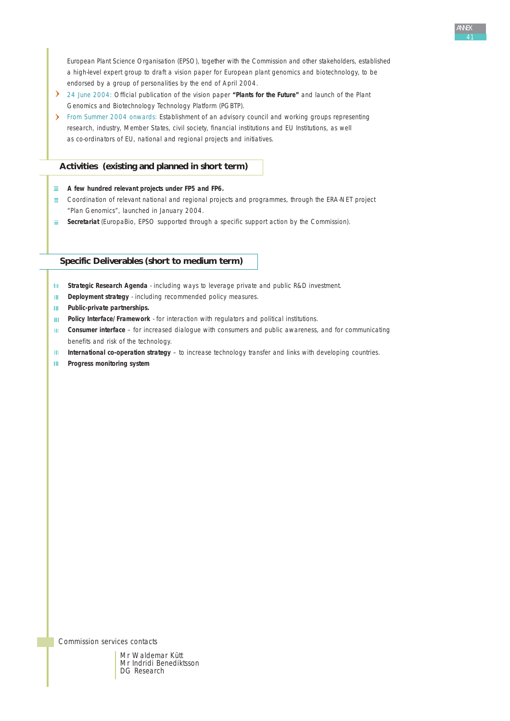European Plant Science Organisation (EPSO), together with the Commission and other stakeholders, established a high-level expert group to draft a vision paper for European plant genomics and biotechnology, to be endorsed by a group of personalities by the end of April 2004.

- 24 June 2004: Official publication of the vision paper **"Plants for the Future"** and launch of the Plant Genomics and Biotechnology Technology Platform (PGBTP).
- From Summer 2004 onwards: Establishment of an advisory council and working groups representing research, industry, Member States, civil society, financial institutions and EU Institutions, as well as co-ordinators of EU, national and regional projects and initiatives.

# **Activities (existing and planned in short term)**

**A few hundred relevant projects under FP5 and FP6.** 

- $\equiv$  Coordination of relevant national and regional projects and programmes, through the ERA-NET project "Plan Genomics", launched in January 2004.
- **Secretariat** (EuropaBio, EPSO supported through a specific support action by the Commission).

# **Specific Deliverables (short to medium term)**

- III. **Strategic Research Agenda** - including ways to leverage private and public R&D investment.
- **Deployment strategy** including recommended policy measures.  $\mathbf{H}$
- **Public-private partnerships.**
- **Policy Interface/Framework** for interaction with regulators and political institutions.  $\mathbf{H}^{\mathrm{eff}}$
- **Consumer interface** for increased dialogue with consumers and public awareness, and for communicating  $\mathbf{H}$ benefits and risk of the technology.
- **International co-operation strategy** to increase technology transfer and links with developing countries.  $\mathbf{H}$  .
- $\mathbf{III}$  . **Progress monitoring system**

*Commission services contacts*

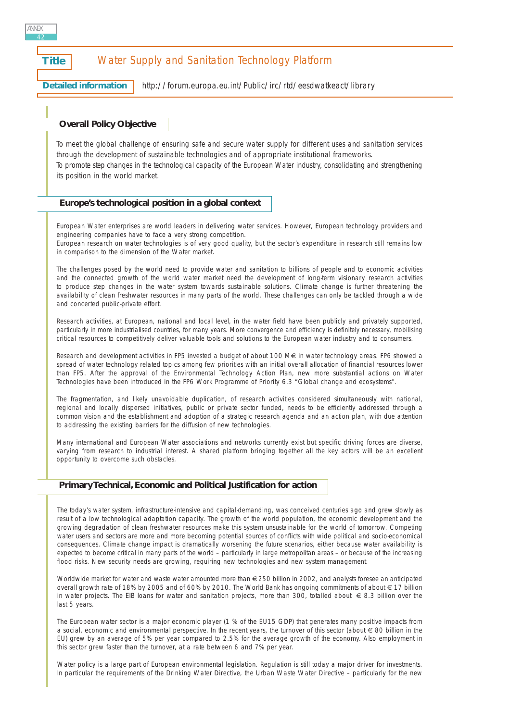| <b>Title</b> |                                   |                                                     | Water Supply and Sanitation Technology Platform                                                                                                                                                                      |  |  |
|--------------|-----------------------------------|-----------------------------------------------------|----------------------------------------------------------------------------------------------------------------------------------------------------------------------------------------------------------------------|--|--|
|              | <b>Detailed information</b>       |                                                     | http://forum.europa.eu.int/Public/irc/rtd/eesdwatkeact/library                                                                                                                                                       |  |  |
|              |                                   |                                                     |                                                                                                                                                                                                                      |  |  |
|              | <b>Overall Policy Objective</b>   |                                                     |                                                                                                                                                                                                                      |  |  |
|              |                                   |                                                     | To meet the global challenge of ensuring safe and secure water supply for different uses and sanitation services<br>through the development of sustainable technologies and of appropriate institutional frameworks. |  |  |
|              | its position in the world market. |                                                     | To promote step changes in the technological capacity of the European Water industry, consolidating and strengthening                                                                                                |  |  |
|              |                                   | Europe's technological position in a global context |                                                                                                                                                                                                                      |  |  |
|              |                                   |                                                     |                                                                                                                                                                                                                      |  |  |

European Water enterprises are world leaders in delivering water services. However, European technology providers and engineering companies have to face a very strong competition. European research on water technologies is of very good quality, but the sector's expenditure in research still remains low in comparison to the dimension of the Water market.

The challenges posed by the world need to provide water and sanitation to billions of people and to economic activities and the connected growth of the world water market need the development of long-term visionary research activities to produce step changes in the water system towards sustainable solutions. Climate change is further threatening the availability of clean freshwater resources in many parts of the world. These challenges can only be tackled through a wide and concerted public-private effort.

Research activities, at European, national and local level, in the water field have been publicly and privately supported, particularly in more industrialised countries, for many years. More convergence and efficiency is definitely necessary, mobilising critical resources to competitively deliver valuable tools and solutions to the European water industry and to consumers.

Research and development activities in FP5 invested a budget of about 100 M€ in water technology areas. FP6 showed a spread of water technology related topics among few priorities with an initial overall allocation of financial resources lower than FP5. After the approval of the Environmental Technology Action Plan, new more substantial actions on Water Technologies have been introduced in the FP6 Work Programme of Priority 6.3 "Global change and ecosystems".

The fragmentation, and likely unavoidable duplication, of research activities considered simultaneously with national, regional and locally dispersed initiatives, public or private sector funded, needs to be efficiently addressed through a common vision and the establishment and adoption of a strategic research agenda and an action plan, with due attention to addressing the existing barriers for the diffusion of new technologies.

Many international and European Water associations and networks currently exist but specific driving forces are diverse, varying from research to industrial interest. A shared platform bringing together all the key actors will be an excellent opportunity to overcome such obstacles.

# **Primary Technical, Economic and Political Justification for action**

The today's water system, infrastructure-intensive and capital-demanding, was conceived centuries ago and grew slowly as result of a low technological adaptation capacity. The growth of the world population, the economic development and the growing degradation of clean freshwater resources make this system unsustainable for the world of tomorrow. Competing water users and sectors are more and more becoming potential sources of conflicts with wide political and socio-economical consequences. Climate change impact is dramatically worsening the future scenarios, either because water availability is expected to become critical in many parts of the world – particularly in large metropolitan areas – or because of the increasing flood risks. New security needs are growing, requiring new technologies and new system management.

Worldwide market for water and waste water amounted more than €250 billion in 2002, and analysts foresee an anticipated overall growth rate of 18% by 2005 and of 60% by 2010. The World Bank has ongoing commitments of about € 17 billion in water projects. The EIB loans for water and sanitation projects, more than 300, totalled about € 8.3 billion over the last 5 years.

The European water sector is a major economic player (1 % of the EU15 GDP) that generates many positive impacts from a social, economic and environmental perspective. In the recent years, the turnover of this sector (about € 80 billion in the EU) grew by an average of 5% per year compared to 2.5% for the average growth of the economy. Also employment in this sector grew faster than the turnover, at a rate between 6 and 7% per year.

Water policy is a large part of European environmental legislation. Regulation is still today a major driver for investments. In particular the requirements of the Drinking Water Directive, the Urban Waste Water Directive – particularly for the new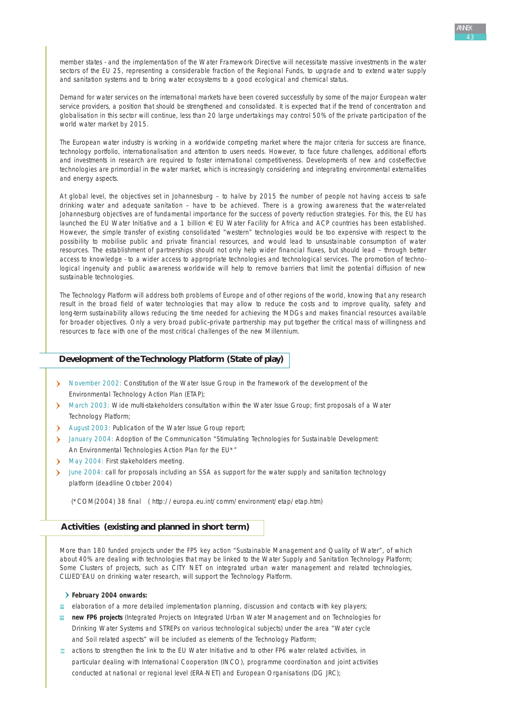Demand for water services on the international markets have been covered successfully by some of the major European water service providers, a position that should be strengthened and consolidated. It is expected that if the trend of concentration and globalisation in this sector will continue, less than 20 large undertakings may control 50% of the private participation of the world water market by 2015.

The European water industry is working in a worldwide competing market where the major criteria for success are finance, technology portfolio, internationalisation and attention to users needs. However, to face future challenges, additional efforts and investments in research are required to foster international competitiveness. Developments of new and cost-effective technologies are primordial in the water market, which is increasingly considering and integrating environmental externalities and energy aspects.

At global level, the objectives set in Johannesburg – to halve by 2015 the number of people not having access to safe drinking water and adequate sanitation – have to be achieved. There is a growing awareness that the water-related Johannesburg objectives are of fundamental importance for the success of poverty reduction strategies. For this, the EU has launched the EU Water Initiative and a 1 billion € EU Water Facility for Africa and ACP countries has been established. However, the simple transfer of existing consolidated "western" technologies would be too expensive with respect to the possibility to mobilise public and private financial resources, and would lead to unsustainable consumption of water resources. The establishment of partnerships should not only help wider financial fluxes, but should lead – through better access to knowledge - to a wider access to appropriate technologies and technological services. The promotion of technological ingenuity and public awareness worldwide will help to remove barriers that limit the potential diffusion of new sustainable technologies.

The Technology Platform will address both problems of Europe and of other regions of the world, knowing that any research result in the broad field of water technologies that may allow to reduce the costs and to improve quality, safety and long-term sustainability allows reducing the time needed for achieving the MDGs and makes financial resources available for broader objectives. Only a very broad public--private partnership may put together the critical mass of willingness and resources to face with one of the most critical challenges of the new Millennium.

# **Development of the Technology Platform (State of play)**

- > November 2002: Constitution of the Water Issue Group in the framework of the development of the Environmental Technology Action Plan (ETAP);
- > March 2003: Wide multi-stakeholders consultation within the Water Issue Group; first proposals of a Water Technology Platform;
- August 2003: Publication of the Water Issue Group report;
- January 2004: Adoption of the Communication "Stimulating Technologies for Sustainable Development: An Environmental Technologies Action Plan for the EU\*"
- May 2004: First stakeholders meeting.
- June 2004: call for proposals including an SSA as support for the water supply and sanitation technology platform (deadline October 2004)

(\*COM(2004) 38 final ( [http://europa.eu.int/comm/environment/etap/etap.htm\)](http://europa.eu.int/comm/environment/etap/etap.htm)

#### **Activities (existing and planned in short term)**

More than 180 funded projects under the FP5 key action "Sustainable Management and Quality of Water", of which about 40% are dealing with technologies that may be linked to the Water Supply and Sanitation Technology Platform; Some Clusters of projects, such as CITY NET on integrated urban water management and related technologies, CLUED'EAU on drinking water research, will support the Technology Platform.

#### **February 2004 onwards:**

- $\equiv$  elaboration of a more detailed implementation planning, discussion and contacts with key players;
- **new FP6 projects** (Integrated Projects on Integrated Urban Water Management and on Technologies for Drinking Water Systems and STREPs on various technological subjects) under the area "Water cycle and Soil related aspects" will be included as elements of the Technology Platform;
- $\equiv$  actions to strengthen the link to the EU Water Initiative and to other FP6 water related activities, in particular dealing with International Cooperation (INCO), programme coordination and joint activities conducted at national or regional level (ERA-NET) and European Organisations (DG JRC);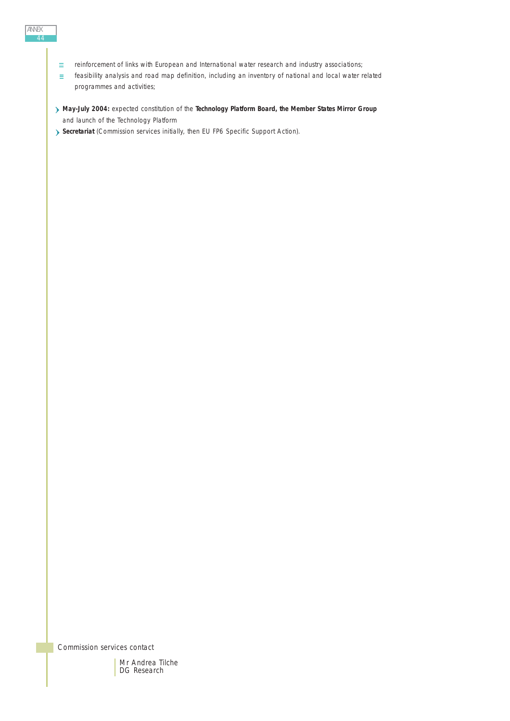- ANNEX 44
- reinforcement of links with European and International water research and industry associations;  $\equiv$
- feasibility analysis and road map definition, including an inventory of national and local water related  $\equiv$ programmes and activities;
- **May-July 2004:** expected constitution of the **Technology Platform Board, the Member States Mirror Group** and launch of the Technology Platform
- **Secretariat** (Commission services initially, then EU FP6 Specific Support Action).

*Commission services contact*

Mr Andrea Tilche DG Research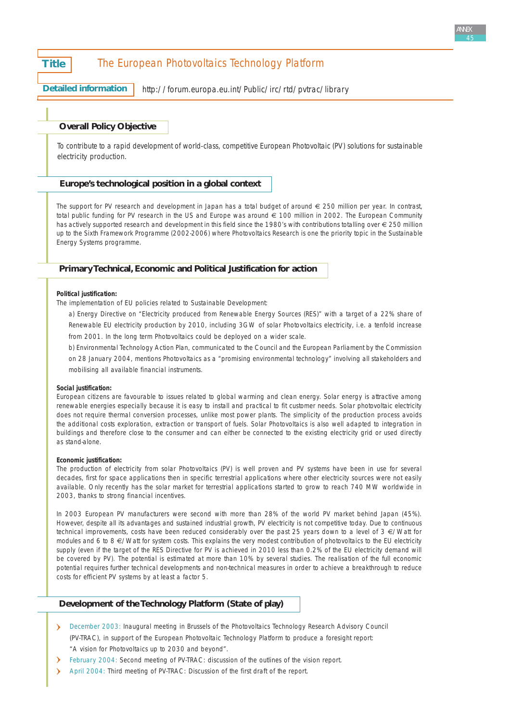# **Title** The European Photovoltaics Technology Platform

**Detailed information**

<http://forum.europa.eu.int/Public/irc/rtd/pvtrac/library>

# **Overall Policy Objective**

*To contribute to a rapid development of world-class, competitive European Photovoltaic (PV) solutions for sustainable electricity production.*

#### **Europe's technological position in a global context**

The support for PV research and development in Japan has a total budget of around  $\epsilon$  250 million per year. In contrast, total public funding for PV research in the US and Europe was around € 100 million in 2002. The European Community has actively supported research and development in this field since the 1980's with contributions totalling over € 250 million up to the Sixth Framework Programme (2002-2006) where Photovoltaics Research is one the priority topic in the Sustainable Energy Systems programme.

## **Primary Technical, Economic and Political Justification for action**

#### **Political justification:**

The implementation of EU policies related to Sustainable Development:

a) *Energy Directive on "Electricity produced from Renewable Energy Sources (RES)"* with a target of a 22% share of *Renewable EU electricity production by 2010*, including *3GW of solar Photovoltaics electricity*, i.e. a tenfold increase from 2001. In the long term Photovoltaics could be deployed on a wider scale.

b) *Environmental Technology Action Plan,* communicated to the Council and the European Parliament by the Commission on 28 January 2004, mentions Photovoltaics as a "promising environmental technology" involving all stakeholders and mobilising all available financial instruments.

#### **Social justification:**

European citizens are favourable to issues related to global warming and clean energy. Solar energy is attractive among renewable energies especially because it is easy to install and practical to fit customer needs. Solar photovoltaic electricity does not require thermal conversion processes, unlike most power plants. The simplicity of the production process avoids the additional costs exploration, extraction or transport of fuels. Solar Photovoltaics is also well adapted to integration in buildings and therefore close to the consumer and can either be connected to the existing electricity grid or used directly as stand-alone.

#### **Economic justification:**

The production of electricity from solar Photovoltaics (PV) is well proven and PV systems have been in use for several decades, first for space applications then in specific terrestrial applications where other electricity sources were not easily available. Only recently has the solar market for terrestrial applications started to grow to reach 740 MW worldwide in 2003, thanks to strong financial incentives.

In 2003 European PV manufacturers were second with more than 28% of the world PV market behind Japan (45%). However, despite all its advantages and sustained industrial growth, PV electricity is not competitive today. Due to continuous technical improvements, costs have been reduced considerably over the past 25 years down to a level of 3 €/Watt for modules and 6 to 8 €/Watt for system costs. This explains the very modest contribution of photovoltaics to the EU electricity supply (even if the target of the RES Directive for PV is achieved in 2010 less than 0.2% of the EU electricity demand will be covered by PV). The potential is estimated at more than 10% by several studies. The realisation of the full economic potential requires further technical developments and non-technical measures in order to achieve a breakthrough to reduce costs for efficient PV systems by at least a factor 5.

# **Development of the Technology Platform (State of play)**

- December 2003: Inaugural meeting in Brussels of the Photovoltaics Technology Research Advisory Council (PV-TRAC), in support of the European Photovoltaic Technology Platform to produce a foresight report: "A vision for Photovoltaics up to 2030 and beyond".
- February 2004: Second meeting of PV-TRAC: discussion of the outlines of the vision report.
- $\Delta$ April 2004: Third meeting of PV-TRAC: Discussion of the first draft of the report.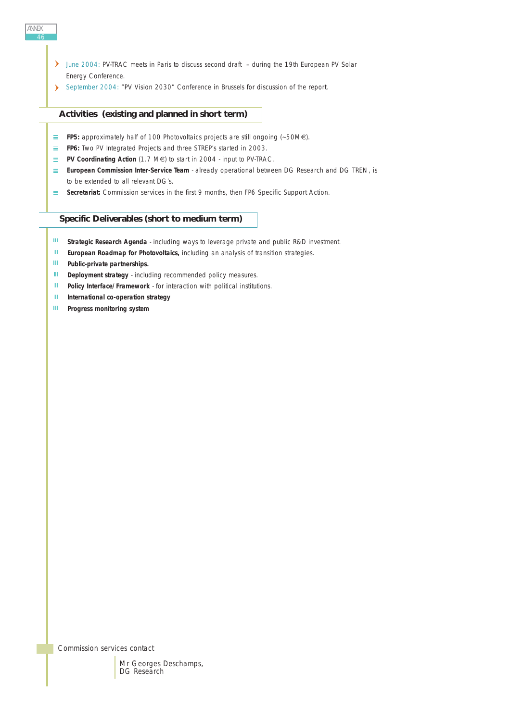- June 2004: PV-TRAC meets in Paris to discuss second draft during the 19th European PV Solar Energy Conference.
- September 2004: "PV Vision 2030" Conference in Brussels for discussion of the report.

# **Activities (existing and planned in short term)**

- **FP5:** approximately half of 100 Photovoltaics projects are still ongoing (~50M€).
- **FP6:** Two PV Integrated Projects and three STREP's started in 2003.
- **PV Coordinating Action** (1.7 M€) to start in 2004 input to PV-TRAC.
- **European Commission Inter-Service Team** already operational between DG Research and DG TREN, is to be extended to all relevant DG's.
- **Secretariat:** Commission services in the first 9 months, then FP6 Specific Support Action.

## **Specific Deliverables (short to medium term)**

- $\mathbf{III}$ **Strategic Research Agenda** - including ways to leverage private and public R&D investment.
- $\mathbf{H} \mathbf{F}$  . **European Roadmap for Photovoltaics,** including an analysis of transition strategies.
- $\mathbf{III}$  . **Public-private partnerships.**
- $\mathbf{III}$  . **Deployment strategy** - including recommended policy measures.
- $\mathbf{III}$  . **Policy Interface/Framework** - for interaction with political institutions.
- $\mathbf{H}^{\mathrm{eff}}$ **International co-operation strategy**
- $\mathbf{H}^{\mathrm{int}}$ **Progress monitoring system**

*Commission services contact*



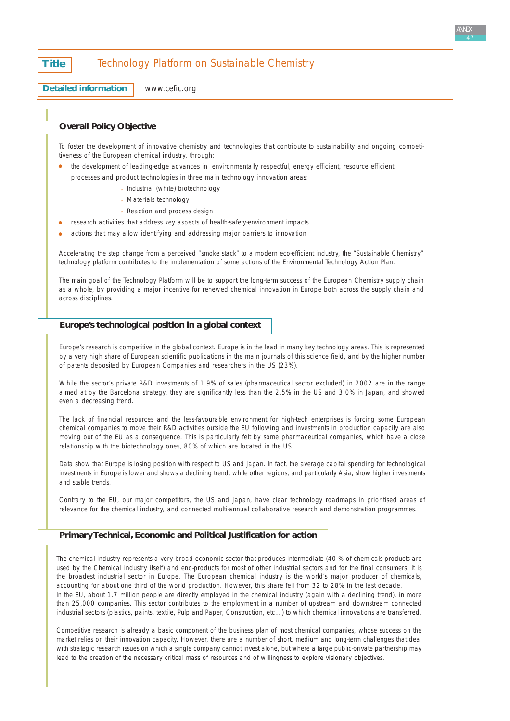# **Title Technology Platform on Sustainable Chemistry**

**Detailed information**

[www.cefic.org](http://www.cefic.org)

# **Overall Policy Objective**

To foster the development of innovative chemistry and technologies that contribute to sustainability and ongoing competitiveness of the European chemical industry, through:

- the development of leading-edge advances in environmentally respectful, energy efficient, resource efficient processes and product technologies in three main technology innovation areas:
	- \* Industrial (white) biotechnology
	- \* Materials technology
	- \* Reaction and process design
- research activities that address key aspects of health-safety-environment impacts
- actions that may allow identifying and addressing major barriers to innovation

Accelerating the step change from a perceived "smoke stack" to a modern eco-efficient industry, the "Sustainable Chemistry" technology platform contributes to the implementation of some actions of the Environmental Technology Action Plan.

The main goal of the Technology Platform will be to support the long-term success of the European Chemistry supply chain as a whole, by providing a major incentive for renewed chemical innovation in Europe both across the supply chain and across disciplines.

#### **Europe's technological position in a global context**

Europe's research is competitive in the global context. Europe is in the lead in many key technology areas. This is represented by a very high share of European scientific publications in the main journals of this science field, and by the higher number of patents deposited by European Companies and researchers in the US (23%).

While the sector's private R&D investments of 1.9% of sales (pharmaceutical sector excluded) in 2002 are in the range aimed at by the Barcelona strategy, they are significantly less than the 2.5% in the US and 3.0% in Japan, and showed even a decreasing trend.

The lack of financial resources and the less-favourable environment for high-tech enterprises is forcing some European chemical companies to move their R&D activities outside the EU following and investments in production capacity are also moving out of the EU as a consequence. This is particularly felt by some pharmaceutical companies, which have a close relationship with the biotechnology ones, 80% of which are located in the US.

Data show that Europe is losing position with respect to US and Japan. In fact, the average capital spending for technological investments in Europe is lower and shows a declining trend, while other regions, and particularly Asia, show higher investments and stable trends.

Contrary to the EU, our major competitors, the US and Japan, have clear technology roadmaps in prioritised areas of relevance for the chemical industry, and connected multi-annual collaborative research and demonstration programmes.

#### **Primary Technical, Economic and Political Justification for action**

The chemical industry represents a very broad economic sector that produces intermediate (40 % of chemicals products are used by the Chemical industry itself) and end-products for most of other industrial sectors and for the final consumers. It is the broadest industrial sector in Europe. The European chemical industry is the world's major producer of chemicals, accounting for about one third of the world production. However, this share fell from 32 to 28% in the last decade. In the EU, about 1.7 million people are directly employed in the chemical industry (again with a declining trend), in more than 25,000 companies. This sector contributes to the employment in a number of upstream and downstream connected industrial sectors (plastics, paints, textile, Pulp and Paper, Construction, etc…) to which chemical innovations are transferred.

Competitive research is already a basic component of the business plan of most chemical companies, whose success on the market relies on their innovation capacity. However, there are a number of short, medium and long-term challenges that deal with strategic research issues on which a single company cannot invest alone, but where a large public-private partnership may lead to the creation of the necessary critical mass of resources and of willingness to explore visionary objectives.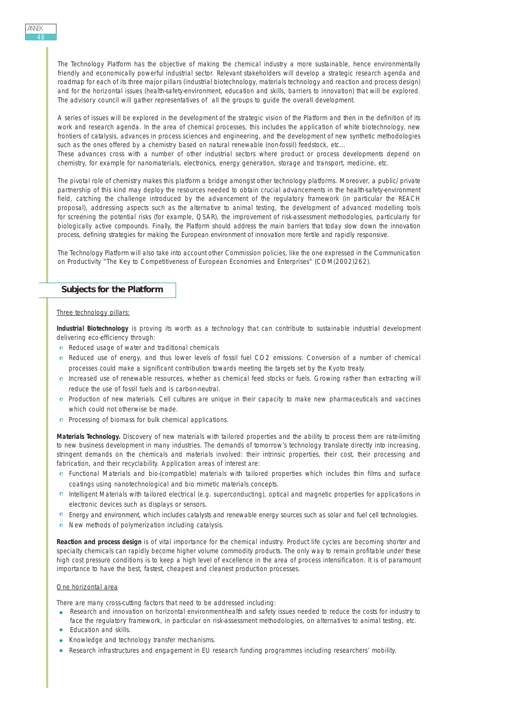The Technology Platform has the objective of making the chemical industry a more sustainable, hence environmentally friendly and economically powerful industrial sector. Relevant stakeholders will develop a strategic research agenda and roadmap for each of its three major pillars (industrial biotechnology, materials technology and reaction and process design) and for the horizontal issues (health-safety-environment, education and skills, barriers to innovation) that will be explored. The advisory council will gather representatives of all the groups to guide the overall development.

A series of issues will be explored in the development of the strategic vision of the Platform and then in the definition of its work and research agenda. In the area of chemical processes, this includes the application of white biotechnology, new frontiers of catalysis, advances in process sciences and engineering, and the development of new synthetic methodologies such as the ones offered by a chemistry based on natural renewable (non-fossil) feedstock, etc...

These advances cross with a number of other industrial sectors where product or process developments depend on chemistry, for example for nanomaterials, electronics, energy generation, storage and transport, medicine, etc.

The pivotal role of chemistry makes this platform a bridge amongst other technology platforms. Moreover, a public/private partnership of this kind may deploy the resources needed to obtain crucial advancements in the health-safety-environment field, catching the challenge introduced by the advancement of the regulatory framework (in particular the REACH proposal), addressing aspects such as the alternative to animal testing, the development of advanced modelling tools for screening the potential risks (for example, QSAR), the improvement of risk-assessment methodologies, particularly for biologically active compounds. Finally, the Platform should address the main barriers that today slow down the innovation process, defining strategies for making the European environment of innovation more fertile and rapidly responsive.

The Technology Platform will also take into account other Commission policies, like the one expressed in the Communication on Productivity "The Key to Competitiveness of European Economies and Enterprises" (COM(2002)262).

#### **Subjects for the Platform**

#### Three technology pillars:

**Industrial Biotechnology** is proving its worth as a technology that can contribute to sustainable industrial development delivering eco-efficiency through:

- o Reduced usage of water and traditional chemicals
- Reduced use of energy, and thus lower levels of fossil fuel CO2 emissions. Conversion of a number of chemical processes could make a significant contribution towards meeting the targets set by the Kyoto treaty.
- Increased use of renewable resources, whether as chemical feed stocks or fuels. Growing rather than extracting will reduce the use of fossil fuels and is carbon-neutral.
- Production of new materials. Cell cultures are unique in their capacity to make new pharmaceuticals and vaccines which could not otherwise be made.
- Processing of biomass for bulk chemical applications.

**Materials Technology.** Discovery of new materials with tailored properties and the ability to process them are rate-limiting to new business development in many industries. The demands of tomorrow's technology translate directly into increasing, stringent demands on the chemicals and materials involved: their intrinsic properties, their cost, their processing and fabrication, and their recyclability. Application areas of interest are:

- Functional Materials and bio-(compatible) materials with tailored properties which includes thin films and surface coatings using nanotechnological and bio mimetic materials concepts.
- Intelligent Materials with tailored electrical (e.g. superconducting), optical and magnetic properties for applications in electronic devices such as displays or sensors.
- Energy and environment, which includes catalysts and renewable energy sources such as solar and fuel cell technologies.
- o New methods of polymerization including catalysis.

**Reaction and process design** is of vital importance for the chemical industry. Product life cycles are becoming shorter and specialty chemicals can rapidly become higher volume commodity products. The only way to remain profitable under these high cost pressure conditions is to keep a high level of excellence in the area of process intensification. It is of paramount importance to have the best, fastest, cheapest and cleanest production processes.

#### One horizontal area

There are many cross-cutting factors that need to be addressed including:

- Research and innovation on horizontal environment-health and safety issues needed to reduce the costs for industry to face the regulatory framework, in particular on risk-assessment methodologies, on alternatives to animal testing, etc.
- Education and skills.
- Knowledge and technology transfer mechanisms.
- Research infrastructures and engagement in EU research funding programmes including researchers' mobility.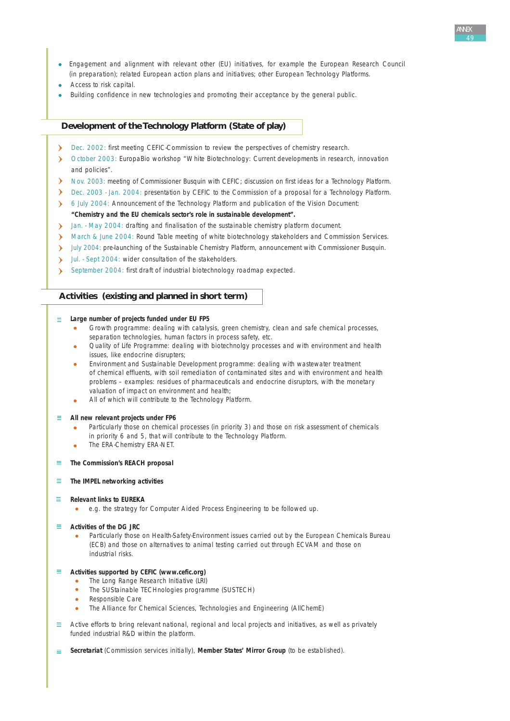- Engagement and alignment with relevant other (EU) initiatives, for example the European Research Council (in preparation); related European action plans and initiatives; other European Technology Platforms.
- Access to risk capital.
- Building confidence in new technologies and promoting their acceptance by the general public.

# **Development of the Technology Platform (State of play)**

- Dec. 2002: first meeting CEFIC-Commission to review the perspectives of chemistry research. У
- October 2003: EuropaBio workshop "White Biotechnology: Current developments in research, innovation and policies".
- Nov. 2003: meeting of Commissioner Busquin with CEFIC; discussion on first ideas for a Technology Platform.
- Dec. 2003 Jan. 2004: presentation by CEFIC to the Commission of a proposal for a Technology Platform.
- 6 July 2004: Announcement of the Technology Platform and publication of the Vision Document:  $\mathbf{v}$

#### **"Chemistry and the EU chemicals sector's role in sustainable development".**

- Jan. May 2004: drafting and finalisation of the sustainable chemistry platform document.
- March & June 2004: Round Table meeting of white biotechnology stakeholders and Commission Services.
- > July 2004: pre-launching of the Sustainable Chemistry Platform, announcement with Commissioner Busquin.
- Jul. Sept 2004: wider consultation of the stakeholders.  $\sum_{i=1}^{n}$
- September 2004: first draft of industrial biotechnology roadmap expected.

#### **Activities (existing and planned in short term)**

#### **Large number of projects funded under EU FP5**

- Growth programme: dealing with catalysis, green chemistry, clean and safe chemical processes, separation technologies, human factors in process safety, etc.
- Quality of Life Programme: dealing with biotechnolgy processes and with environment and health issues, like endocrine disrupters;
- Environment and Sustainable Development programme: dealing with wastewater treatment of chemical effluents, with soil remediation of contaminated sites and with environment and health problems – examples: residues of pharmaceuticals and endocrine disruptors, with the monetary valuation of impact on environment and health;
- All of which will contribute to the Technology Platform.

#### **All new relevant projects under FP6** Ξ

- Particularly those on chemical processes (in priority 3) and those on risk assessment of chemicals in priority 6 and 5, that will contribute to the Technology Platform.
- The ERA-Chemistry ERA-NET.
- **The Commission's REACH proposal**
- **The IMPEL networking activities**

#### **Relevant links to EUREKA** Ξ

e.g. the strategy for Computer Aided Process Engineering to be followed up.  $\bullet$ 

#### $\equiv$ **Activities of the DG JRC**

Particularly those on Health-Safety-Environment issues carried out by the European Chemicals Bureau (ECB) and those on alternatives to animal testing carried out through ECVAM and those on industrial risks.

#### **Activities supported by CEFIC (www.cefic.org)**  $\equiv$

- The Long Range Research Initiative (LRI)
- The SUStainable TECHnologies programme (SUSTECH)
- Responsible Care
- The Alliance for Chemical Sciences, Technologies and Engineering (AllChemE)
- Active efforts to bring relevant national, regional and local projects and initiatives, as well as privately  $\equiv$ funded industrial R&D within the platform.
- **Secretariat** (Commission services initially), **Member States' Mirror Group** (to be established).  $\equiv$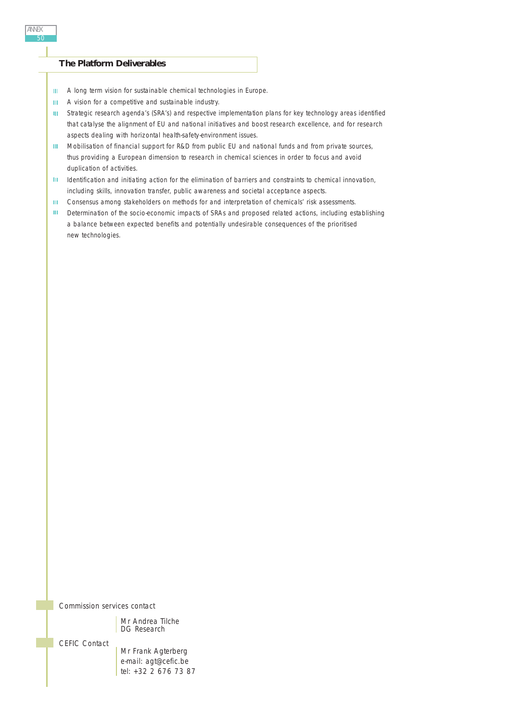# **The Platform Deliverables**

- A long term vision for sustainable chemical technologies in Europe. III.
- **III** A vision for a competitive and sustainable industry.
- Strategic research agenda's (SRA's) and respective implementation plans for key technology areas identified  $\mathbf{H}^{\pm}$ that catalyse the alignment of EU and national initiatives and boost research excellence, and for research aspects dealing with horizontal health-safety-environment issues.
- $\mathbf{H}^{\mathrm{eff}}$ Mobilisation of financial support for R&D from public EU and national funds and from private sources, thus providing a European dimension to research in chemical sciences in order to focus and avoid duplication of activities.
- $\mathbf{H}$ Identification and initiating action for the elimination of barriers and constraints to chemical innovation, including skills, innovation transfer, public awareness and societal acceptance aspects.
- Consensus among stakeholders on methods for and interpretation of chemicals' risk assessments.  $\mathbf{III}$  .
- $\mathbf{H}^{(1)}$ Determination of the socio-economic impacts of SRAs and proposed related actions, including establishing a balance between expected benefits and potentially undesirable consequences of the prioritised new technologies.

*Commission services contact*

Mr Andrea Tilche DG Research

*CEFIC Contact*

Mr Frank Agterberg e-mail: agt@cefic.be tel: +32 2 676 73 87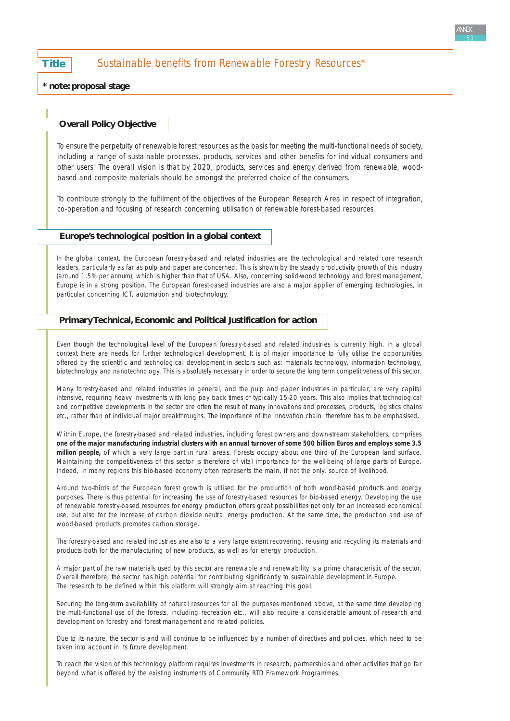**Title** Sustainable benefits from Renewable Forestry Resources\*

**\* note: proposal stage**

#### **Overall Policy Objective**

*To ensure the perpetuity of renewable forest resources as the basis for meeting the multi-functional needs of society, including a range of sustainable processes, products, services and other benefits for individual consumers and other users. The overall vision is that by 2020, products, services and energy derived from renewable, woodbased and composite materials should be amongst the preferred choice of the consumers.* 

*To contribute strongly to the fulfilment of the objectives of the European Research Area in respect of integration, co-operation and focusing of research concerning utilisation of renewable forest-based resources.*

#### **Europe's technological position in a global context**

In the global context, the European forestry-based and related industries are the technological and related core research leaders, particularly as far as pulp and paper are concerned. This is shown by the steady productivity growth of this industry (around 1.5% per annum), which is higher than that of USA. Also, concerning solid-wood technology and forest management, Europe is in a strong position. The European forest-based industries are also a major applier of emerging technologies, in particular concerning ICT, automation and biotechnology.

#### **Primary Technical, Economic and Political Justification for action**

Even though the technological level of the European forestry-based and related industries is currently high, in a global context there are needs for further technological development. It is of major importance to fully utilise the opportunities offered by the scientific and technological development in sectors such as: materials technology, information technology, biotechnology and nanotechnology. This is absolutely necessary in order to secure the long term competitiveness of this sector.

Many forestry-based and related industries in general, and the pulp and paper industries in particular, are very capital intensive, requiring heavy investments with long pay back times of typically 15-20 years. This also implies that technological and competitive developments in the sector are often the result of many innovations and processes, products, logistics chains etc., rather than of individual major breakthroughs. The importance of the innovation chain therefore has to be emphasised.

Within Europe, the forestry-based and related industries, including forest owners and down-stream stakeholders, comprises **one of the major manufacturing industrial clusters with an annual turnover of some 500 billion Euros and employs some 3.5 million people,** of which a very large part in rural areas. Forests occupy about one third of the European land surface. Maintaining the competitiveness of this sector is therefore of vital importance for the well-being of large parts of Europe. Indeed, in many regions this bio-based economy often represents the main, if not the only, source of livelihood.

Around two-thirds of the European forest growth is utilised for the production of both wood-based products and energy purposes. There is thus potential for increasing the use of forestry-based resources for bio-based energy. Developing the use of renewable forestry-based resources for energy production offers great possibilities not only for an increased economical use, but also for the increase of carbon dioxide neutral energy production. At the same time, the production and use of wood-based products promotes carbon storage.

The forestry-based and related industries are also to a very large extent recovering, re-using and recycling its materials and products both for the manufacturing of new products, as well as for energy production.

A major part of the raw materials used by this sector are renewable and renewability is a prime characteristic of the sector. Overall therefore, the sector has high potential for contributing significantly to sustainable development in Europe. The research to be defined within this platform will strongly aim at reaching this goal.

Securing the long-term availability of natural resources for all the purposes mentioned above, at the same time developing the multi-functional use of the forests, including recreation etc., will also require a considerable amount of research and development on forestry and forest management and related policies.

Due to its nature, the sector is and will continue to be influenced by a number of directives and policies, which need to be taken into account in its future development.

To reach the vision of this technology platform requires investments in research, partnerships and other activities that go far beyond what is offered by the existing instruments of Community RTD Framework Programmes.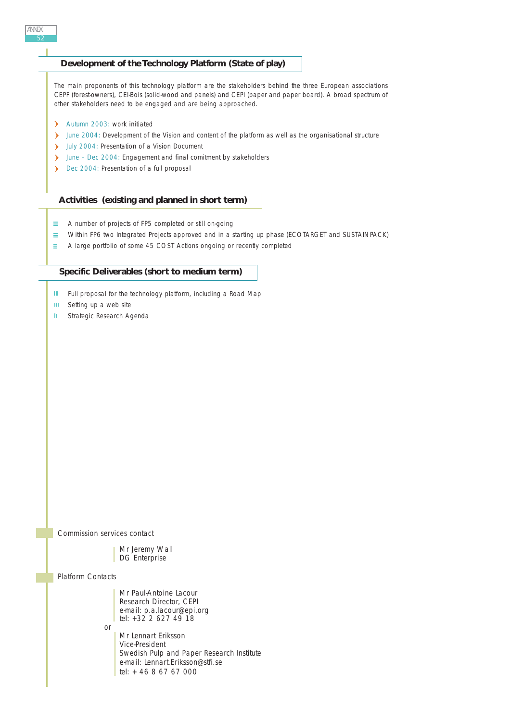# **Development of the Technology Platform (State of play)**

The main proponents of this technology platform are the stakeholders behind the three European associations CEPF (forest-owners), CEI-Bois (solid-wood and panels) and CEPI (paper and paper board). A broad spectrum of other stakeholders need to be engaged and are being approached.

- Autumn 2003: work initiated
- Iune 2004: Development of the Vision and content of the platform as well as the organisational structure
- July 2004: Presentation of a Vision Document
- June Dec 2004: Engagement and final comitment by stakeholders
- Dec 2004: Presentation of a full proposal

#### **Activities (existing and planned in short term)**

- $\equiv$ A number of projects of FP5 completed or still on-going
- Within FP6 two Integrated Projects approved and in a starting up phase (ECOTARGET and SUSTAINPACK)  $\equiv$
- E. A large portfolio of some 45 COST Actions ongoing or recently completed

#### **Specific Deliverables (short to medium term)**

- **III** Full proposal for the technology platform, including a Road Map
- $\mathbf{III}$ Setting up a web site
- $\mathbf{H}$ Strategic Research Agenda

*Commission services contact*

or

Mr Jeremy Wall DG Enterprise

#### *Platform Contacts*

Mr Paul-Antoine Lacour Research Director, CEPI e-mail: p.a.lacour@epi.org tel: +32 2 627 49 18

Mr Lennart Eriksson Vice-President Swedish Pulp and Paper Research Institute e-mail: Lennart.Eriksson@stfi.se tel: + 46 8 67 67 000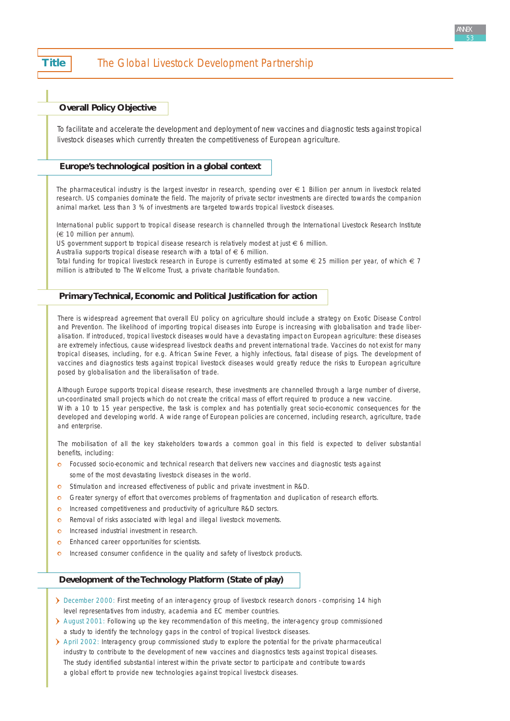# **Title** The Global Livestock Development Partnership

## **Overall Policy Objective**

*To facilitate and accelerate the development and deployment of new vaccines and diagnostic tests against tropical livestock diseases which currently threaten the competitiveness of European agriculture.* 

# **Europe's technological position in a global context**

The pharmaceutical industry is the largest investor in research, spending over € 1 Billion per annum in livestock related research. US companies dominate the field. The majority of private sector investments are directed towards the companion animal market. Less than 3 % of investments are targeted towards tropical livestock diseases.

International public support to tropical disease research is channelled through the International Livestock Research Institute (€ 10 million per annum).

US government support to tropical disease research is relatively modest at just € 6 million.

Australia supports tropical disease research with a total of  $\epsilon$  6 million.

Total funding for tropical livestock research in Europe is currently estimated at some  $\in$  25 million per year, of which  $\in$  7 million is attributed to The Wellcome Trust, a private charitable foundation.

# **Primary Technical, Economic and Political Justification for action**

There is widespread agreement that overall EU policy on agriculture should include a strategy on Exotic Disease Control and Prevention. The likelihood of importing tropical diseases into Europe is increasing with globalisation and trade liberalisation. If introduced, tropical livestock diseases would have a devastating impact on European agriculture: these diseases are extremely infectious, cause widespread livestock deaths and prevent international trade. Vaccines do not exist for many tropical diseases, including, for e.g. African Swine Fever, a highly infectious, fatal disease of pigs. The development of vaccines and diagnostics tests against tropical livestock diseases would greatly reduce the risks to European agriculture posed by globalisation and the liberalisation of trade.

Although Europe supports tropical disease research, these investments are channelled through a large number of diverse, un-coordinated small projects which do not create the critical mass of effort required to produce a new vaccine. With a 10 to 15 year perspective, the task is complex and has potentially great socio-economic consequences for the developed and developing world. A wide range of European policies are concerned, including research, agriculture, trade and enterprise.

The mobilisation of all the key stakeholders towards a common goal in this field is expected to deliver substantial benefits, including:

- **o** Focussed socio-economic and technical research that delivers new vaccines and diagnostic tests against some of the most devastating livestock diseases in the world.
- Stimulation and increased effectiveness of public and private investment in R&D.
- Greater synergy of effort that overcomes problems of fragmentation and duplication of research efforts.  $\Omega$
- Increased competitiveness and productivity of agriculture R&D sectors.  $\ddot{\mathbf{O}}$
- Removal of risks associated with legal and illegal livestock movements.  $\bullet$
- $\ddot{\circ}$ Increased industrial investment in research.
- Enhanced career opportunities for scientists.  $\Omega$
- Increased consumer confidence in the quality and safety of livestock products.  $\Omega$

# **Development of the Technology Platform (State of play)**

- December 2000: First meeting of an inter-agency group of livestock research donors comprising 14 high level representatives from industry, academia and EC member countries.
- August 2001: Following up the key recommendation of this meeting, the inter-agency group commissioned a study to identify the technology gaps in the control of tropical livestock diseases.
- April 2002: Interagency group commissioned study to explore the potential for the private pharmaceutical industry to contribute to the development of new vaccines and diagnostics tests against tropical diseases. The study identified substantial interest within the private sector to participate and contribute towards a global effort to provide new technologies against tropical livestock diseases.

ANNEX 53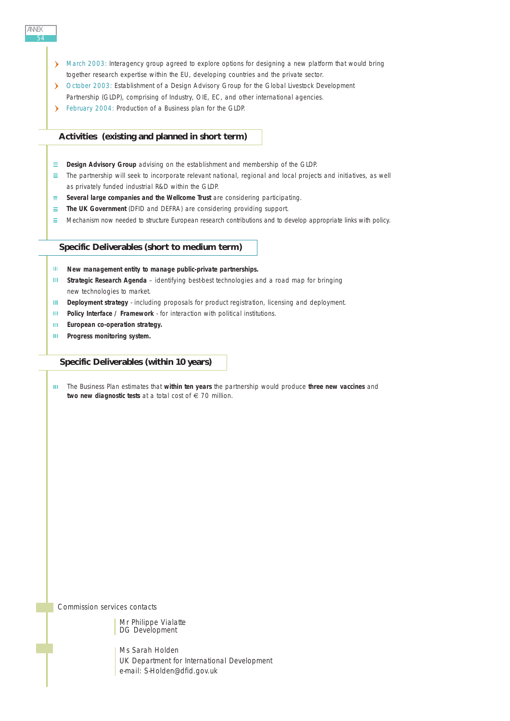- March 2003: Interagency group agreed to explore options for designing a new platform that would bring together research expertise within the EU, developing countries and the private sector.
- October 2003: Establishment of a Design Advisory Group for the Global Livestock Development Partnership (GLDP), comprising of Industry, OIE, EC, and other international agencies.
- February 2004: Production of a Business plan for the GLDP.

# **Activities (existing and planned in short term)**

- **E** Design Advisory Group advising on the establishment and membership of the GLDP.
- $\equiv$  The partnership will seek to incorporate relevant national, regional and local projects and initiatives, as well as privately funded industrial R&D within the GLDP.
- **E** Several large companies and the Wellcome Trust are considering participating.
- **The UK Government** (DFID and DEFRA) are considering providing support.
- $\equiv$  Mechanism now needed to structure European research contributions and to develop appropriate links with policy.

#### **Specific Deliverables (short to medium term)**

- **New management entity to manage public-private partnerships.** HL.
- **III** Strategic Research Agenda identifying best-best technologies and a road map for bringing new technologies to market.
- $\mathbf{H}$ **Deployment strategy** - including proposals for product registration, licensing and deployment.
- **Policy Interface / Framework** for interaction with political institutions.  $\mathbf{H}$
- $\mathbf{H}^{\text{max}}$ **European co-operation strategy.**
- $\mathbf{m}$ **Progress monitoring system.**

# **Specific Deliverables (within 10 years)**

The Business Plan estimates that **within ten years** the partnership would produce **three new vaccines** and two new diagnostic tests at a total cost of € 70 million.

*Commission services contacts*

Mr Philippe Vialatte DG Development

Ms Sarah Holden UK Department for International Development e-mail: S-Holden@dfid.gov.uk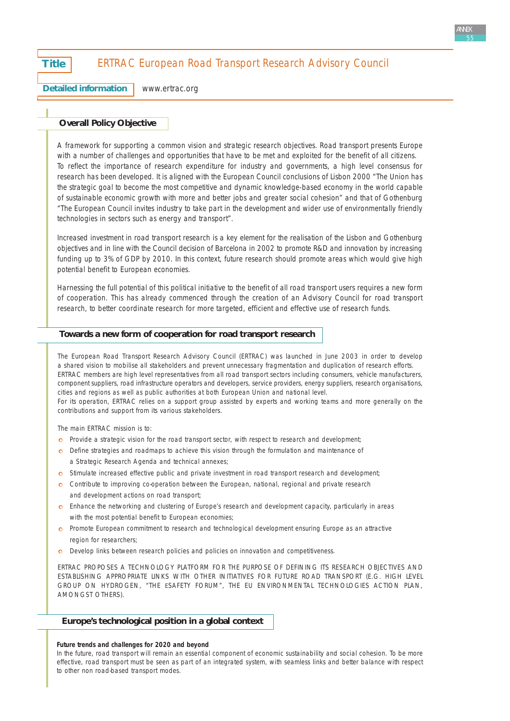# **Title** ERTRAC European Road Transport Research Advisory Council

**Detailed information**

[www.ertrac.org](http://www.ertrac.org)

# **Overall Policy Objective**

*A framework for supporting a common vision and strategic research objectives. Road transport presents Europe with a number of challenges and opportunities that have to be met and exploited for the benefit of all citizens. To reflect the importance of research expenditure for industry and governments, a high level consensus for research has been developed. It is aligned with the European Council conclusions of Lisbon 2000 "The Union has the strategic goal to become the most competitive and dynamic knowledge-based economy in the world capable of sustainable economic growth with more and better jobs and greater social cohesion" and that of Gothenburg "The European Council invites industry to take part in the development and wider use of environmentally friendly technologies in sectors such as energy and transport".* 

*Increased investment in road transport research is a key element for the realisation of the Lisbon and Gothenburg objectives and in line with the Council decision of Barcelona in 2002 to promote R&D and innovation by increasing funding up to 3% of GDP by 2010. In this context, future research should promote areas which would give high potential benefit to European economies.*

*Harnessing the full potential of this political initiative to the benefit of all road transport users requires a new form of cooperation. This has already commenced through the creation of an Advisory Council for road transport research, to better coordinate research for more targeted, efficient and effective use of research funds.*

## **Towards a new form of cooperation for road transport research**

The European Road Transport Research Advisory Council (ERTRAC) was launched in June 2003 in order to develop a shared vision to mobilise all stakeholders and prevent unnecessary fragmentation and duplication of research efforts. ERTRAC members are high level representatives from all road transport sectors including consumers, vehicle manufacturers, component suppliers, road infrastructure operators and developers, service providers, energy suppliers, research organisations, cities and regions as well as public authorities at both European Union and national level. For its operation, ERTRAC relies on a support group assisted by experts and working teams and more generally on the

contributions and support from its various stakeholders.

The main ERTRAC mission is to:

- **o** Provide a strategic vision for the road transport sector, with respect to research and development;
- o Define strategies and roadmaps to achieve this vision through the formulation and maintenance of a Strategic Research Agenda and technical annexes;
- o Stimulate increased effective public and private investment in road transport research and development;
- Contribute to improving co-operation between the European, national, regional and private research and development actions on road transport;
- Enhance the networking and clustering of Europe's research and development capacity, particularly in areas with the most potential benefit to European economies;
- **c** Promote European commitment to research and technological development ensuring Europe as an attractive region for researchers;
- Develop links between research policies and policies on innovation and competitiveness.

ERTRAC PROPOSES A TECHNOLOGY PLATFORM FOR THE PURPOSE OF DEFINING ITS RESEARCH OBJECTIVES AND ESTABLISHING APPROPRIATE LINKS WITH OTHER INITIATIVES FOR FUTURE ROAD TRANSPORT (E.G. HIGH LEVEL GROUP ON HYDROGEN, "THE ESAFETY FORUM", THE EU ENVIRONMENTAL TECHNOLOGIES ACTION PLAN, AMONGST OTHERS).

#### **Europe's technological position in a global context**

#### **Future trends and challenges for 2020 and beyond**

In the future, road transport will remain an essential component of economic sustainability and social cohesion. To be more effective, road transport must be seen as part of an integrated system, with seamless links and better balance with respect to other non road-based transport modes.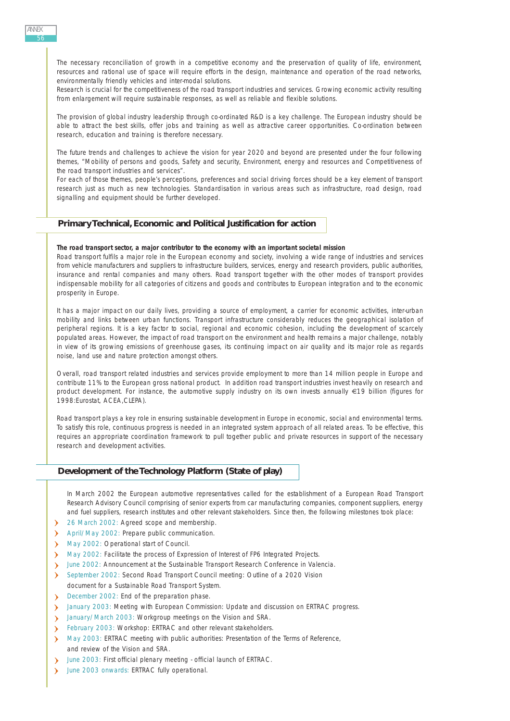The necessary reconciliation of growth in a competitive economy and the preservation of quality of life, environment, resources and rational use of space will require efforts in the design, maintenance and operation of the road networks, environmentally friendly vehicles and inter-modal solutions.

Research is crucial for the competitiveness of the road transport industries and services. Growing economic activity resulting from enlargement will require sustainable responses, as well as reliable and flexible solutions.

The provision of global industry leadership through co-ordinated R&D is a key challenge. The European industry should be able to attract the best skills, offer jobs and training as well as attractive career opportunities. Co-ordination between research, education and training is therefore necessary.

The future trends and challenges to achieve the vision for year 2020 and beyond are presented under the four following themes, "Mobility of persons and goods, Safety and security, Environment, energy and resources and Competitiveness of the road transport industries and services".

For each of those themes, people's perceptions, preferences and social driving forces should be a key element of transport research just as much as new technologies. Standardisation in various areas such as infrastructure, road design, road signalling and equipment should be further developed.

## **Primary Technical, Economic and Political Justification for action**

#### **The road transport sector, a major contributor to the economy with an important societal mission**

Road transport fulfils a major role in the European economy and society, involving a wide range of industries and services from vehicle manufacturers and suppliers to infrastructure builders, services, energy and research providers, public authorities, insurance and rental companies and many others. Road transport together with the other modes of transport provides indispensable mobility for all categories of citizens and goods and contributes to European integration and to the economic prosperity in Europe.

It has a major impact on our daily lives, providing a source of employment, a carrier for economic activities, inter-urban mobility and links between urban functions. Transport infrastructure considerably reduces the geographical isolation of peripheral regions. It is a key factor to social, regional and economic cohesion, including the development of scarcely populated areas. However, the impact of road transport on the environment and health remains a major challenge, notably in view of its growing emissions of greenhouse gases, its continuing impact on air quality and its major role as regards noise, land use and nature protection amongst others.

Overall, road transport related industries and services provide employment to more than 14 million people in Europe and contribute 11% to the European gross national product. In addition road transport industries invest heavily on research and product development. For instance, the automotive supply industry on its own invests annually €19 billion (figures for 1998:Eurostat, ACEA,CLEPA).

Road transport plays a key role in ensuring sustainable development in Europe in economic, social and environmental terms. To satisfy this role, continuous progress is needed in an integrated system approach of all related areas. To be effective, this requires an appropriate coordination framework to pull together public and private resources in support of the necessary research and development activities.

#### **Development of the Technology Platform (State of play)**

In March 2002 the European automotive representatives called for the establishment of a European Road Transport Research Advisory Council comprising of senior experts from car manufacturing companies, component suppliers, energy and fuel suppliers, research institutes and other relevant stakeholders. Since then, the following milestones took place:

- > 26 March 2002: Agreed scope and membership.
- April/May 2002: Prepare public communication.
- May 2002: Operational start of Council.
- May 2002: Facilitate the process of Expression of Interest of FP6 Integrated Projects.
- June 2002: Announcement at the Sustainable Transport Research Conference in Valencia.
- $\sum_{i=1}^{n}$ September 2002: Second Road Transport Council meeting: Outline of a 2020 Vision document for a Sustainable Road Transport System.
- December 2002: End of the preparation phase.
- January 2003: Meeting with European Commission: Update and discussion on ERTRAC progress.
- January/March 2003: Workgroup meetings on the Vision and SRA.
- February 2003: Workshop: ERTRAC and other relevant stakeholders.  $\sum_{i=1}^{n}$
- $\sum_{i=1}^{n}$ May 2003: ERTRAC meeting with public authorities: Presentation of the Terms of Reference, and review of the Vision and SRA.
- June 2003: First official plenary meeting official launch of ERTRAC.  $\sum_{i=1}^{n}$
- June 2003 onwards: ERTRAC fully operational. $\lambda$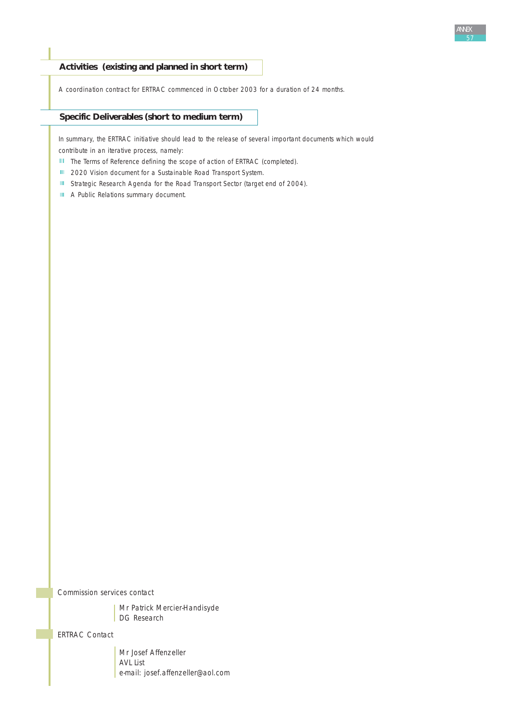# **Activities (existing and planned in short term)**

A coordination contract for ERTRAC commenced in October 2003 for a duration of 24 months.

## **Specific Deliverables (short to medium term)**

In summary, the ERTRAC initiative should lead to the release of several important documents which would contribute in an iterative process, namely:

- III The Terms of Reference defining the scope of action of ERTRAC (completed).
- **III** 2020 Vision document for a Sustainable Road Transport System.
- III Strategic Research Agenda for the Road Transport Sector (target end of 2004).
- **III** A Public Relations summary document.

*Commission services contact*

Mr Patrick Mercier-Handisyde DG Research

*ERTRAC Contact*

Mr Josef Affenzeller AVL List e-mail: josef.affenzeller@aol.com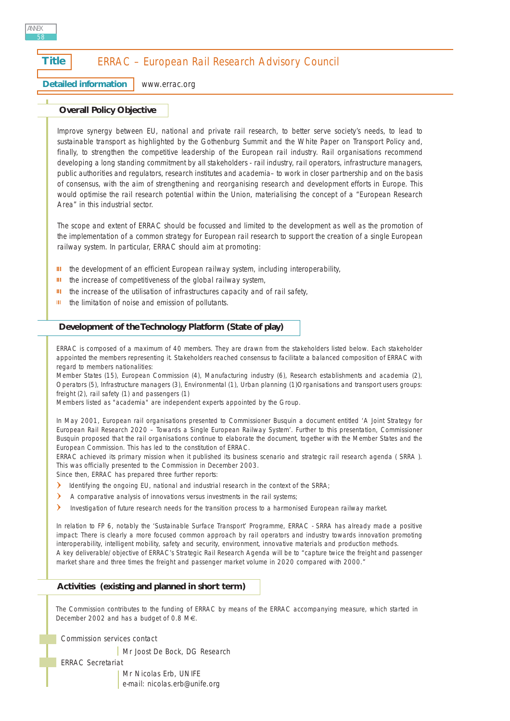# **Title | ERRAC – European Rail Research Advisory Council**

**Detailed information** [www.errac.org](http://www.errac.org)

# **Overall Policy Objective**

*Improve synergy between EU, national and private rail research, to better serve society's needs, to lead to sustainable transport as highlighted by the Gothenburg Summit and the White Paper on Transport Policy and, finally, to strengthen the competitive leadership of the European rail industry. Rail organisations recommend developing a long standing commitment by all stakeholders - rail industry, rail operators, infrastructure managers, public authorities and regulators, research institutes and academia– to work in closer partnership and on the basis of consensus, with the aim of strengthening and reorganising research and development efforts in Europe. This would optimise the rail research potential within the Union, materialising the concept of a "European Research Area" in this industrial sector.*

*The scope and extent of ERRAC should be focussed and limited to the development as well as the promotion of the implementation of a common strategy for European rail research to support the creation of a single European railway system. In particular, ERRAC should aim at promoting:*

- Ш *the development of an efficient European railway system, including interoperability,*
- m *the increase of competitiveness of the global railway system,*
- *the increase of the utilisation of infrastructures capacity and of rail safety,* m
- Ш. *the limitation of noise and emission of pollutants.*

# **Development of the Technology Platform (State of play)**

ERRAC is composed of a maximum of 40 members. They are drawn from the stakeholders listed below. Each stakeholder appointed the members representing it. Stakeholders reached consensus to facilitate a balanced composition of ERRAC with regard to members nationalities:

Member States (15), European Commission (4), Manufacturing industry (6), Research establishments and academia (2), Operators (5), Infrastructure managers (3), Environmental (1), Urban planning (1)Organisations and transport users groups: freight (2), rail safety (1) and passengers (1)

Members listed as "academia" are independent experts appointed by the Group.

In May 2001, European rail organisations presented to Commissioner Busquin a document entitled 'A Joint Strategy for European Rail Research 2020 – Towards a Single European Railway System'. Further to this presentation, Commissioner Busquin proposed that the rail organisations continue to elaborate the document, together with the Member States and the European Commission. This has led to the constitution of ERRAC.

ERRAC achieved its primary mission when it published its business scenario and strategic rail research agenda ( SRRA ). This was officially presented to the Commission in December 2003.

Since then, ERRAC has prepared three further reports:

- Identifying the ongoing EU, national and industrial research in the context of the SRRA;
- $\rightarrow$ A comparative analysis of innovations versus investments in the rail systems;
- $\rightarrow$ Investigation of future research needs for the transition process to a harmonised European railway market.

In relation to FP 6, notably the 'Sustainable Surface Transport' Programme, ERRAC - SRRA has already made a positive impact: There is clearly a more focused common approach by rail operators and industry towards innovation promoting interoperability, intelligent mobility, safety and security, environment, innovative materials and production methods. A key deliverable/objective of ERRAC's Strategic Rail Research Agenda will be to "capture twice the freight and passenger market share and three times the freight and passenger market volume in 2020 compared with 2000."

# **Activities (existing and planned in short term)**

The Commission contributes to the funding of ERRAC by means of the ERRAC accompanying measure, which started in December 2002 and has a budget of 0.8 M€.

*Commission services contact*

| Mr Joost De Bock, DG Research

*ERRAC Secretariat*

Mr Nicolas Erb, UNIFE e-mail: nicolas.erb@unife.org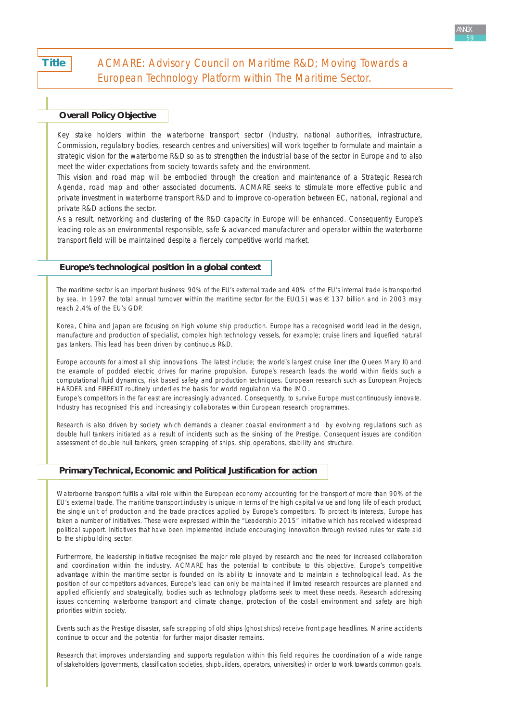**Title** 

# ACMARE: Advisory Council on Maritime R&D; Moving Towards a European Technology Platform within The Maritime Sector.

# **Overall Policy Objective**

*Key stake holders within the waterborne transport sector (Industry, national authorities, infrastructure, Commission, regulatory bodies, research centres and universities) will work together to formulate and maintain a strategic vision for the waterborne R&D so as to strengthen the industrial base of the sector in Europe and to also meet the wider expectations from society towards safety and the environment.* 

*This vision and road map will be embodied through the creation and maintenance of a Strategic Research Agenda, road map and other associated documents. ACMARE seeks to stimulate more effective public and private investment in waterborne transport R&D and to improve co-operation between EC, national, regional and private R&D actions the sector.* 

*As a result, networking and clustering of the R&D capacity in Europe will be enhanced. Consequently Europe's leading role as an environmental responsible, safe & advanced manufacturer and operator within the waterborne transport field will be maintained despite a fiercely competitive world market.*

### **Europe's technological position in a global context**

The maritime sector is an important business: 90% of the EU's external trade and 40% of the EU's internal trade is transported by sea. In 1997 the total annual turnover within the maritime sector for the EU(15) was  $\epsilon$  137 billion and in 2003 may reach 2.4% of the EU's GDP.

Korea, China and Japan are focusing on high volume ship production. Europe has a recognised world lead in the design, manufacture and production of specialist, complex high technology vessels, for example; cruise liners and liquefied natural gas tankers. This lead has been driven by continuous R&D.

Europe accounts for almost all ship innovations. The latest include; the world's largest cruise liner (the Queen Mary II) and the example of podded electric drives for marine propulsion. Europe's research leads the world within fields such a computational fluid dynamics, risk based safety and production techniques. European research such as European Projects HARDER and FIREEXIT routinely underlies the basis for world regulation via the IMO.

Europe's competitors in the far east are increasingly advanced. Consequently, to survive Europe must continuously innovate. Industry has recognised this and increasingly collaborates within European research programmes.

Research is also driven by society which demands a cleaner coastal environment and by evolving regulations such as double hull tankers initiated as a result of incidents such as the sinking of the Prestige. Consequent issues are condition assessment of double hull tankers, green scrapping of ships, ship operations, stability and structure.

#### **Primary Technical, Economic and Political Justification for action**

Waterborne transport fulfils a vital role within the European economy accounting for the transport of more than 90% of the EU's external trade. The maritime transport industry is unique in terms of the high capital value and long life of each product, the single unit of production and the trade practices applied by Europe's competitors. To protect its interests, Europe has taken a number of initiatives. These were expressed within the "Leadership 2015" initiative which has received widespread political support. Initiatives that have been implemented include encouraging innovation through revised rules for state aid to the shipbuilding sector.

Furthermore, the leadership initiative recognised the major role played by research and the need for increased collaboration and coordination within the industry. ACMARE has the potential to contribute to this objective. Europe's competitive advantage within the maritime sector is founded on its ability to innovate and to maintain a technological lead. As the position of our competitors advances, Europe's lead can only be maintained if limited research resources are planned and applied efficiently and strategically, bodies such as technology platforms seek to meet these needs. Research addressing issues concerning waterborne transport and climate change, protection of the costal environment and safety are high priorities within society.

Events such as the Prestige disaster, safe scrapping of old ships (ghost ships) receive front page headlines. Marine accidents continue to occur and the potential for further major disaster remains.

Research that improves understanding and supports regulation within this field requires the coordination of a wide range of stakeholders (governments, classification societies, shipbuilders, operators, universities) in order to work towards common goals.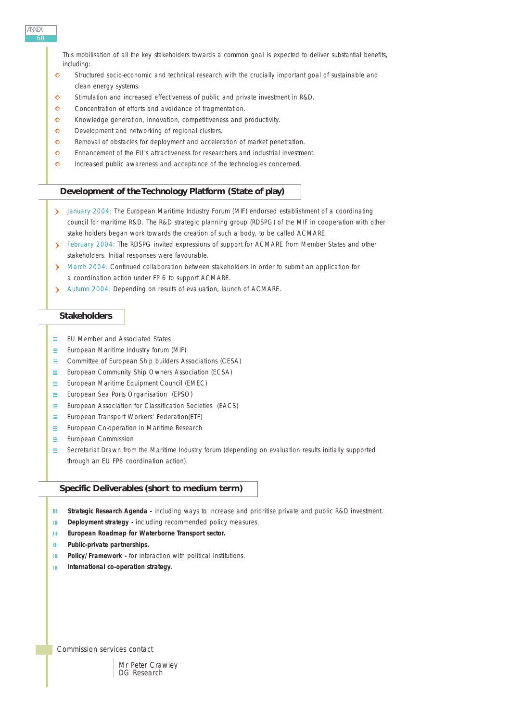ANNEX 60

> This mobilisation of all the key stakeholders towards a common goal is expected to deliver substantial benefits, including:

- $\bullet$ Structured socio-economic and technical research with the crucially important goal of sustainable and clean energy systems.
- $\bullet$ Stimulation and increased effectiveness of public and private investment in R&D.
- $\bullet$ Concentration of efforts and avoidance of fragmentation.
- $\Omega$ Knowledge generation, innovation, competitiveness and productivity.
- $\Omega$ Development and networking of regional clusters.
- Removal of obstacles for deployment and acceleration of market penetration.  $\Omega$
- $\Omega$ Enhancement of the EU's attractiveness for researchers and industrial investment.
- $\bullet$ Increased public awareness and acceptance of the technologies concerned.

# **Development of the Technology Platform (State of play)**

- > January 2004: The European Maritime Industry Forum (MIF) endorsed establishment of a coordinating council for maritime R&D. The R&D strategic planning group (RDSPG) of the MIF in cooperation with other stake holders began work towards the creation of such a body, to be called ACMARE.
- February 2004: The RDSPG invited expressions of support for ACMARE from Member States and other stakeholders. Initial responses were favourable.
- March 2004: Continued collaboration between stakeholders in order to submit an application for a coordination action under FP 6 to support ACMARE.
- Autumn 2004: Depending on results of evaluation, launch of ACMARE.

# **Stakeholders**

- $\equiv$   $\sim$ EU Member and Associated States
- $\equiv$ European Maritime Industry forum (MIF)
- Committee of European Ship builders Associations (CESA)  $\equiv$
- $\sim$  10  $\pm$ European Community Ship Owners Association (ECSA)
- $\equiv$ European Maritime Equipment Council (EMEC)
- $\equiv$  . European Sea Ports Organisation (EPSO)
- $\equiv$ European Association for Classification Societies (EACS)
- $=$ European Transport Workers' Federation(ETF)
- European Co-operation in Maritime Research Ξ.
- m. European Commission
- Secretariat Drawn from the Maritime Industry forum (depending on evaluation results initially supported  $\equiv$  . through an EU FP6 coordination action).

# **Specific Deliverables (short to medium term)**

- **Strategic Research Agenda -** including ways to increase and prioritise private and public R&D investment.  $\mathbf{H}$
- **Deployment strategy** including recommended policy measures.  $100\%$
- **European Roadmap for Waterborne Transport sector.**  $\mathbf{H}$
- **Public-private partnerships.** m.
- **Policy/Framework** for interaction with political institutions.  $\mathbf{m}$
- **International co-operation strategy.**  $\mathbf{H} \mathbf{L}$

*Commission services contact*

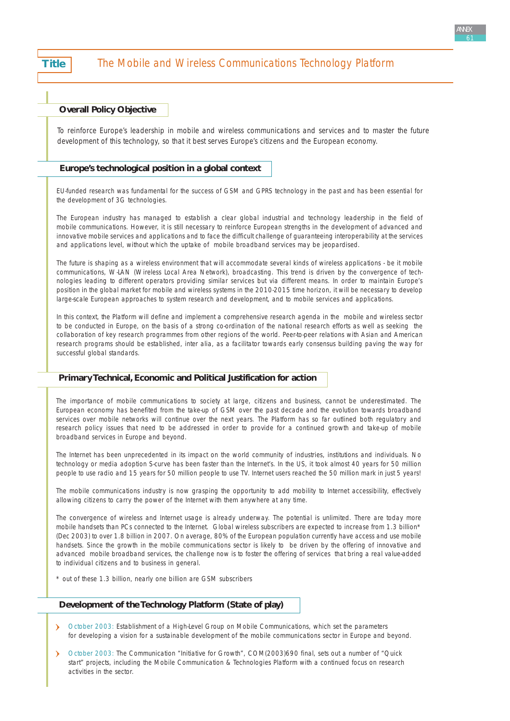# **Title The Mobile and Wireless Communications Technology Platform**

# **Overall Policy Objective**

*To reinforce Europe's leadership in mobile and wireless communications and services and to master the future development of this technology, so that it best serves Europe's citizens and the European economy.*

#### **Europe's technological position in a global context**

EU-funded research was fundamental for the success of GSM and GPRS technology in the past and has been essential for the development of 3G technologies.

The European industry has managed to establish a clear global industrial and technology leadership in the field of mobile communications. However, it is still necessary to reinforce European strengths in the development of advanced and innovative mobile services and applications and to face the difficult challenge of guaranteeing interoperability at the services and applications level, without which the uptake of mobile broadband services may be jeopardised.

The future is shaping as a wireless environment that will accommodate several kinds of wireless applications - be it mobile communications, W-LAN (Wireless Local Area Network), broadcasting. This trend is driven by the convergence of technologies leading to different operators providing similar services but via different means. In order to maintain Europe's position in the global market for mobile and wireless systems in the 2010-2015 time horizon, it will be necessary to develop large-scale European approaches to system research and development, and to mobile services and applications.

In this context, the Platform will define and implement a comprehensive research agenda in the mobile and wireless sector to be conducted in Europe, on the basis of a strong co-ordination of the national research efforts as well as seeking the collaboration of key research programmes from other regions of the world. Peer-to-peer relations with Asian and American research programs should be established, inter alia, as a facilitator towards early consensus building paving the way for successful global standards.

# **Primary Technical, Economic and Political Justification for action**

The importance of mobile communications to society at large, citizens and business, cannot be underestimated. The European economy has benefited from the take-up of GSM over the past decade and the evolution towards broadband services over mobile networks will continue over the next years. The Platform has so far outlined both regulatory and research policy issues that need to be addressed in order to provide for a continued growth and take-up of mobile broadband services in Europe and beyond.

The Internet has been unprecedented in its impact on the world community of industries, institutions and individuals. No technology or media adoption S-curve has been faster than the Internet's. In the US, it took almost 40 years for 50 million people to use radio and 15 years for 50 million people to use TV. Internet users reached the 50 million mark in just 5 years!

The mobile communications industry is now grasping the opportunity to add mobility to Internet accessibility, effectively allowing citizens to carry the power of the Internet with them anywhere at any time.

The convergence of wireless and Internet usage is already underway. The potential is unlimited. There are today more mobile handsets than PCs connected to the Internet. Global wireless subscribers are expected to increase from 1.3 billion\* (Dec 2003) to over 1.8 billion in 2007. On average, 80% of the European population currently have access and use mobile handsets. Since the growth in the mobile communications sector is likely to be driven by the offering of innovative and advanced mobile broadband services, the challenge now is to foster the offering of services that bring a real value-added to individual citizens and to business in general.

\* out of these 1.3 billion, nearly one billion are GSM subscribers

## **Development of the Technology Platform (State of play)**

- October 2003: Establishment of a High-Level Group on Mobile Communications, which set the parameters for developing a vision for a sustainable development of the mobile communications sector in Europe and beyond.
- October 2003: The Communication "Initiative for Growth", COM(2003)690 final, sets out a number of "Quick start" projects, including the Mobile Communication & Technologies Platform with a continued focus on research activities in the sector.

ANNEX 61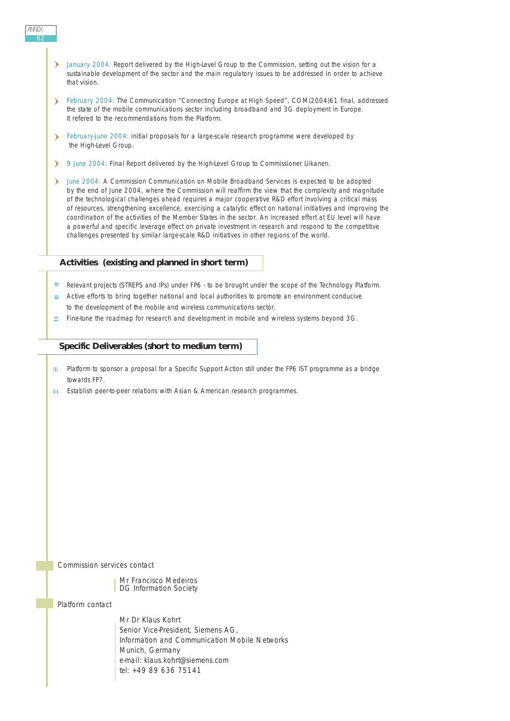- January 2004: Report delivered by the High-Level Group to the Commission, setting out the vision for a sustainable development of the sector and the main regulatory issues to be addressed in order to achieve that vision.
- February 2004: The Communication "Connecting Europe at High Speed", COM(2004)61 final, addressed the state of the mobile communications sector including broadband and 3G deployment in Europe. It refered to the recommendations from the Platform.
- February-June 2004: initial proposals for a large-scale research programme were developed by the High-Level Group.
- 9 June 2004: Final Report delivered by the High-Level Group to Commissioner Liikanen.
- > June 2004: A Commission Communication on Mobile Broadband Services is expected to be adopted by the end of June 2004, where the Commission will reaffirm the view that the complexity and magnitude of the technological challenges ahead requires a major cooperative R&D effort involving a critical mass of resources, strengthening excellence, exercising a catalytic effect on national initiatives and improving the coordination of the activities of the Member States in the sector. An increased effort at EU level will have a powerful and specific leverage effect on private investment in research and respond to the competitive challenges presented by similar large-scale R&D initiatives in other regions of the world.

#### **Activities (existing and planned in short term)**

- $\equiv$  Relevant projects (STREPS and IPs) under FP6 to be brought under the scope of the Technology Platform.
- $\equiv$  Active efforts to bring together national and local authorities to promote an environment conducive to the development of the mobile and wireless communications sector.
- $\equiv$  Fine-tune the roadmap for research and development in mobile and wireless systems beyond 3G.

#### **Specific Deliverables (short to medium term)**

- III Platform to sponsor a proposal for a Specific Support Action still under the FP6 IST programme as a bridge towards FP7.
- HL. Establish peer-to-peer relations with Asian & American research programmes.

*Commission services contact*

Mr Francisco Medeiros DG Information Society

*Platform contact*

Mr Dr Klaus Kohrt Senior Vice-President, Siemens AG, Information and Communication Mobile Networks Munich, Germany e-mail: klaus.kohrt@siemens.com tel: +49 89 636 75141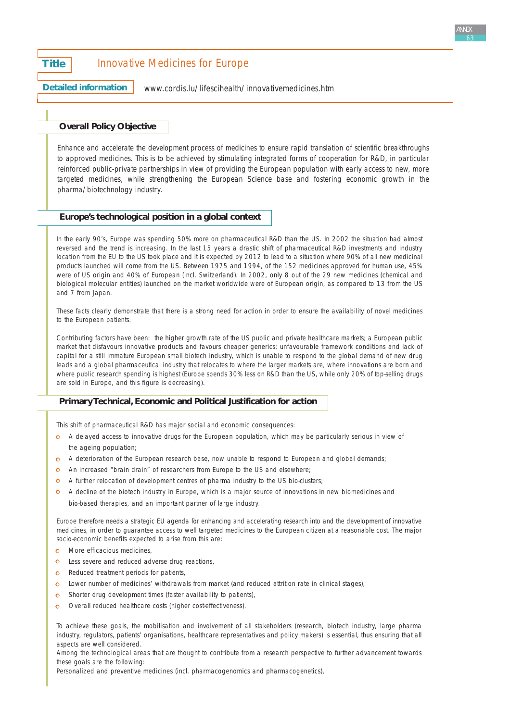# **Title** Innovative Medicines for Europe

**Detailed information**

[www.cordis.lu/lifescihealth/innovativemedicines.htm](http://www.cordis.lu/lifescihealth/innovativemedicines.htm)

# **Overall Policy Objective**

*Enhance and accelerate the development process of medicines to ensure rapid translation of scientific breakthroughs to approved medicines. This is to be achieved by stimulating integrated forms of cooperation for R&D, in particular reinforced public-private partnerships in view of providing the European population with early access to new, more targeted medicines, while strengthening the European Science base and fostering economic growth in the pharma/biotechnology industry.*

#### **Europe's technological position in a global context**

In the early 90's, Europe was spending 50% more on pharmaceutical R&D than the US. In 2002 the situation had almost reversed and the trend is increasing. In the last 15 years a drastic shift of pharmaceutical R&D investments and industry location from the EU to the US took place and it is expected by 2012 to lead to a situation where 90% of all new medicinal products launched will come from the US. Between 1975 and 1994, of the 152 medicines approved for human use, 45% were of US origin and 40% of European (incl. Switzerland). In 2002, only 8 out of the 29 new medicines (chemical and biological molecular entities) launched on the market worldwide were of European origin, as compared to 13 from the US and 7 from Japan.

These facts clearly demonstrate that there is a strong need for action in order to ensure the availability of novel medicines to the European patients.

Contributing factors have been: the higher growth rate of the US public and private healthcare markets; a European public market that disfavours innovative products and favours cheaper generics; unfavourable framework conditions and lack of capital for a still immature European small biotech industry, which is unable to respond to the global demand of new drug leads and a global pharmaceutical industry that relocates to where the larger markets are, where innovations are born and where public research spending is highest (Europe spends 30% less on R&D than the US, while only 20% of top-selling drugs are sold in Europe, and this figure is decreasing).

# **Primary Technical, Economic and Political Justification for action**

This shift of pharmaceutical R&D has major social and economic consequences:

- A delayed access to innovative drugs for the European population, which may be particularly serious in view of the ageing population;
- **C** A deterioration of the European research base, now unable to respond to European and global demands;
- An increased "brain drain" of researchers from Europe to the US and elsewhere;
- A further relocation of development centres of pharma industry to the US bio-clusters;
- **C** A decline of the biotech industry in Europe, which is a major source of innovations in new biomedicines and bio-based therapies, and an important partner of large industry.

Europe therefore needs a strategic EU agenda for enhancing and accelerating research into and the development of innovative medicines, in order to guarantee access to well targeted medicines to the European citizen at a reasonable cost. The major socio-economic benefits expected to arise from this are:

- **o** More efficacious medicines,
- **o** Less severe and reduced adverse drug reactions,
- **o** Reduced treatment periods for patients,
- Lower number of medicines' withdrawals from market (and reduced attrition rate in clinical stages),
- Shorter drug development times (faster availability to patients),
- o Overall reduced healthcare costs (higher cost-effectiveness).

To achieve these goals, the mobilisation and involvement of all stakeholders (research, biotech industry, large pharma industry, regulators, patients' organisations, healthcare representatives and policy makers) is essential, thus ensuring that all aspects are well considered.

Among the technological areas that are thought to contribute from a research perspective to further advancement towards these goals are the following:

Personalized and preventive medicines (incl. pharmacogenomics and pharmacogenetics),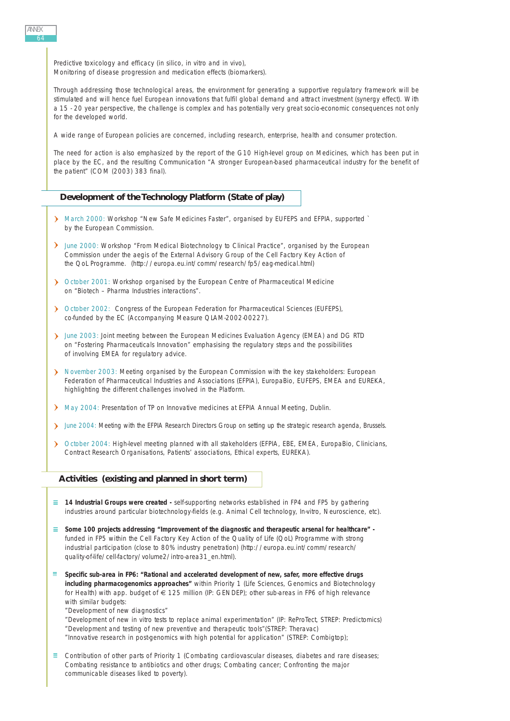Predictive toxicology and efficacy (in silico, in vitro and in vivo), Monitoring of disease progression and medication effects (biomarkers).

Through addressing those technological areas, the environment for generating a supportive regulatory framework will be stimulated and will hence fuel European innovations that fulfil global demand and attract investment (synergy effect). With a 15 - 20 year perspective, the challenge is complex and has potentially very great socio-economic consequences not only for the developed world.

A wide range of European policies are concerned, including research, enterprise, health and consumer protection.

The need for action is also emphasized by the report of the G10 High-level group on Medicines, which has been put in place by the EC, and the resulting Communication "A stronger European-based pharmaceutical industry for the benefit of the patient" (COM (2003) 383 final).

#### **Development of the Technology Platform (State of play)**

- > March 2000: Workshop "New Safe Medicines Faster", organised by EUFEPS and EFPIA, supported by the European Commission.
- > June 2000: Workshop "From Medical Biotechnology to Clinical Practice", organised by the European Commission under the aegis of the External Advisory Group of the Cell Factory Key Action of the QoL Programme. [\(http://europa.eu.int/comm/research/fp5/eag-medical.html\)](http://europa.eu.int/comm/research/fp5/eag-medical.html)
- October 2001: Workshop organised by the European Centre of Pharmaceutical Medicine on "Biotech – Pharma Industries interactions".
- October 2002: Congress of the European Federation for Pharmaceutical Sciences (EUFEPS), co-funded by the EC (Accompanying Measure QLAM-2002-00227).
- June 2003: Joint meeting between the European Medicines Evaluation Agency (EMEA) and DG RTD on "Fostering Pharmaceuticals Innovation" emphasising the regulatory steps and the possibilities of involving EMEA for regulatory advice.
- November 2003: Meeting organised by the European Commission with the key stakeholders: European Federation of Pharmaceutical Industries and Associations (EFPIA), EuropaBio, EUFEPS, EMEA and EUREKA, highlighting the different challenges involved in the Platform.
- May 2004: Presentation of TP on Innovative medicines at EFPIA Annual Meeting, Dublin.
- Iune 2004: Meeting with the EFPIA Research Directors Group on setting up the strategic research agenda, Brussels.
- > October 2004: High-level meeting planned with all stakeholders (EFPIA, EBE, EMEA, EuropaBio, Clinicians, Contract Research Organisations, Patients' associations, Ethical experts, EUREKA).

#### **Activities (existing and planned in short term)**

- **14 Industrial Groups were created -** self-supporting networks established in FP4 and FP5 by gathering industries around particular biotechnology-fields (e.g. Animal Cell technology, In-vitro, Neuroscience, etc).
- **Some 100 projects addressing "Improvement of the diagnostic and therapeutic arsenal for healthcare"**  funded in FP5 within the Cell Factory Key Action of the Quality of Life (QoL) Programme with strong industrial participation (close to 80% industry penetration) [\(http://europa.eu.int/comm/research/](http://europa.eu.int/comm/research/quality-of-life/cell-factory/volume2/intro-area31_en.html) [quality-of-life/cell-factory/volume2/intro-area31\\_en.html\)](http://europa.eu.int/comm/research/quality-of-life/cell-factory/volume2/intro-area31_en.html).
- **Specific sub-area in FP6: "Rational and accelerated development of new, safer, more effective drugs including pharmacogenomics approaches"** within Priority 1 (Life Sciences, Genomics and Biotechnology for Health) with app. budget of € 125 million (IP: GENDEP); other sub-areas in FP6 of high relevance with similar budgets:
	- "Development of new diagnostics"
	- "Development of new in vitro tests to replace animal experimentation" (IP: ReProTect, STREP: Predictomics) "Development and testing of new preventive and therapeutic tools"(STREP: Theravac) "Innovative research in post-genomics with high potential for application" (STREP: Combigtop);
- $\equiv$  Contribution of other parts of Priority 1 (Combating cardiovascular diseases, diabetes and rare diseases; Combating resistance to antibiotics and other drugs; Combating cancer; Confronting the major communicable diseases liked to poverty).

ANNEX 64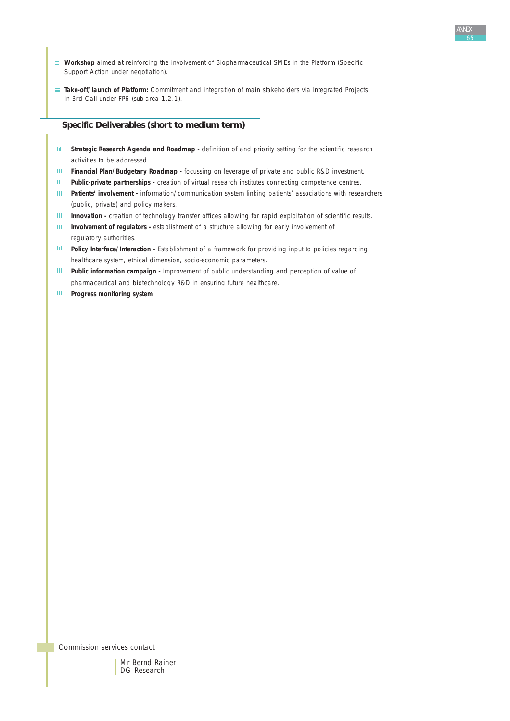- **Workshop** aimed at reinforcing the involvement of Biopharmaceutical SMEs in the Platform (Specific Support Action under negotiation).
- **Take-off/launch of Platform:** Commitment and integration of main stakeholders via Integrated Projects in 3rd Call under FP6 (sub-area 1.2.1).

## **Specific Deliverables (short to medium term)**

- **III** Strategic Research Agenda and Roadmap definition of and priority setting for the scientific research activities to be addressed.
- **Financial Plan/Budgetary Roadmap -** focussing on leverage of private and public R&D investment.
- **III** Public-private partnerships creation of virtual research institutes connecting competence centres.
- **Patients' involvement -** information/communication system linking patients' associations with researchers  $\mathbf{H}$ (public, private) and policy makers.
- **Innovation -** creation of technology transfer offices allowing for rapid exploitation of scientific results.  $\mathbf{H}$
- $\mathbf{m}$ **Involvement of regulators -** establishment of a structure allowing for early involvement of regulatory authorities.
- $\mathbf{H}$ **Policy Interface/Interaction -** Establishment of a framework for providing input to policies regarding healthcare system, ethical dimension, socio-economic parameters.
- $\mathbf{m}$ **Public information campaign -** Improvement of public understanding and perception of value of pharmaceutical and biotechnology R&D in ensuring future healthcare.
- **Progress monitoring system**  $\mathbf{H} \mathbf{L}$

*Commission services contact*

Mr Bernd Rainer DG Research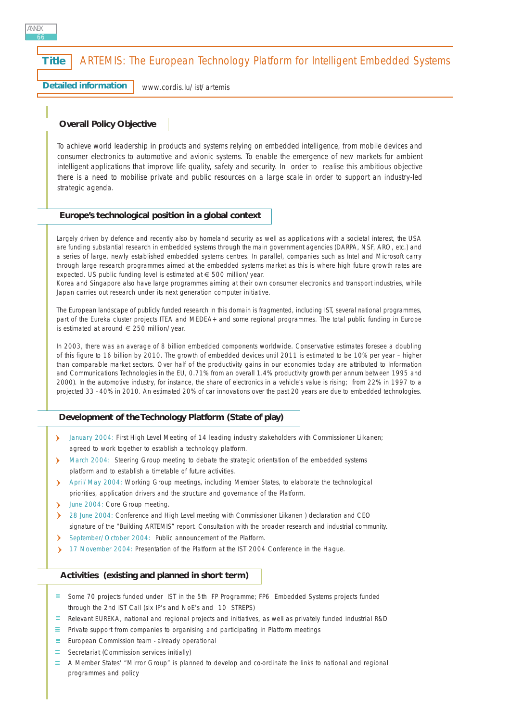# **Title | ARTEMIS: The European Technology Platform for Intelligent Embedded Systems**

**Detailed information** [www.cordis.lu/ist/artemis](http://www.cordis.lu/ist/artemis)

#### **Overall Policy Objective**

*To achieve world leadership in products and systems relying on embedded intelligence, from mobile devices and consumer electronics to automotive and avionic systems. To enable the emergence of new markets for ambient intelligent applications that improve life quality, safety and security. In order to realise this ambitious objective there is a need to mobilise private and public resources on a large scale in order to support an industry-led strategic agenda.*

#### **Europe's technological position in a global context**

Largely driven by defence and recently also by homeland security as well as applications with a societal interest, the USA are funding substantial research in embedded systems through the main government agencies (DARPA, NSF, ARO, etc.) and a series of large, newly established embedded systems centres. In parallel, companies such as Intel and Microsoft carry through large research programmes aimed at the embedded systems market as this is where high future growth rates are expected. US public funding level is estimated at € 500 million/year.

Korea and Singapore also have large programmes aiming at their own consumer electronics and transport industries, while Japan carries out research under its next generation computer initiative.

The European landscape of publicly funded research in this domain is fragmented, including IST, several national programmes, part of the Eureka cluster projects ITEA and MEDEA+ and some regional programmes. The total public funding in Europe is estimated at around  $\epsilon$  250 million/year.

In 2003, there was an average of 8 billion embedded components worldwide. Conservative estimates foresee a doubling of this figure to 16 billion by 2010. The growth of embedded devices until 2011 is estimated to be 10% per year – higher than comparable market sectors. Over half of the productivity gains in our economies today are attributed to Information and Communications Technologies in the EU, 0.71% from an overall 1.4% productivity growth per annum between 1995 and 2000). In the automotive industry, for instance, the share of electronics in a vehicle's value is rising; from 22% in 1997 to a projected 33 - 40% in 2010. An estimated 20% of car innovations over the past 20 years are due to embedded technologies.

#### **Development of the Technology Platform (State of play)**

- > January 2004: First High Level Meeting of 14 leading industry stakeholders with Commissioner Liikanen; agreed to work together to establish a technology platform.
- > March 2004: Steering Group meeting to debate the strategic orientation of the embedded systems platform and to establish a timetable of future activities.
- April/May 2004: Working Group meetings, including Member States, to elaborate the technological priorities, application drivers and the structure and governance of the Platform.
- June 2004: Core Group meeting.  $\mathbf{v}$
- 28 June 2004: Conference and High Level meeting with Commissioner Liikanen ) declaration and CEO  $\lambda$ signature of the "Building ARTEMIS" report. Consultation with the broader research and industrial community.
- September/October 2004: Public announcement of the Platform.
- 17 November 2004: Presentation of the Platform at the IST 2004 Conference in the Hague.

#### **Activities (existing and planned in short term)**

- $\equiv$  Some 70 projects funded under IST in the 5th FP Programme; FP6 Embedded Systems projects funded through the 2nd IST Call (six IP's and NoE's and 10 STREPS)
- $\equiv$  Relevant EUREKA, national and regional projects and initiatives, as well as privately funded industrial R&D
- $\equiv$  Private support from companies to organising and participating in Platform meetings
- $\equiv$  European Commission team already operational
- $\equiv$  Secretariat (Commission services initially)
- $\equiv$  A Member States' "Mirror Group" is planned to develop and co-ordinate the links to national and regional programmes and policy

ANNEX 66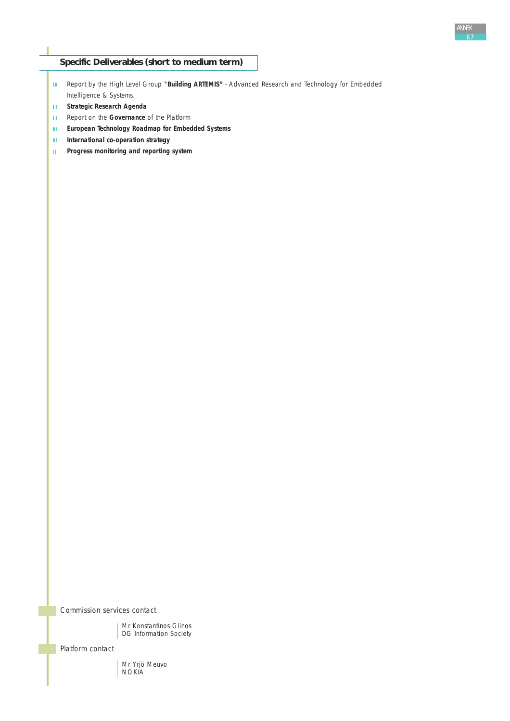# **Specific Deliverables (short to medium term)**

- Report by the High Level Group **"Building ARTEMIS"** Advanced Research and Technology for Embedded Intelligence & Systems.
- **Strategic Research Agenda**
- **Report on the Governance of the Platform**
- $\mathbf{m}^{\mathrm{eff}}$ **European Technology Roadmap for Embedded Systems**
- $\mathbf{m}^{(1)}$ **International co-operation strategy**
- **Progress monitoring and reporting system**

*Commission services contact*

Mr Konstantinos Glinos DG Information Society

*Platform contact*

Mr Yrjö Meuvo NOKIA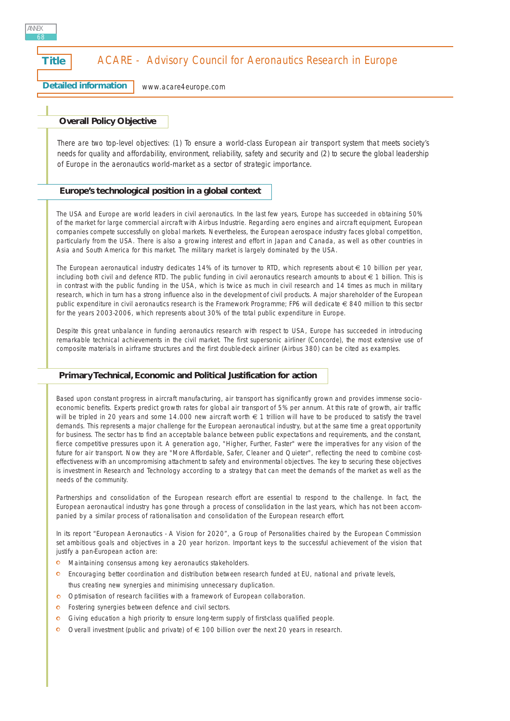# **Title | ACARE - Advisory Council for Aeronautics Research in Europe**

**Detailed information**

[www.acare4europe.com](http://www.acare4europe.com)

# **Overall Policy Objective**

*There are two top-level objectives: (1) To ensure a world-class European air transport system that meets society's needs for quality and affordability, environment, reliability, safety and security and (2) to secure the global leadership of Europe in the aeronautics world-market as a sector of strategic importance.*

## **Europe's technological position in a global context**

The USA and Europe are world leaders in civil aeronautics. In the last few years, Europe has succeeded in obtaining 50% of the market for large commercial aircraft with Airbus Industrie. Regarding aero engines and aircraft equipment, European companies compete successfully on global markets. Nevertheless, the European aerospace industry faces global competition, particularly from the USA. There is also a growing interest and effort in Japan and Canada, as well as other countries in Asia and South America for this market. The military market is largely dominated by the USA.

The European aeronautical industry dedicates 14% of its turnover to RTD, which represents about  $\in$  10 billion per year, including both civil and defence RTD. The public funding in civil aeronautics research amounts to about € 1 billion. This is in contrast with the public funding in the USA, which is twice as much in civil research and 14 times as much in military research, which in turn has a strong influence also in the development of civil products. A major shareholder of the European public expenditure in civil aeronautics research is the Framework Programme; FP6 will dedicate € 840 million to this sector for the years 2003-2006, which represents about 30% of the total public expenditure in Europe.

Despite this great unbalance in funding aeronautics research with respect to USA, Europe has succeeded in introducing remarkable technical achievements in the civil market. The first supersonic airliner (Concorde), the most extensive use of composite materials in airframe structures and the first double-deck airliner (Airbus 380) can be cited as examples.

#### **Primary Technical, Economic and Political Justification for action**

Based upon constant progress in aircraft manufacturing, air transport has significantly grown and provides immense socioeconomic benefits. Experts predict growth rates for global air transport of 5% per annum. At this rate of growth, air traffic will be tripled in 20 years and some 14.000 new aircraft worth € 1 trillion will have to be produced to satisfy the travel demands. This represents a major challenge for the European aeronautical industry, but at the same time a great opportunity for business. The sector has to find an acceptable balance between public expectations and requirements, and the constant, fierce competitive pressures upon it. A generation ago, "Higher, Further, Faster" were the imperatives for any vision of the future for air transport. Now they are "More Affordable, Safer, Cleaner and Quieter", reflecting the need to combine costeffectiveness with an uncompromising attachment to safety and environmental objectives. The key to securing these objectives is investment in Research and Technology according to a strategy that can meet the demands of the market as well as the needs of the community.

Partnerships and consolidation of the European research effort are essential to respond to the challenge. In fact, the European aeronautical industry has gone through a process of consolidation in the last years, which has not been accompanied by a similar process of rationalisation and consolidation of the European research effort.

In its report "European Aeronautics - A Vision for 2020", a Group of Personalities chaired by the European Commission set ambitious goals and objectives in a 20 year horizon. Important keys to the successful achievement of the vision that justify a pan-European action are:

- **O** Maintaining consensus among key aeronautics stakeholders.
- **C** Encouraging better coordination and distribution between research funded at EU, national and private levels, thus creating new synergies and minimising unnecessary duplication.
- Optimisation of research facilities with a framework of European collaboration.  $\mathbf{o}$
- $\bullet$ Fostering synergies between defence and civil sectors.
- Giving education a high priority to ensure long-term supply of first-class qualified people.  $\bullet$
- Overall investment (public and private) of  $\epsilon$  100 billion over the next 20 years in research.

ANNEX 68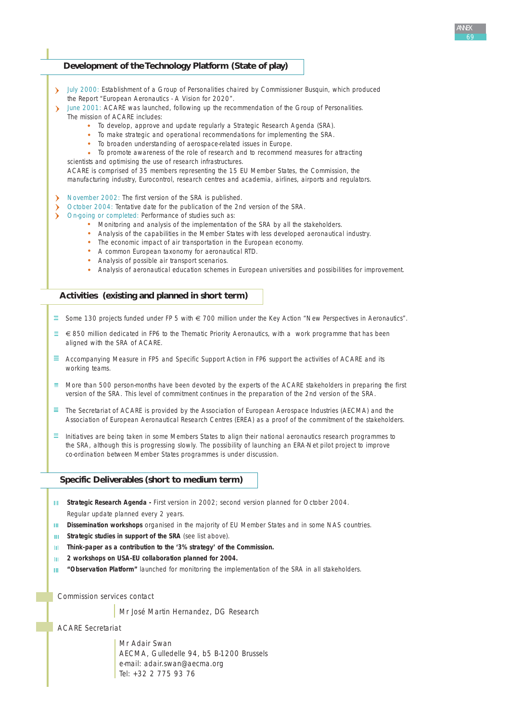# **Development of the Technology Platform (State of play)**

- July 2000: Establishment of a Group of Personalities chaired by Commissioner Busquin, which produced the Report "European Aeronautics - A Vision for 2020".
- June 2001: ACARE was launched, following up the recommendation of the Group of Personalities. The mission of ACARE includes:
	- To develop, approve and update regularly a Strategic Research Agenda (SRA).
	- To make strategic and operational recommendations for implementing the SRA.
	- To broaden understanding of aerospace-related issues in Europe.
	- $\sim$ To promote awareness of the role of research and to recommend measures for attracting
	- scientists and optimising the use of research infrastructures.

ACARE is comprised of 35 members representing the 15 EU Member States, the Commission, the manufacturing industry, Eurocontrol, research centres and academia, airlines, airports and regulators.

- November 2002: The first version of the SRA is published.
- October 2004: Tentative date for the publication of the 2nd version of the SRA.
- On-going or completed: Performance of studies such as:
	- Monitoring and analysis of the implementation of the SRA by all the stakeholders.
	- Analysis of the capabilities in the Member States with less developed aeronautical industry.
	- The economic impact of air transportation in the European economy.
	- A common European taxonomy for aeronautical RTD.
	- Analysis of possible air transport scenarios.
	- Analysis of aeronautical education schemes in European universities and possibilities for improvement.

#### **Activities (existing and planned in short term)**

- $\equiv$  Some 130 projects funded under FP 5 with € 700 million under the Key Action "New Perspectives in Aeronautics".
- $\equiv \epsilon$  850 million dedicated in FP6 to the Thematic Priority Aeronautics, with a work programme that has been aligned with the SRA of ACARE.
- Accompanying Measure in FP5 and Specific Support Action in FP6 support the activities of ACARE and its working teams.
- $\equiv$  More than 500 person-months have been devoted by the experts of the ACARE stakeholders in preparing the first version of the SRA. This level of commitment continues in the preparation of the 2nd version of the SRA.
- $\equiv$  The Secretariat of ACARE is provided by the Association of European Aerospace Industries (AECMA) and the Association of European Aeronautical Research Centres (EREA) as a proof of the commitment of the stakeholders.
- $\equiv$  Initiatives are being taken in some Members States to align their national aeronautics research programmes to the SRA, although this is progressing slowly. The possibility of launching an ERA-Net pilot project to improve co-ordination between Member States programmes is under discussion.

# **Specific Deliverables (short to medium term)**

- **III** Strategic Research Agenda First version in 2002; second version planned for October 2004. Regular update planned every 2 years.
- **Dissemination workshops** organised in the majority of EU Member States and in some NAS countries.
- **Strategic studies in support of the SRA** (see list above). **THE ST**
- $\mathbf{III}$  . **Think-paper as a contribution to the '3% strategy' of the Commission.**
- **2 workshops on USA-EU collaboration planned for 2004.**  $\mathbf{H}$
- **"Observation Platform"** launched for monitoring the implementation of the SRA in all stakeholders. m.

*Commission services contact*

Mr José Martin Hernandez, DG Research

*ACARE Secretariat*

Mr Adair Swan AECMA, Gulledelle 94, b5 B-1200 Brussels e-mail: adair.swan@aecma.org Tel: +32 2 775 93 76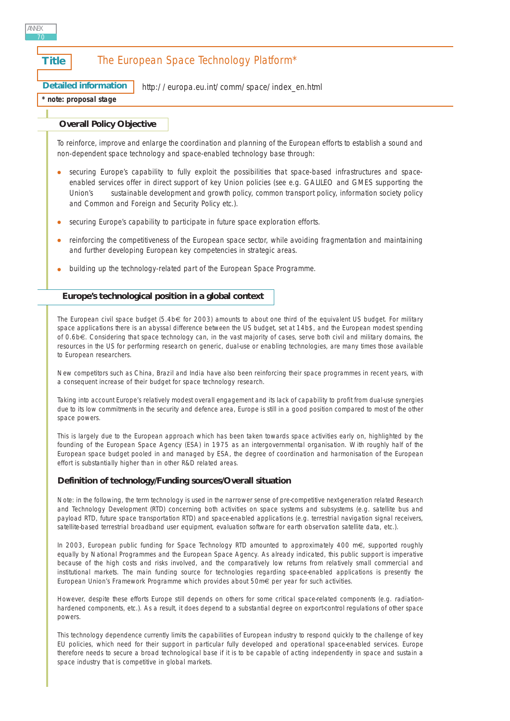| ANNEX | 70           |                                                     |                                               |  |
|-------|--------------|-----------------------------------------------------|-----------------------------------------------|--|
|       | <b>Title</b> |                                                     | The European Space Technology Platform*       |  |
|       |              | <b>Detailed information</b><br>note: proposal stage | http://europa.eu.int/comm/space/index_en.html |  |
|       |              |                                                     |                                               |  |

### **Overall Policy Objective**

*To reinforce, improve and enlarge the coordination and planning of the European efforts to establish a sound and non-dependent space technology and space-enabled technology base through:*

- *securing Europe's capability to fully exploit the possibilities that space-based infrastructures and spaceenabled services offer in direct support of key Union policies (see e.g. GALILEO and GMES supporting the Union's sustainable development and growth policy, common transport policy, information society policy and Common and Foreign and Security Policy etc.).*
- *securing Europe's capability to participate in future space exploration efforts.*
- *reinforcing the competitiveness of the European space sector, while avoiding fragmentation and maintaining and further developing European key competencies in strategic areas.*
- *building up the technology-related part of the European Space Programme.*

# **Europe's technological position in a global context**

The European civil space budget (5.4b€ for 2003) amounts to about one third of the equivalent US budget. For military space applications there is an abyssal difference between the US budget, set at 14b\$, and the European modest spending of 0.6b€. Considering that space technology can, in the vast majority of cases, serve both civil and military domains, the resources in the US for performing research on generic, dual-use or enabling technologies, are many times those available to European researchers.

New competitors such as China, Brazil and India have also been reinforcing their space programmes in recent years, with a consequent increase of their budget for space technology research.

Taking into account Europe's relatively modest overall engagement and its lack of capability to profit from dual-use synergies due to its low commitments in the security and defence area, Europe is still in a good position compared to most of the other space powers.

This is largely due to the European approach which has been taken towards space activities early on, highlighted by the founding of the European Space Agency (ESA) in 1975 as an intergovernmental organisation. With roughly half of the European space budget pooled in and managed by ESA, the degree of coordination and harmonisation of the European effort is substantially higher than in other R&D related areas.

#### **Definition of technology/Funding sources/Overall situation**

*Note: in the following, the term technology is used in the narrower sense of pre-competitive next-generation related Research and Technology Development (RTD) concerning both activities on space systems and subsystems (e.g. satellite bus and payload RTD, future space transportation RTD) and space-enabled applications (e.g. terrestrial navigation signal receivers, satellite-based terrestrial broadband user equipment, evaluation software for earth observation satellite data, etc.).*

In 2003, European public funding for Space Technology RTD amounted to approximately 400 m€, supported roughly equally by National Programmes and the European Space Agency. As already indicated, this public support is imperative because of the high costs and risks involved, and the comparatively low returns from relatively small commercial and institutional markets. The main funding source for technologies regarding space-enabled applications is presently the European Union's Framework Programme which provides about 50m€ per year for such activities.

However, despite these efforts Europe still depends on others for some critical space-related components (e.g. radiationhardened components, etc.). As a result, it does depend to a substantial degree on export-control regulations of other space powers.

This technology dependence currently limits the capabilities of European industry to respond quickly to the challenge of key EU policies, which need for their support in particular fully developed and operational space-enabled services. Europe therefore needs to secure a broad technological base if it is to be capable of acting independently in space and sustain a space industry that is competitive in global markets.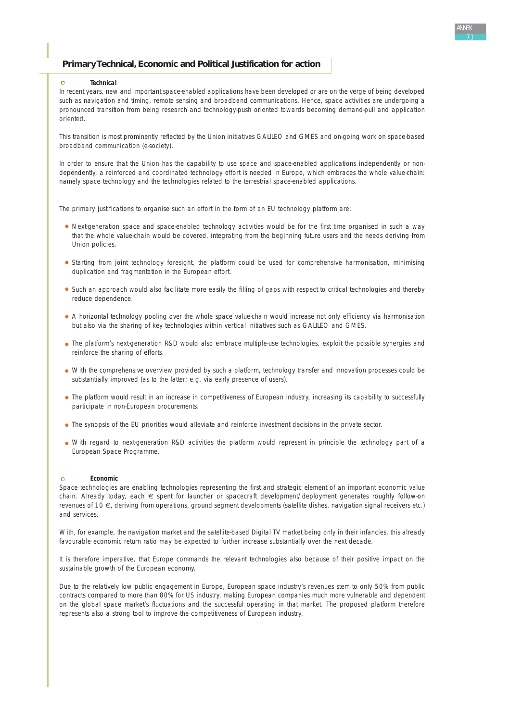### **Primary Technical, Economic and Political Justification for action**

#### **Technical**

 $\Omega$ 

In recent years, new and important space-enabled applications have been developed or are on the verge of being developed such as navigation and timing, remote sensing and broadband communications. Hence, space activities are undergoing a pronounced transition from being research and technology-push oriented towards becoming demand-pull and application oriented.

This transition is most prominently reflected by the Union initiatives GALILEO and GMES and on-going work on space-based broadband communication (e-society).

In order to ensure that the Union has the capability to use space and space-enabled applications independently or nondependently, a reinforced and coordinated technology effort is needed in Europe, which embraces the whole value-chain: namely space technology and the technologies related to the terrestrial space-enabled applications.

The primary justifications to organise such an effort in the form of an EU technology platform are:

- Next-generation space and space-enabled technology activities would be for the first time organised in such a way that the whole value-chain would be covered, integrating from the beginning future users and the needs deriving from Union policies.
- Starting from joint technology foresight, the platform could be used for comprehensive harmonisation, minimising duplication and fragmentation in the European effort.
- Such an approach would also facilitate more easily the filling of gaps with respect to critical technologies and thereby reduce dependence.
- A horizontal technology pooling over the whole space value-chain would increase not only efficiency via harmonisation but also via the sharing of key technologies within vertical initiatives such as GALILEO and GMES.
- The platform's next-generation R&D would also embrace multiple-use technologies, exploit the possible synergies and reinforce the sharing of efforts.
- With the comprehensive overview provided by such a platform, technology transfer and innovation processes could be substantially improved (as to the latter: e.g. via early presence of users).
- The platform would result in an increase in competitiveness of European industry, increasing its capability to successfully participate in non-European procurements.
- The synopsis of the EU priorities would alleviate and reinforce investment decisions in the private sector.
- With regard to next-generation R&D activities the platform would represent in principle the technology part of a European Space Programme.

#### **Economic**

Space technologies are enabling technologies representing the first and strategic element of an important economic value chain. Already today, each € spent for launcher or spacecraft development/deployment generates roughly follow-on revenues of 10 €, deriving from operations, ground segment developments (satellite dishes, navigation signal receivers etc.) and services.

With, for example, the navigation market and the satellite-based Digital TV market being only in their infancies, this already favourable economic return ratio may be expected to further increase substantially over the next decade.

It is therefore imperative, that Europe commands the relevant technologies also because of their positive impact on the sustainable growth of the European economy.

Due to the relatively low public engagement in Europe, European space industry's revenues stem to only 50% from public contracts compared to more than 80% for US industry, making European companies much more vulnerable and dependent on the global space market's fluctuations and the successful operating in that market. The proposed platform therefore represents also a strong tool to improve the competitiveness of European industry.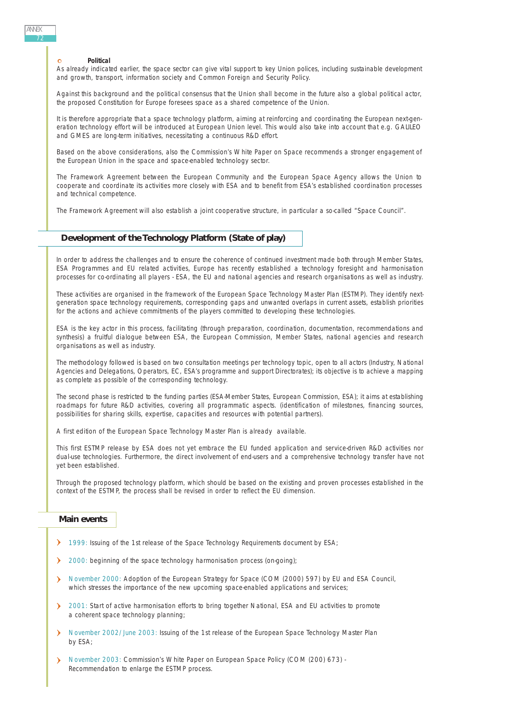#### **Political**

As already indicated earlier, the space sector can give vital support to key Union polices, including sustainable development and growth, transport, information society and Common Foreign and Security Policy.

Against this background and the political consensus that the Union shall become in the future also a global political actor, the proposed Constitution for Europe foresees space as a shared competence of the Union.

It is therefore appropriate that a space technology platform, aiming at reinforcing and coordinating the European next-generation technology effort will be introduced at European Union level. This would also take into account that e.g. GALILEO and GMES are long-term initiatives, necessitating a continuous R&D effort.

Based on the above considerations, also the Commission's White Paper on Space recommends a stronger engagement of the European Union in the space and space-enabled technology sector.

The Framework Agreement between the European Community and the European Space Agency allows the Union to cooperate and coordinate its activities more closely with ESA and to benefit from ESA's established coordination processes and technical competence.

The Framework Agreement will also establish a joint cooperative structure, in particular a so-called "Space Council".

# **Development of the Technology Platform (State of play)**

In order to address the challenges and to ensure the coherence of continued investment made both through Member States, ESA Programmes and EU related activities, Europe has recently established a technology foresight and harmonisation processes for co-ordinating all players - ESA, the EU and national agencies and research organisations as well as industry.

These activities are organised in the framework of the European Space Technology Master Plan (ESTMP). They identify nextgeneration space technology requirements, corresponding gaps and unwanted overlaps in current assets, establish priorities for the actions and achieve commitments of the players committed to developing these technologies.

ESA is the key actor in this process, facilitating (through preparation, coordination, documentation, recommendations and synthesis) a fruitful dialogue between ESA, the European Commission, Member States, national agencies and research organisations as well as industry.

The methodology followed is based on two consultation meetings per technology topic, open to all actors (Industry, National Agencies and Delegations, Operators, EC, ESA's programme and support Directorates); its objective is to achieve a mapping as complete as possible of the corresponding technology.

The second phase is restricted to the funding parties (ESA-Member States, European Commission, ESA); it aims at establishing roadmaps for future R&D activities, covering all programmatic aspects. (identification of milestones, financing sources, possibilities for sharing skills, expertise, capacities and resources with potential partners).

A first edition of the European Space Technology Master Plan is already available.

This first ESTMP release by ESA does not yet embrace the EU funded application and service-driven R&D activities nor dual-use technologies. Furthermore, the direct involvement of end-users and a comprehensive technology transfer have not yet been established.

Through the proposed technology platform, which should be based on the existing and proven processes established in the context of the ESTMP, the process shall be revised in order to reflect the EU dimension.

#### **Main events**

- 1999: Issuing of the 1st release of the Space Technology Requirements document by ESA;
- 2000: beginning of the space technology harmonisation process (on-going);
- November 2000: Adoption of the European Strategy for Space (COM (2000) 597) by EU and ESA Council, which stresses the importance of the new upcoming space-enabled applications and services;
- <sup>2</sup> 2001: Start of active harmonisation efforts to bring together National, ESA and EU activities to promote a coherent space technology planning;
- November 2002/June 2003: Issuing of the 1st release of the European Space Technology Master Plan by ESA;
- November 2003: Commission's White Paper on European Space Policy (COM (200) 673)  $\lambda$ Recommendation to enlarge the ESTMP process.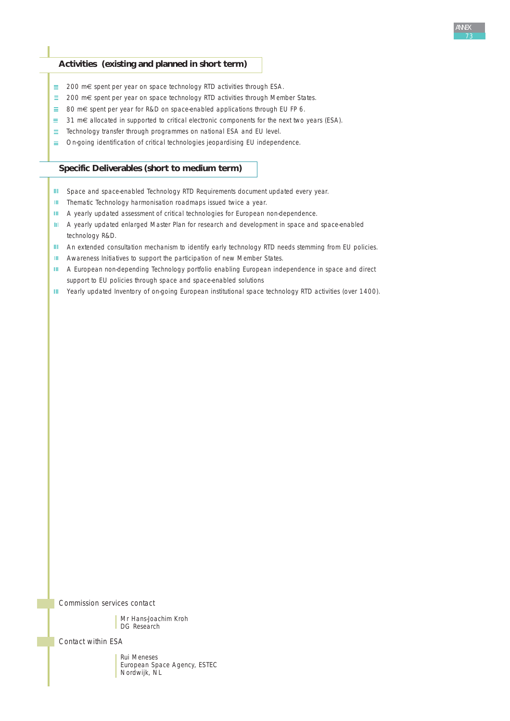## **Activities (existing and planned in short term)**

- 200 m€ spent per year on space technology RTD activities through ESA.
- 200 m€ spent per year on space technology RTD activities through Member States.
- $\equiv$  80 m€ spent per year for R&D on space-enabled applications through EU FP 6.
- $\equiv$  31 m€ allocated in supported to critical electronic components for the next two years (ESA).
- $\equiv$  Technology transfer through programmes on national ESA and EU level.
- On-going identification of critical technologies jeopardising EU independence.

## **Specific Deliverables (short to medium term)**

- III Space and space-enabled Technology RTD Requirements document updated every year.
- **III** Thematic Technology harmonisation roadmaps issued twice a year.
- **III** A yearly updated assessment of critical technologies for European non-dependence.
- III A yearly updated enlarged Master Plan for research and development in space and space-enabled technology R&D.
- III An extended consultation mechanism to identify early technology RTD needs stemming from EU policies.
- **III** Awareness Initiatives to support the participation of new Member States.
- A European non-depending Technology portfolio enabling European independence in space and direct support to EU policies through space and space-enabled solutions
- III Yearly updated Inventory of on-going European institutional space technology RTD activities (over 1400).

*Commission services contact*

Mr Hans-Joachim Kroh DG Research

*Contact within ESA* 

Rui Meneses European Space Agency, ESTEC Nordwijk, NL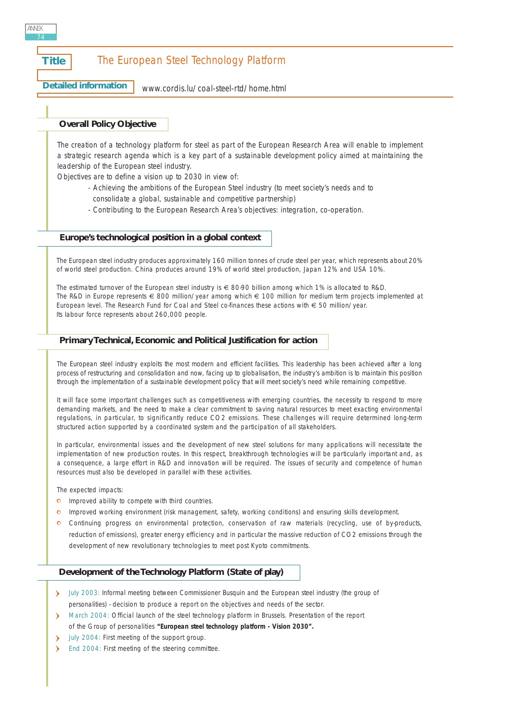## **Title** The European Steel Technology Platform

**Detailed information**

## [www.cordis.lu/coal-steel-rtd/home.html](http://www.cordis.lu/coal-steel-rtd/home.html)

## **Overall Policy Objective**

*The creation of a technology platform for steel as part of the European Research Area will enable to implement a strategic research agenda which is a key part of a sustainable development policy aimed at maintaining the leadership of the European steel industry.* 

*Objectives are to define a vision up to 2030 in view of:*

- *Achieving the ambitions of the European Steel industry (to meet society's needs and to consolidate a global, sustainable and competitive partnership)*
- *Contributing to the European Research Area's objectives: integration, co-operation.*

## **Europe's technological position in a global context**

The European steel industry produces approximately 160 million tonnes of crude steel per year, which represents about 20% of world steel production. China produces around 19% of world steel production, Japan 12% and USA 10%.

The estimated turnover of the European steel industry is € 80-90 billion among which 1% is allocated to R&D. The R&D in Europe represents € 800 million/year among which € 100 million for medium term projects implemented at European level. The Research Fund for Coal and Steel co-finances these actions with € 50 million/year. Its labour force represents about 260,000 people.

## **Primary Technical, Economic and Political Justification for action**

The European steel industry exploits the most modern and efficient facilities. This leadership has been achieved after a long process of restructuring and consolidation and now, facing up to globalisation, the industry's ambition is to maintain this position through the implementation of a sustainable development policy that will meet society's need while remaining competitive.

It will face some important challenges such as competitiveness with emerging countries, the necessity to respond to more demanding markets, and the need to make a clear commitment to saving natural resources to meet exacting environmental regulations, in particular, to significantly reduce CO2 emissions. These challenges will require determined long-term structured action supported by a coordinated system and the participation of all stakeholders.

In particular, environmental issues and the development of new steel solutions for many applications will necessitate the implementation of new production routes. In this respect, breakthrough technologies will be particularly important and, as a consequence, a large effort in R&D and innovation will be required. The issues of security and competence of human resources must also be developed in parallel with these activities.

The expected impacts:

- **o** Improved ability to compete with third countries.
- **IMPTOR** Improved working environment (risk management, safety, working conditions) and ensuring skills development.
- Continuing progress on environmental protection, conservation of raw materials (recycling, use of by-products, reduction of emissions), greater energy efficiency and in particular the massive reduction of CO2 emissions through the development of new revolutionary technologies to meet post Kyoto commitments.

## **Development of the Technology Platform (State of play)**

- > July 2003: Informal meeting between Commissioner Busquin and the European steel industry (the group of personalities) - decision to produce a report on the objectives and needs of the sector.
- March 2004: Official launch of the steel technology platform in Brussels. Presentation of the report of the Group of personalities **"European steel technology platform - Vision 2030".**
- July 2004: First meeting of the support group.
- End 2004: First meeting of the steering committee.

ANNEX 74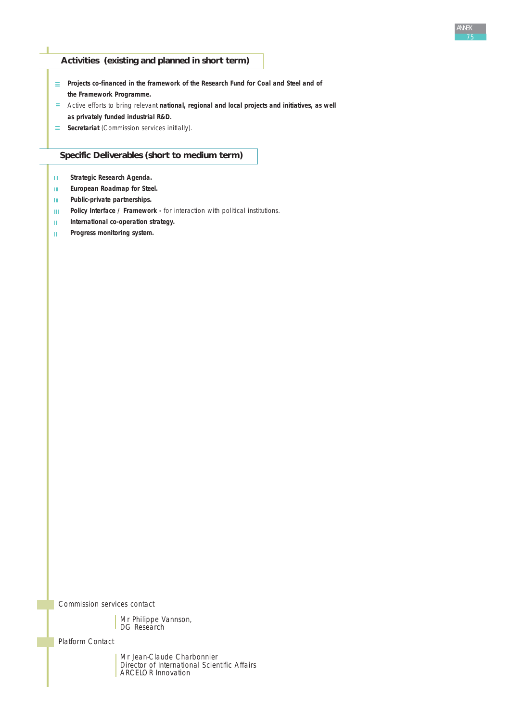## **Activities (existing and planned in short term)**

- **Projects co-financed in the framework of the Research Fund for Coal and Steel and of the Framework Programme.**
- Active efforts to bring relevant **national, regional and local projects and initiatives, as well as privately funded industrial R&D.**
- **Secretariat** (Commission services initially).

## **Specific Deliverables (short to medium term)**

- **Strategic Research Agenda.**   $\mathbf{H}^{\dagger}$
- **European Roadmap for Steel.**  $\rm HI$  .
- **Public-private partnerships.**  $\mathbf{III}^{\pm}$
- Policy Interface / Framework for interaction with political institutions.  $\bar{\mathbf{H}}$
- **International co-operation strategy.**  $\mathbf{H}^{\prime}$
- $10^{\circ}$ **Progress monitoring system.**

*Commission services contact*

Mr Philippe Vannson, DG Research

*Platform Contact*

Mr Jean-Claude Charbonnier Director of International Scientific Affairs ARCELOR Innovation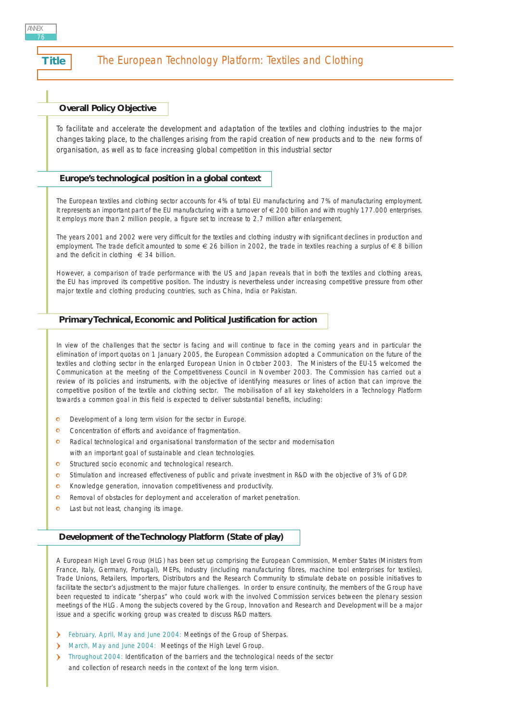ANNEX 76

## **Overall Policy Objective**

*To facilitate and accelerate the development and adaptation of the textiles and clothing industries to the major changes taking place, to the challenges arising from the rapid creation of new products and to the new forms of organisation, as well as to face increasing global competition in this industrial sector*

## **Europe's technological position in a global context**

The European textiles and clothing sector accounts for 4% of total EU manufacturing and 7% of manufacturing employment. It represents an important part of the EU manufacturing with a turnover of € 200 billion and with roughly 177.000 enterprises. It employs more than 2 million people, a figure set to increase to 2.7 million after enlargement.

The years 2001 and 2002 were very difficult for the textiles and clothing industry with significant declines in production and employment. The trade deficit amounted to some € 26 billion in 2002, the trade in textiles reaching a surplus of € 8 billion and the deficit in clothing  $\epsilon$  34 billion.

However, a comparison of trade performance with the US and Japan reveals that in both the textiles and clothing areas, the EU has improved its competitive position. The industry is nevertheless under increasing competitive pressure from other major textile and clothing producing countries, such as China, India or Pakistan.

## **Primary Technical, Economic and Political Justification for action**

In view of the challenges that the sector is facing and will continue to face in the coming years and in particular the elimination of import quotas on 1 January 2005, the European Commission adopted a Communication on the future of the textiles and clothing sector in the enlarged European Union in October 2003. The Ministers of the EU-15 welcomed the Communication at the meeting of the Competitiveness Council in November 2003. The Commission has carried out a review of its policies and instruments, with the objective of identifying measures or lines of action that can improve the competitive position of the textile and clothing sector. The mobilisation of all key stakeholders in a Technology Platform towards a common goal in this field is expected to deliver substantial benefits, including:

- $\bullet$ Development of a long term vision for the sector in Europe.
- $\circ$ Concentration of efforts and avoidance of fragmentation.
- Radical technological and organisational transformation of the sector and modernisation  $\bullet$ with an important goal of sustainable and clean technologies.
- $\bullet$ Structured socio economic and technological research.
- Stimulation and increased effectiveness of public and private investment in R&D with the objective of 3% of GDP.  $\Omega$
- Knowledge generation, innovation competitiveness and productivity.  $\Omega$
- $\circ$ Removal of obstacles for deployment and acceleration of market penetration.
- $\ddot{\mathbf{o}}$ Last but not least, changing its image.

## **Development of the Technology Platform (State of play)**

A European High Level Group (HLG) has been set up comprising the European Commission, Member States (Ministers from France, Italy, Germany, Portugal), MEPs, Industry (including manufacturing fibres, machine tool enterprises for textiles), Trade Unions, Retailers, Importers, Distributors and the Research Community to stimulate debate on possible initiatives to facilitate the sector's adjustment to the major future challenges. In order to ensure continuity, the members of the Group have been requested to indicate "sherpas" who could work with the involved Commission services between the plenary session meetings of the HLG. Among the subjects covered by the Group, Innovation and Research and Development will be a major issue and a specific working group was created to discuss R&D matters.

- February, April, May and June 2004: Meetings of the Group of Sherpas.
- March, May and June 2004: Meetings of the High Level Group.
- > Throughout 2004: Identification of the barriers and the technological needs of the sector and collection of research needs in the context of the long term vision.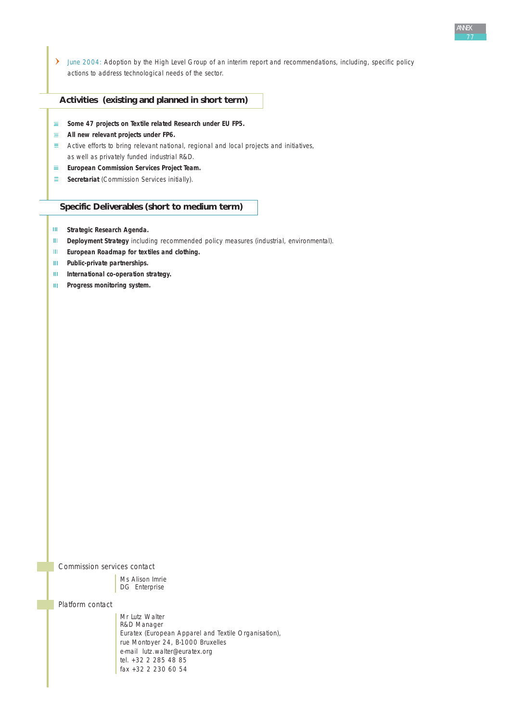June 2004: Adoption by the High Level Group of an interim report and recommendations, including, specific policy actions to address technological needs of the sector.

#### **Activities (existing and planned in short term)**

- **Some 47 projects on Textile related Research under EU FP5.**  $\equiv$  .
- **All new relevant projects under FP6.**
- $\equiv$  Active efforts to bring relevant national, regional and local projects and initiatives, as well as privately funded industrial R&D.
- **European Commission Services Project Team.**
- **Secretariat** (Commission Services initially).

## **Specific Deliverables (short to medium term)**

- **Strategic Research Agenda.**
- $\mathbf{H}^{\text{max}}$ **Deployment Strategy** including recommended policy measures (industrial, environmental).
- $\mathbf{III}$  . **European Roadmap for textiles and clothing.**
- $\mathbf{H}^{\text{max}}$ **Public-private partnerships.**
- $\mathbf{III}^+$ **International co-operation strategy.**
- $\mathbf{m}$ **Progress monitoring system.**

*Commission services contact*

Ms Alison Imrie DG Enterprise

*Platform contact*

Mr Lutz Walter R&D Manager Euratex (European Apparel and Textile Organisation), rue Montoyer 24, B-1000 Bruxelles e-mail lutz.walter@euratex.org tel. +32 2 285 48 85 fax +32 2 230 60 54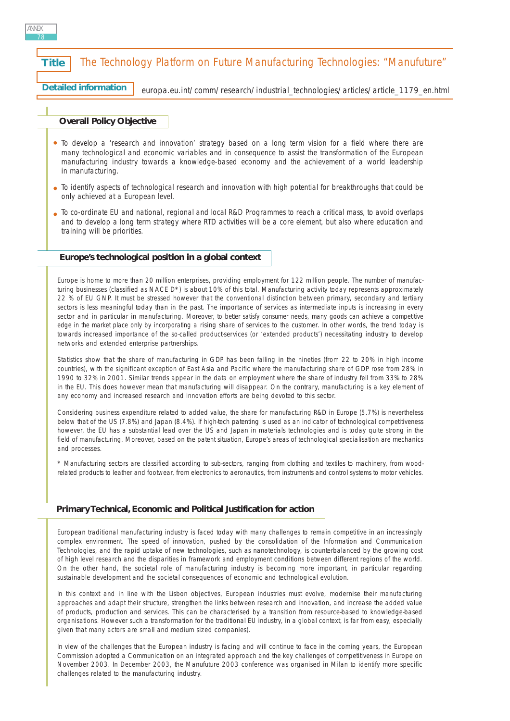# **Title** The Technology Platform on Future Manufacturing Technologies: "Manufuture"

Detailed information | [europa.eu.int/comm/research/industrial\\_technologies/articles/article\\_1179\\_en.html](http://europa.eu.int/comm/research/industrial_technologies/articles/article_1179_en.html)

## **Overall Policy Objective**

- *To develop a 'research and innovation' strategy based on a long term vision for a field where there are many technological and economic variables and in consequence to assist the transformation of the European manufacturing industry towards a knowledge-based economy and the achievement of a world leadership in manufacturing.*
- *To identify aspects of technological research and innovation with high potential for breakthroughs that could be only achieved at a European level.*
- *To co-ordinate EU and national, regional and local R&D Programmes to reach a critical mass, to avoid overlaps and to develop a long term strategy where RTD activities will be a core element, but also where education and training will be priorities.*

## **Europe's technological position in a global context**

Europe is home to more than 20 million enterprises, providing employment for 122 million people. The number of manufacturing businesses (classified as NACE D\*) is about 10% of this total. Manufacturing activity today represents approximately 22 % of EU GNP. It must be stressed however that the conventional distinction between primary, secondary and tertiary sectors is less meaningful today than in the past. The importance of services as intermediate inputs is increasing in every sector and in particular in manufacturing. Moreover, to better satisfy consumer needs, many goods can achieve a competitive edge in the market place only by incorporating a rising share of services to the customer. In other words, the trend today is towards increased importance of the so-called product-services (or 'extended products') necessitating industry to develop networks and extended enterprise partnerships.

Statistics show that the share of manufacturing in GDP has been falling in the nineties (from 22 to 20% in high income countries), with the significant exception of East Asia and Pacific where the manufacturing share of GDP rose from 28% in 1990 to 32% in 2001. Similar trends appear in the data on employment where the share of industry fell from 33% to 28% in the EU. This does however mean that manufacturing will disappear. On the contrary, manufacturing is a key element of any economy and increased research and innovation efforts are being devoted to this sector.

Considering business expenditure related to added value, the share for manufacturing R&D in Europe (5.7%) is nevertheless below that of the US (7.8%) and Japan (8.4%). If high-tech patenting is used as an indicator of technological competitiveness however, the EU has a substantial lead over the US and Japan in materials technologies and is today quite strong in the field of manufacturing. Moreover, based on the patent situation, Europe's areas of technological specialisation are mechanics and processes.

*\* Manufacturing sectors are classified according to sub-sectors, ranging from clothing and textiles to machinery, from woodrelated products to leather and footwear, from electronics to aeronautics, from instruments and control systems to motor vehicles.*

## **Primary Technical, Economic and Political Justification for action**

European traditional manufacturing industry is faced today with many challenges to remain competitive in an increasingly complex environment. The speed of innovation, pushed by the consolidation of the Information and Communication Technologies, and the rapid uptake of new technologies, such as nanotechnology, is counterbalanced by the growing cost of high level research and the disparities in framework and employment conditions between different regions of the world. On the other hand, the societal role of manufacturing industry is becoming more important, in particular regarding sustainable development and the societal consequences of economic and technological evolution.

In this context and in line with the Lisbon objectives, European industries must evolve, modernise their manufacturing approaches and adapt their structure, strengthen the links between research and innovation, and increase the added value of products, production and services. This can be characterised by a transition from resource-based to knowledge-based organisations. However such a transformation for the traditional EU industry, in a global context, is far from easy, especially given that many actors are small and medium sized companies).

In view of the challenges that the European industry is facing and will continue to face in the coming years, the European Commission adopted a Communication on an integrated approach and the key challenges of competitiveness in Europe on November 2003. In December 2003, the Manufuture 2003 conference was organised in Milan to identify more specific challenges related to the manufacturing industry.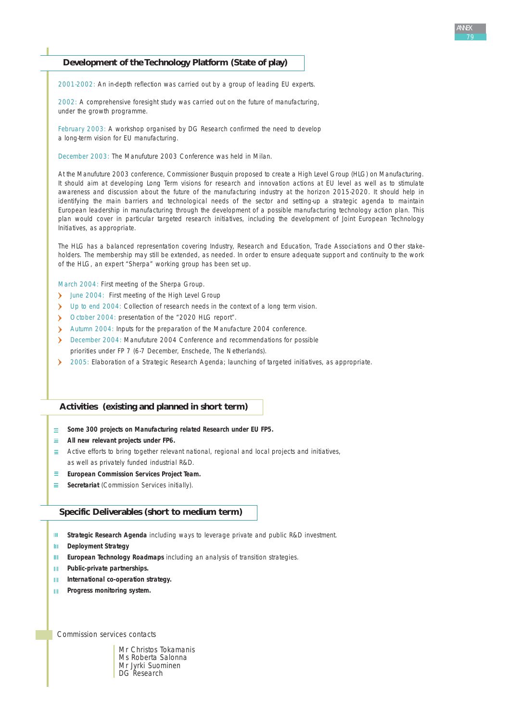## **Development of the Technology Platform (State of play)**

2001-2002: An in-depth reflection was carried out by a group of leading EU experts.

2002: A comprehensive foresight study was carried out on the future of manufacturing, under the growth programme.

February 2003: A workshop organised by DG Research confirmed the need to develop a long-term vision for EU manufacturing.

December 2003: The Manufuture 2003 Conference was held in Milan.

At the Manufuture 2003 conference, Commissioner Busquin proposed to create a High Level Group (HLG) on Manufacturing. It should aim at developing Long Term visions for research and innovation actions at EU level as well as to stimulate awareness and discussion about the future of the manufacturing industry at the horizon 2015-2020. It should help in identifying the main barriers and technological needs of the sector and setting-up a strategic agenda to maintain European leadership in manufacturing through the development of a possible manufacturing technology action plan. This plan would cover in particular targeted research initiatives, including the development of Joint European Technology Initiatives, as appropriate.

The HLG has a balanced representation covering Industry, Research and Education, Trade Associations and Other stakeholders. The membership may still be extended, as needed. In order to ensure adequate support and continuity to the work of the HLG, an expert "Sherpa" working group has been set up.

March 2004: First meeting of the Sherpa Group.

- June 2004: First meeting of the High Level Group
- Up to end 2004: Collection of research needs in the context of a long term vision.
- $\mathbf{v}$ October 2004: presentation of the "2020 HLG report".
- $\mathbf{v}$ Autumn 2004: Inputs for the preparation of the Manufacture 2004 conference.
- December 2004: Manufuture 2004 Conference and recommendations for possible priorities under FP 7 (6-7 December, Enschede, The Netherlands).
- $\mathbf{v}$ 2005: Elaboration of a Strategic Research Agenda; launching of targeted initiatives, as appropriate.

## **Activities (existing and planned in short term)**

- **Some 300 projects on Manufacturing related Research under EU FP5.**
- **All new relevant projects under FP6.**
- $\equiv$  Active efforts to bring together relevant national, regional and local projects and initiatives, as well as privately funded industrial R&D.
- $\equiv$  . **European Commission Services Project Team.**
- **Secretariat** (Commission Services initially).

## **Specific Deliverables (short to medium term)**

- **Strategic Research Agenda** including ways to leverage private and public R&D investment. **III**
- $\mathbf{H}^{\mathrm{max}}$ **Deployment Strategy**
- **European Technology Roadmaps** including an analysis of transition strategies.  $\mathbf{H}$
- **Public-private partnerships.** HL.
- **International co-operation strategy.** HL.
- **Progress monitoring system.**  $\mathbf{m}$

*Commission services contacts*

Mr Christos Tokamanis Ms Roberta Salonna Mr Jyrki Suominen DG **Research**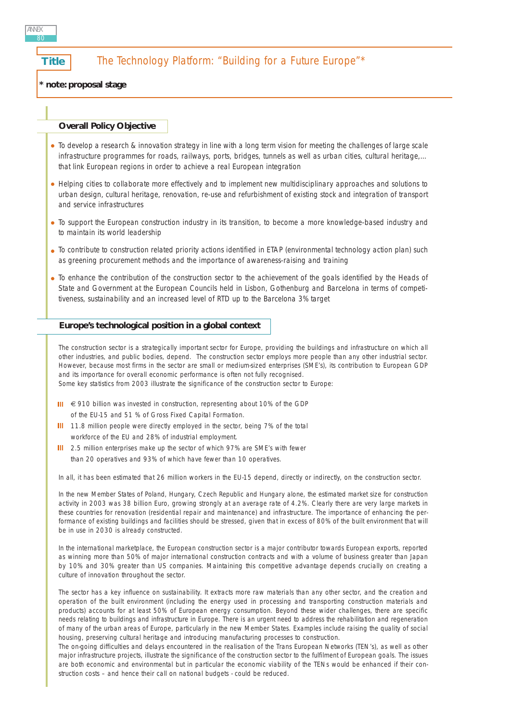## **Title The Technology Platform: "Building for a Future Europe"\***

**\* note: proposal stage** 

## **Overall Policy Objective**

- *To develop a research & innovation strategy in line with a long term vision for meeting the challenges of large scale infrastructure programmes for roads, railways, ports, bridges, tunnels as well as urban cities, cultural heritage,… that link European regions in order to achieve a real European integration*
- *Helping cities to collaborate more effectively and to implement new multidisciplinary approaches and solutions to urban design, cultural heritage, renovation, re-use and refurbishment of existing stock and integration of transport and service infrastructures*
- *To support the European construction industry in its transition, to become a more knowledge-based industry and to maintain its world leadership*
- *To contribute to construction related priority actions identified in ETAP (environmental technology action plan) such as greening procurement methods and the importance of awareness-raising and training*
- *To enhance the contribution of the construction sector to the achievement of the goals identified by the Heads of State and Government at the European Councils held in Lisbon, Gothenburg and Barcelona in terms of competitiveness, sustainability and an increased level of RTD up to the Barcelona 3% target*

#### **Europe's technological position in a global context**

The construction sector is a strategically important sector for Europe, providing the buildings and infrastructure on which all other industries, and public bodies, depend. The construction sector employs more people than any other industrial sector. However, because most firms in the sector are small or medium-sized enterprises (SME's), its contribution to European GDP and its importance for overall economic performance is often not fully recognised.

- Some key statistics from 2003 illustrate the significance of the construction sector to Europe:
- III € 910 billion was invested in construction, representing about 10% of the GDP of the EU-15 and 51 % of Gross Fixed Capital Formation.
- III 11.8 million people were directly employed in the sector, being 7% of the total workforce of the EU and 28% of industrial employment.
- III 2.5 million enterprises make up the sector of which 97% are SME's with fewer than 20 operatives and 93% of which have fewer than 10 operatives.

In all, it has been estimated that 26 million workers in the EU-15 depend, directly or indirectly, on the construction sector.

In the new Member States of Poland, Hungary, Czech Republic and Hungary alone, the estimated market size for construction activity in 2003 was 38 billion Euro, growing strongly at an average rate of 4.2%. Clearly there are very large markets in these countries for renovation (residential repair and maintenance) and infrastructure. The importance of enhancing the performance of existing buildings and facilities should be stressed, given that in excess of 80% of the built environment that will be in use in 2030 is already constructed.

In the international marketplace, the European construction sector is a major contributor towards European exports, reported as winning more than 50% of major international construction contracts and with a volume of business greater than Japan by 10% and 30% greater than US companies. Maintaining this competitive advantage depends crucially on creating a culture of innovation throughout the sector.

The sector has a key influence on sustainability. It extracts more raw materials than any other sector, and the creation and operation of the built environment (including the energy used in processing and transporting construction materials and products) accounts for at least 50% of European energy consumption. Beyond these wider challenges, there are specific needs relating to buildings and infrastructure in Europe. There is an urgent need to address the rehabilitation and regeneration of many of the urban areas of Europe, particularly in the new Member States. Examples include raising the quality of social housing, preserving cultural heritage and introducing manufacturing processes to construction.

The on-going difficulties and delays encountered in the realisation of the Trans European Networks (TEN's), as well as other major infrastructure projects, illustrate the significance of the construction sector to the fulfilment of European goals. The issues are both economic and environmental but in particular the economic viability of the TENs would be enhanced if their construction costs – and hence their call on national budgets - could be reduced.

ANNEX 80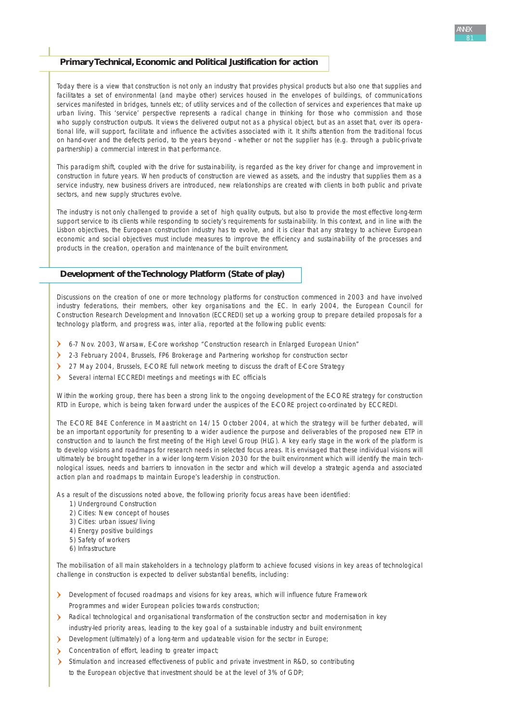## **Primary Technical, Economic and Political Justification for action**

Today there is a view that construction is not only an industry that provides physical products but also one that supplies and facilitates a set of environmental (and maybe other) services housed in the envelopes of buildings, of communications services manifested in bridges, tunnels etc; of utility services and of the collection of services and experiences that make up urban living. This 'service' perspective represents a radical change in thinking for those who commission and those who supply construction outputs. It views the delivered output not as a physical object, but as an asset that, over its operational life, will support, facilitate and influence the activities associated with it. It shifts attention from the traditional focus on hand-over and the defects period, to the years beyond - whether or not the supplier has (e.g. through a public-private partnership) a commercial interest in that performance.

This paradigm shift, coupled with the drive for sustainability, is regarded as the key driver for change and improvement in construction in future years. When products of construction are viewed as assets, and the industry that supplies them as a service industry, new business drivers are introduced, new relationships are created with clients in both public and private sectors, and new supply structures evolve.

The industry is not only challenged to provide a set of high quality outputs, but also to provide the most effective long-term support service to its clients while responding to society's requirements for sustainability. In this context, and in line with the Lisbon objectives, the European construction industry has to evolve, and it is clear that any strategy to achieve European economic and social objectives must include measures to improve the efficiency and sustainability of the processes and products in the creation, operation and maintenance of the built environment.

## **Development of the Technology Platform (State of play)**

Discussions on the creation of one or more technology platforms for construction commenced in 2003 and have involved industry federations, their members, other key organisations and the EC. In early 2004, the European Council for Construction Research Development and Innovation (ECCREDI) set up a working group to prepare detailed proposals for a technology platform, and progress was, inter alia, reported at the following public events:

- 6-7 Nov. 2003, Warsaw, E-Core workshop "Construction research in Enlarged European Union"
- 2-3 February 2004, Brussels, FP6 Brokerage and Partnering workshop for construction sector
- > 27 May 2004, Brussels, E-CORE full network meeting to discuss the draft of E-Core Strategy
- Several internal ECCREDI meetings and meetings with EC officials

Within the working group, there has been a strong link to the ongoing development of the E-CORE strategy for construction RTD in Europe, which is being taken forward under the auspices of the E-CORE project co-ordinated by ECCREDI.

The E-CORE B4E Conference in Maastricht on 14/15 October 2004, at which the strategy will be further debated, will be an important opportunity for presenting to a wider audience the purpose and deliverables of the proposed new ETP in construction and to launch the first meeting of the High Level Group (HLG). A key early stage in the work of the platform is to develop visions and roadmaps for research needs in selected focus areas. It is envisaged that these individual visions will ultimately be brought together in a wider long-term Vision 2030 for the built environment which will identify the main technological issues, needs and barriers to innovation in the sector and which will develop a strategic agenda and associated action plan and roadmaps to maintain Europe's leadership in construction.

As a result of the discussions noted above, the following priority focus areas have been identified:

- 1) Underground Construction
- 2) Cities: New concept of houses
- 3) Cities: urban issues/living
- 4) Energy positive buildings
- 5) Safety of workers
- 6) Infrastructure

The mobilisation of all main stakeholders in a technology platform to achieve focused visions in key areas of technological challenge in construction is expected to deliver substantial benefits, including:

- Development of focused roadmaps and visions for key areas, which will influence future Framework Programmes and wider European policies towards construction;
- A Radical technological and organisational transformation of the construction sector and modernisation in key industry-led priority areas, leading to the key goal of a sustainable industry and built environment;
- Development (ultimately) of a long-term and updateable vision for the sector in Europe;
- Concentration of effort, leading to greater impact;
- Stimulation and increased effectiveness of public and private investment in R&D, so contributing to the European objective that investment should be at the level of 3% of GDP;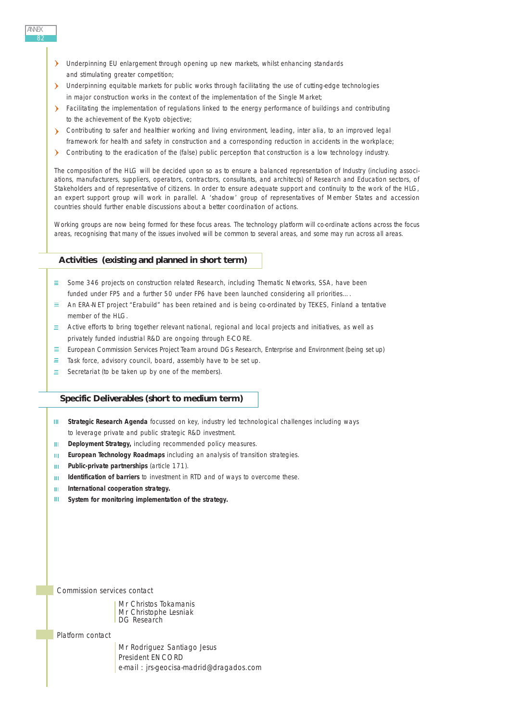- Underpinning EU enlargement through opening up new markets, whilst enhancing standards and stimulating greater competition:
- > Underpinning equitable markets for public works through facilitating the use of cutting-edge technologies in major construction works in the context of the implementation of the Single Market;
- Facilitating the implementation of regulations linked to the energy performance of buildings and contributing to the achievement of the Kyoto objective;
- Contributing to safer and healthier working and living environment, leading, inter alia, to an improved legal framework for health and safety in construction and a corresponding reduction in accidents in the workplace;
- $\sum_{i=1}^{n}$ Contributing to the eradication of the (false) public perception that construction is a low technology industry.

The composition of the HLG will be decided upon so as to ensure a balanced representation of Industry (including associations, manufacturers, suppliers, operators, contractors, consultants, and architects) of Research and Education sectors, of Stakeholders and of representative of citizens. In order to ensure adequate support and continuity to the work of the HLG, an expert support group will work in parallel. A 'shadow' group of representatives of Member States and accession countries should further enable discussions about a better coordination of actions.

Working groups are now being formed for these focus areas. The technology platform will co-ordinate actions across the focus areas, recognising that many of the issues involved will be common to several areas, and some may run across all areas.

## **Activities (existing and planned in short term)**

- $\equiv$  Some 346 projects on construction related Research, including Thematic Networks, SSA, have been funded under FP5 and a further 50 under FP6 have been launched considering all priorities….
- An ERA-NET project "Erabuild" has been retained and is being co-ordinated by TEKES, Finland a tentative member of the HLG.
- $\equiv$  Active efforts to bring together relevant national, regional and local projects and initiatives, as well as privately funded industrial R&D are ongoing through E-CORE.
- European Commission Services Project Team around DGs Research, Enterprise and Environment (being set up)  $\equiv$  .
- $=$ Task force, advisory council, board, assembly have to be set up.
- $\equiv$ Secretariat (to be taken up by one of the members).

## **Specific Deliverables (short to medium term)**

- **Strategic Research Agenda** focussed on key, industry led technological challenges including ways HL. to leverage private and public strategic R&D investment.
- **Deployment Strategy,** including recommended policy measures. **III**
- **European Technology Roadmaps** including an analysis of transition strategies.  $\mathbf{H} \mathbf{F}$  .
- **Public-private partnerships** (article 171).  $\mathbf{m}^{\prime}$
- **Identification of barriers** to investment in RTD and of ways to overcome these.  $\mathbf{H}$  .
- **International cooperation strategy.**  $\mathbf{H} \mathbf{F}$
- $\mathbf{H}^{\mathrm{c}}$ **System for monitoring implementation of the strategy.**

*Commission services contact*

Mr Christos Tokamanis Mr Christophe Lesniak DG Research

*Platform contact*

Mr Rodriguez Santiago Jesus President ENCORD e-mail : jrs-geocisa-madrid@dragados.com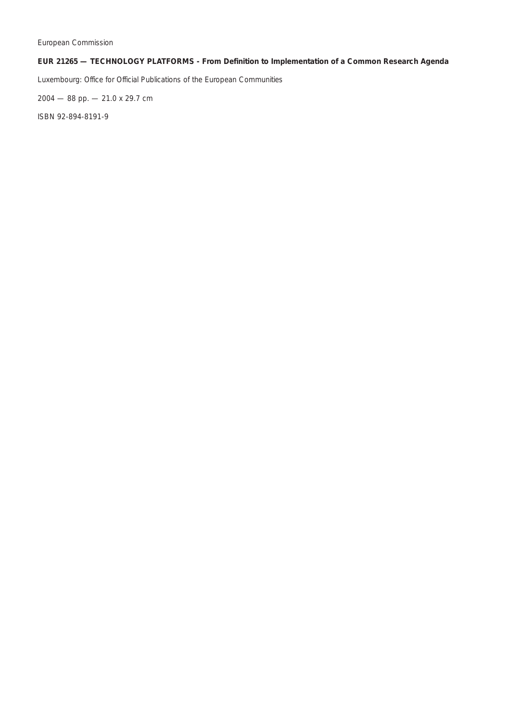## **EUR 21265 — TECHNOLOGY PLATFORMS - From Definition to Implementation of a Common Research Agenda**

Luxembourg: Office for Official Publications of the European Communities

2004 — 88 pp. — 21.0 x 29.7 cm

ISBN 92-894-8191-9